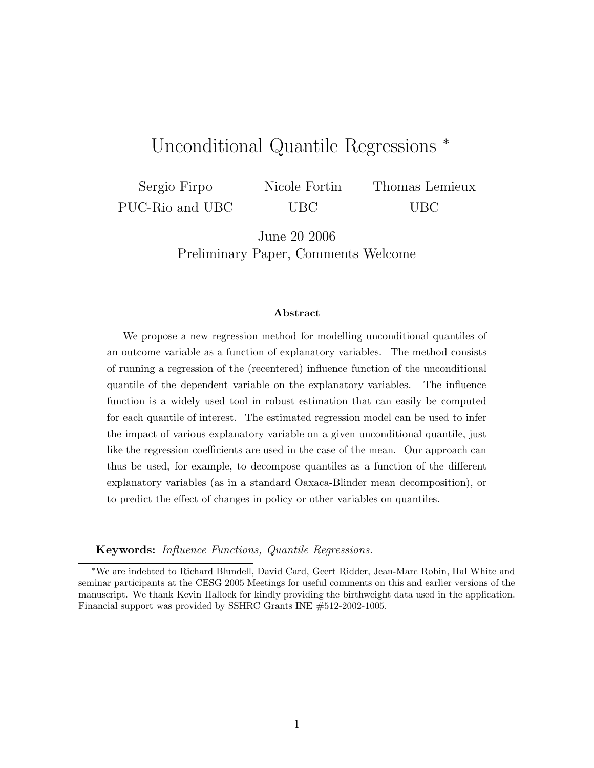# Unconditional Quantile Regressions <sup>∗</sup>

Sergio Firpo PUC-Rio and UBC Nicole Fortin UBC Thomas Lemieux UBC

> June 20 2006 Preliminary Paper, Comments Welcome

#### **Abstract**

We propose a new regression method for modelling unconditional quantiles of an outcome variable as a function of explanatory variables. The method consists of running a regression of the (recentered) influence function of the unconditional quantile of the dependent variable on the explanatory variables. The influence function is a widely used tool in robust estimation that can easily be computed for each quantile of interest. The estimated regression model can be used to infer the impact of various explanatory variable on a given unconditional quantile, just like the regression coefficients are used in the case of the mean. Our approach can thus be used, for example, to decompose quantiles as a function of the different explanatory variables (as in a standard Oaxaca-Blinder mean decomposition), or to predict the effect of changes in policy or other variables on quantiles.

**Keywords:** *Influence Functions, Quantile Regressions.*

<sup>∗</sup>We are indebted to Richard Blundell, David Card, Geert Ridder, Jean-Marc Robin, Hal White and seminar participants at the CESG 2005 Meetings for useful comments on this and earlier versions of the manuscript. We thank Kevin Hallock for kindly providing the birthweight data used in the application. Financial support was provided by SSHRC Grants INE #512-2002-1005.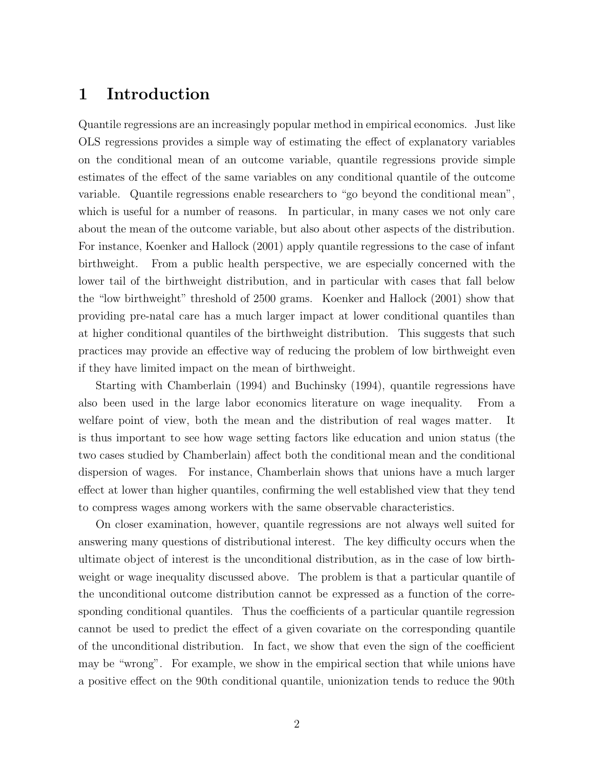## **1 Introduction**

Quantile regressions are an increasingly popular method in empirical economics. Just like OLS regressions provides a simple way of estimating the effect of explanatory variables on the conditional mean of an outcome variable, quantile regressions provide simple estimates of the effect of the same variables on any conditional quantile of the outcome variable. Quantile regressions enable researchers to "go beyond the conditional mean", which is useful for a number of reasons. In particular, in many cases we not only care about the mean of the outcome variable, but also about other aspects of the distribution. For instance, Koenker and Hallock (2001) apply quantile regressions to the case of infant birthweight. From a public health perspective, we are especially concerned with the lower tail of the birthweight distribution, and in particular with cases that fall below the "low birthweight" threshold of 2500 grams. Koenker and Hallock (2001) show that providing pre-natal care has a much larger impact at lower conditional quantiles than at higher conditional quantiles of the birthweight distribution. This suggests that such practices may provide an effective way of reducing the problem of low birthweight even if they have limited impact on the mean of birthweight.

Starting with Chamberlain (1994) and Buchinsky (1994), quantile regressions have also been used in the large labor economics literature on wage inequality. From a welfare point of view, both the mean and the distribution of real wages matter. It is thus important to see how wage setting factors like education and union status (the two cases studied by Chamberlain) affect both the conditional mean and the conditional dispersion of wages. For instance, Chamberlain shows that unions have a much larger effect at lower than higher quantiles, confirming the well established view that they tend to compress wages among workers with the same observable characteristics.

On closer examination, however, quantile regressions are not always well suited for answering many questions of distributional interest. The key difficulty occurs when the ultimate object of interest is the unconditional distribution, as in the case of low birthweight or wage inequality discussed above. The problem is that a particular quantile of the unconditional outcome distribution cannot be expressed as a function of the corresponding conditional quantiles. Thus the coefficients of a particular quantile regression cannot be used to predict the effect of a given covariate on the corresponding quantile of the unconditional distribution. In fact, we show that even the sign of the coefficient may be "wrong". For example, we show in the empirical section that while unions have a positive effect on the 90th conditional quantile, unionization tends to reduce the 90th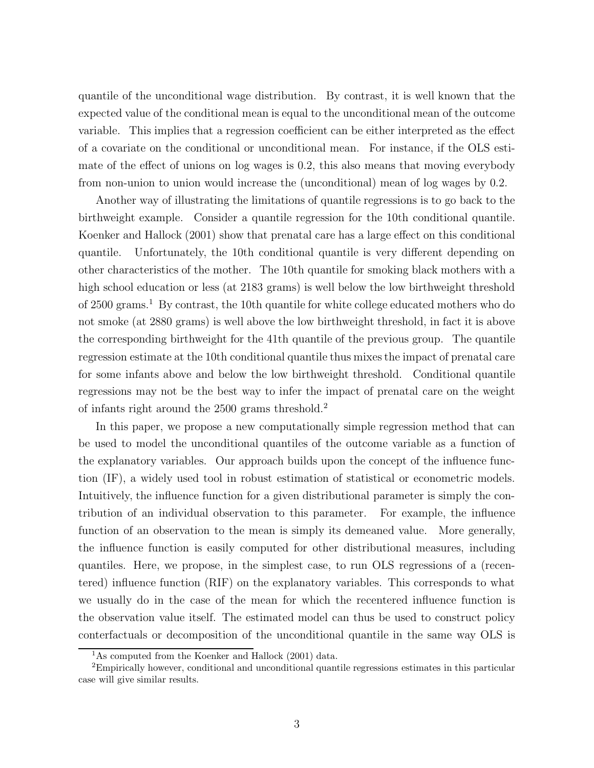quantile of the unconditional wage distribution. By contrast, it is well known that the expected value of the conditional mean is equal to the unconditional mean of the outcome variable. This implies that a regression coefficient can be either interpreted as the effect of a covariate on the conditional or unconditional mean. For instance, if the OLS estimate of the effect of unions on log wages is 0.2, this also means that moving everybody from non-union to union would increase the (unconditional) mean of log wages by 0.2.

Another way of illustrating the limitations of quantile regressions is to go back to the birthweight example. Consider a quantile regression for the 10th conditional quantile. Koenker and Hallock (2001) show that prenatal care has a large effect on this conditional quantile. Unfortunately, the 10th conditional quantile is very different depending on other characteristics of the mother. The 10th quantile for smoking black mothers with a high school education or less (at 2183 grams) is well below the low birthweight threshold of  $2500 \text{ grams}$ .<sup>1</sup> By contrast, the 10th quantile for white college educated mothers who do not smoke (at 2880 grams) is well above the low birthweight threshold, in fact it is above the corresponding birthweight for the 41th quantile of the previous group. The quantile regression estimate at the 10th conditional quantile thus mixes the impact of prenatal care for some infants above and below the low birthweight threshold. Conditional quantile regressions may not be the best way to infer the impact of prenatal care on the weight of infants right around the 2500 grams threshold.<sup>2</sup>

In this paper, we propose a new computationally simple regression method that can be used to model the unconditional quantiles of the outcome variable as a function of the explanatory variables. Our approach builds upon the concept of the influence function (IF), a widely used tool in robust estimation of statistical or econometric models. Intuitively, the influence function for a given distributional parameter is simply the contribution of an individual observation to this parameter. For example, the influence function of an observation to the mean is simply its demeaned value. More generally, the influence function is easily computed for other distributional measures, including quantiles. Here, we propose, in the simplest case, to run OLS regressions of a (recentered) influence function (RIF) on the explanatory variables. This corresponds to what we usually do in the case of the mean for which the recentered influence function is the observation value itself. The estimated model can thus be used to construct policy conterfactuals or decomposition of the unconditional quantile in the same way OLS is

<sup>&</sup>lt;sup>1</sup>As computed from the Koenker and Hallock (2001) data.

<sup>2</sup>Empirically however, conditional and unconditional quantile regressions estimates in this particular case will give similar results.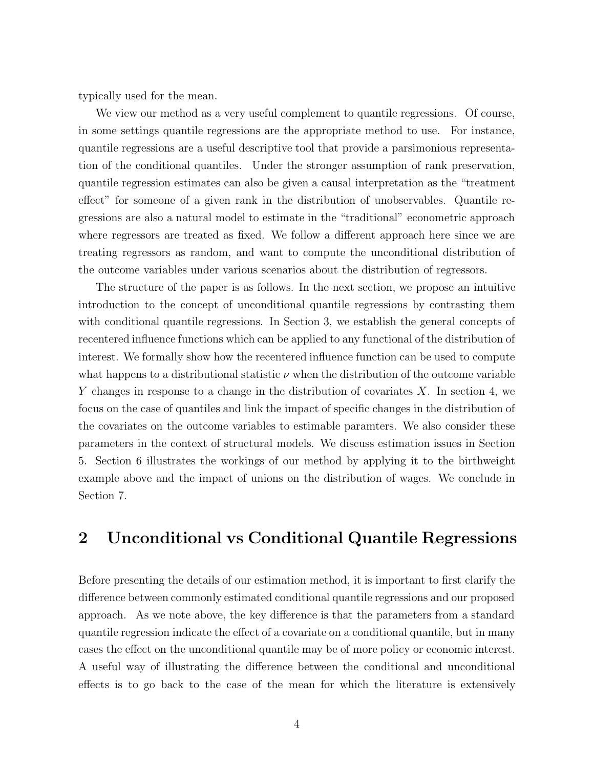typically used for the mean.

We view our method as a very useful complement to quantile regressions. Of course, in some settings quantile regressions are the appropriate method to use. For instance, quantile regressions are a useful descriptive tool that provide a parsimonious representation of the conditional quantiles. Under the stronger assumption of rank preservation, quantile regression estimates can also be given a causal interpretation as the "treatment effect" for someone of a given rank in the distribution of unobservables. Quantile regressions are also a natural model to estimate in the "traditional" econometric approach where regressors are treated as fixed. We follow a different approach here since we are treating regressors as random, and want to compute the unconditional distribution of the outcome variables under various scenarios about the distribution of regressors.

The structure of the paper is as follows. In the next section, we propose an intuitive introduction to the concept of unconditional quantile regressions by contrasting them with conditional quantile regressions. In Section 3, we establish the general concepts of recentered influence functions which can be applied to any functional of the distribution of interest. We formally show how the recentered influence function can be used to compute what happens to a distributional statistic  $\nu$  when the distribution of the outcome variable *Y* changes in response to a change in the distribution of covariates *X*. In section 4, we focus on the case of quantiles and link the impact of specific changes in the distribution of the covariates on the outcome variables to estimable paramters. We also consider these parameters in the context of structural models. We discuss estimation issues in Section 5. Section 6 illustrates the workings of our method by applying it to the birthweight example above and the impact of unions on the distribution of wages. We conclude in Section 7.

## **2 Unconditional vs Conditional Quantile Regressions**

Before presenting the details of our estimation method, it is important to first clarify the difference between commonly estimated conditional quantile regressions and our proposed approach. As we note above, the key difference is that the parameters from a standard quantile regression indicate the effect of a covariate on a conditional quantile, but in many cases the effect on the unconditional quantile may be of more policy or economic interest. A useful way of illustrating the difference between the conditional and unconditional effects is to go back to the case of the mean for which the literature is extensively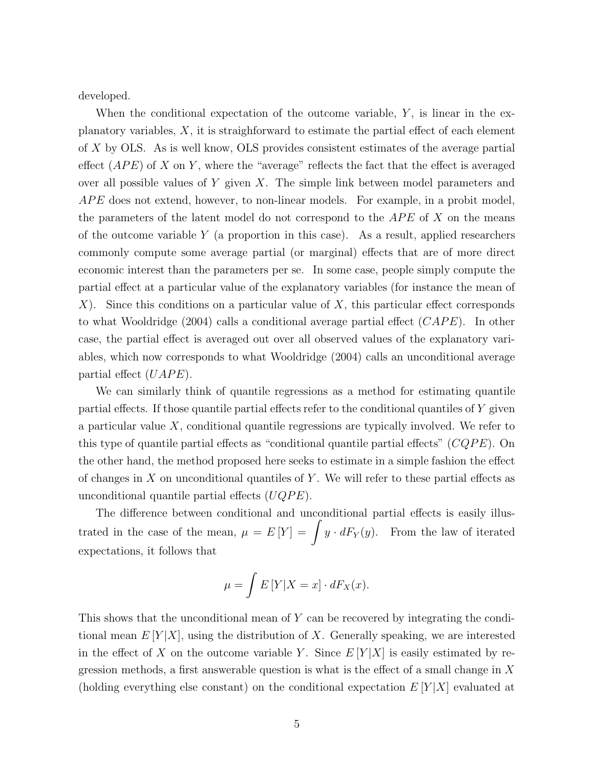developed.

When the conditional expectation of the outcome variable, Y, is linear in the explanatory variables, *X*, it is straighforward to estimate the partial effect of each element of *X* by OLS. As is well know, OLS provides consistent estimates of the average partial effect (*AP E*) of *X* on *Y* , where the "average" reflects the fact that the effect is averaged over all possible values of *Y* given *X*. The simple link between model parameters and *APE* does not extend, however, to non-linear models. For example, in a probit model, the parameters of the latent model do not correspond to the *APE* of *X* on the means of the outcome variable *Y* (a proportion in this case). As a result, applied researchers commonly compute some average partial (or marginal) effects that are of more direct economic interest than the parameters per se. In some case, people simply compute the partial effect at a particular value of the explanatory variables (for instance the mean of *X*). Since this conditions on a particular value of *X*, this particular effect corresponds to what Wooldridge (2004) calls a conditional average partial effect (*CAP E*). In other case, the partial effect is averaged out over all observed values of the explanatory variables, which now corresponds to what Wooldridge (2004) calls an unconditional average partial effect (*UAPE*).

We can similarly think of quantile regressions as a method for estimating quantile partial effects. If those quantile partial effects refer to the conditional quantiles of *Y* given a particular value *X*, conditional quantile regressions are typically involved. We refer to this type of quantile partial effects as "conditional quantile partial effects" (*CQP E*). On the other hand, the method proposed here seeks to estimate in a simple fashion the effect of changes in *X* on unconditional quantiles of *Y* . We will refer to these partial effects as unconditional quantile partial effects (*UQP E*).

The difference between conditional and unconditional partial effects is easily illustrated in the case of the mean,  $\mu = E[Y] = \int y \cdot dF_Y(y)$ . From the law of iterated expectations, it follows that

$$
\mu = \int E[Y|X=x] \cdot dF_X(x).
$$

This shows that the unconditional mean of *Y* can be recovered by integrating the conditional mean  $E[Y|X]$ , using the distribution of X. Generally speaking, we are interested in the effect of X on the outcome variable Y. Since  $E[Y|X]$  is easily estimated by regression methods, a first answerable question is what is the effect of a small change in *X* (holding everything else constant) on the conditional expectation *E* [*Y* |*X*] evaluated at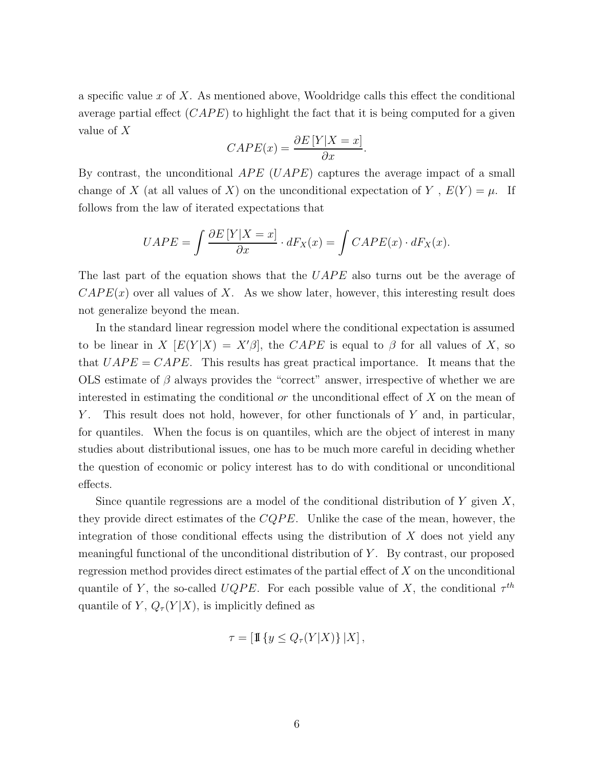a specific value *x* of *X*. As mentioned above, Wooldridge calls this effect the conditional average partial effect (*CAPE*) to highlight the fact that it is being computed for a given value of *X*

$$
CAPE(x) = \frac{\partial E\left[Y|X=x\right]}{\partial x}.
$$

By contrast, the unconditional *APE* (*UAPE*) captures the average impact of a small change of *X* (at all values of *X*) on the unconditional expectation of *Y*,  $E(Y) = \mu$ . If follows from the law of iterated expectations that

$$
UAPE = \int \frac{\partial E\left[Y|X=x\right]}{\partial x} \cdot dF_X(x) = \int CAPE(x) \cdot dF_X(x).
$$

The last part of the equation shows that the *UAPE* also turns out be the average of  $CAPE(x)$  over all values of X. As we show later, however, this interesting result does not generalize beyond the mean.

In the standard linear regression model where the conditional expectation is assumed to be linear in *X*  $[E(Y|X) = X'\beta]$ , the *CAPE* is equal to  $\beta$  for all values of *X*, so that  $UAPE = CAPE$ . This results has great practical importance. It means that the OLS estimate of  $\beta$  always provides the "correct" answer, irrespective of whether we are interested in estimating the conditional *or* the unconditional effect of *X* on the mean of *Y* . This result does not hold, however, for other functionals of *Y* and, in particular, for quantiles. When the focus is on quantiles, which are the object of interest in many studies about distributional issues, one has to be much more careful in deciding whether the question of economic or policy interest has to do with conditional or unconditional effects.

Since quantile regressions are a model of the conditional distribution of *Y* given *X*, they provide direct estimates of the *CQP E*. Unlike the case of the mean, however, the integration of those conditional effects using the distribution of *X* does not yield any meaningful functional of the unconditional distribution of *Y* . By contrast, our proposed regression method provides direct estimates of the partial effect of *X* on the unconditional quantile of *Y*, the so-called *UQPE*. For each possible value of *X*, the conditional  $\tau^{th}$ quantile of *Y*,  $Q_{\tau}(Y|X)$ , is implicitly defined as

$$
\tau = \left[\mathbb{1}\left\{y \le Q_{\tau}(Y|X)\right\}|X\right],
$$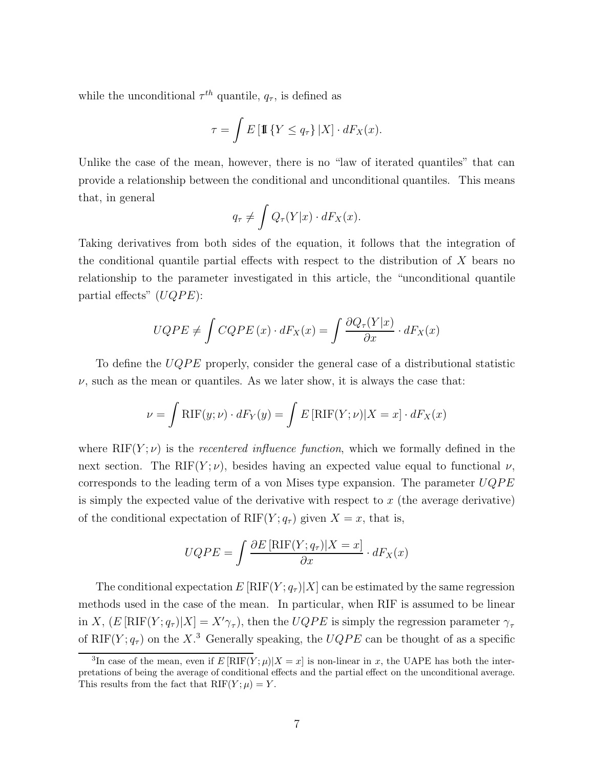while the unconditional  $\tau^{th}$  quantile,  $q_{\tau}$ , is defined as

$$
\tau = \int E\left[\mathbb{1}\{Y \le q_\tau\} | X\right] \cdot dF_X(x).
$$

Unlike the case of the mean, however, there is no "law of iterated quantiles" that can provide a relationship between the conditional and unconditional quantiles. This means that, in general

$$
q_{\tau} \neq \int Q_{\tau}(Y|x) \cdot dF_X(x).
$$

Taking derivatives from both sides of the equation, it follows that the integration of the conditional quantile partial effects with respect to the distribution of *X* bears no relationship to the parameter investigated in this article, the "unconditional quantile partial effects" (*UQPE*):

$$
UQPE \neq \int CQPE(x) \cdot dF_X(x) = \int \frac{\partial Q_{\tau}(Y|x)}{\partial x} \cdot dF_X(x)
$$

To define the *UQPE* properly, consider the general case of a distributional statistic  $\nu$ , such as the mean or quantiles. As we later show, it is always the case that:

$$
\nu = \int \mathrm{RIF}(y; \nu) \cdot dF_Y(y) = \int E[\mathrm{RIF}(Y; \nu)|X = x] \cdot dF_X(x)
$$

where  $RIF(Y; \nu)$  is the *recentered influence function*, which we formally defined in the next section. The RIF( $Y$ ;  $\nu$ ), besides having an expected value equal to functional  $\nu$ , corresponds to the leading term of a von Mises type expansion. The parameter *UQP E* is simply the expected value of the derivative with respect to *x* (the average derivative) of the conditional expectation of  $RIF(Y; q<sub>\tau</sub>)$  given  $X = x$ , that is,

$$
UQPE = \int \frac{\partial E \left[ \text{RIF}(Y; q_{\tau}) | X = x \right]}{\partial x} \cdot dF_X(x)
$$

The conditional expectation  $E[\text{RIF}(Y; q_T)|X]$  can be estimated by the same regression methods used in the case of the mean. In particular, when RIF is assumed to be linear in *X*,  $(E[\text{RIF}(Y; q_T)|X] = X' \gamma_\tau$ , then the  $UQPE$  is simply the regression parameter  $\gamma_\tau$ of RIF( $Y; q_{\tau}$ ) on the  $X$ <sup>3</sup> Generally speaking, the  $UQPE$  can be thought of as a specific

<sup>&</sup>lt;sup>3</sup>In case of the mean, even if  $E[\text{RIF}(Y;\mu)|X=x]$  is non-linear in *x*, the UAPE has both the interpretations of being the average of conditional effects and the partial effect on the unconditional average. This results from the fact that  $RIF(Y; \mu) = Y$ .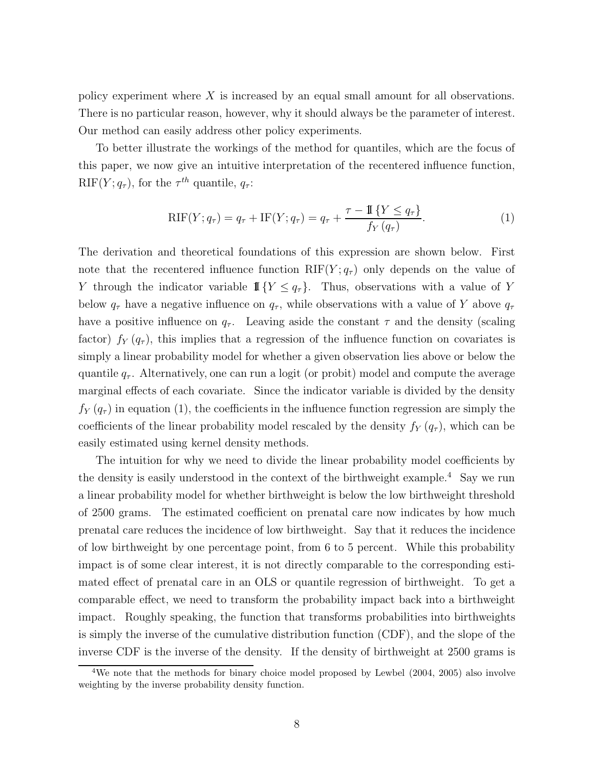policy experiment where *X* is increased by an equal small amount for all observations. There is no particular reason, however, why it should always be the parameter of interest. Our method can easily address other policy experiments.

To better illustrate the workings of the method for quantiles, which are the focus of this paper, we now give an intuitive interpretation of the recentered influence function, RIF(*Y*;  $q_{\tau}$ ), for the  $\tau^{th}$  quantile,  $q_{\tau}$ :

$$
RIF(Y; q_{\tau}) = q_{\tau} + IF(Y; q_{\tau}) = q_{\tau} + \frac{\tau - \mathbb{1}\{Y \le q_{\tau}\}}{f_Y(q_{\tau})}.
$$
 (1)

The derivation and theoretical foundations of this expression are shown below. First note that the recentered influence function  $RIF(Y; q<sub>\tau</sub>)$  only depends on the value of *Y* through the indicator variable  $\mathbb{I}\{Y \leq q_t\}$ . Thus, observations with a value of *Y* below  $q_{\tau}$  have a negative influence on  $q_{\tau}$ , while observations with a value of *Y* above  $q_{\tau}$ have a positive influence on  $q_\tau$ . Leaving aside the constant  $\tau$  and the density (scaling factor)  $f_Y(q_\tau)$ , this implies that a regression of the influence function on covariates is simply a linear probability model for whether a given observation lies above or below the quantile  $q_{\tau}$ . Alternatively, one can run a logit (or probit) model and compute the average marginal effects of each covariate. Since the indicator variable is divided by the density  $f_Y(q_\tau)$  in equation (1), the coefficients in the influence function regression are simply the coefficients of the linear probability model rescaled by the density  $f_Y(q_\tau)$ , which can be easily estimated using kernel density methods.

The intuition for why we need to divide the linear probability model coefficients by the density is easily understood in the context of the birthweight example.<sup>4</sup> Say we run a linear probability model for whether birthweight is below the low birthweight threshold of 2500 grams. The estimated coefficient on prenatal care now indicates by how much prenatal care reduces the incidence of low birthweight. Say that it reduces the incidence of low birthweight by one percentage point, from 6 to 5 percent. While this probability impact is of some clear interest, it is not directly comparable to the corresponding estimated effect of prenatal care in an OLS or quantile regression of birthweight. To get a comparable effect, we need to transform the probability impact back into a birthweight impact. Roughly speaking, the function that transforms probabilities into birthweights is simply the inverse of the cumulative distribution function (CDF), and the slope of the inverse CDF is the inverse of the density. If the density of birthweight at 2500 grams is

<sup>&</sup>lt;sup>4</sup>We note that the methods for binary choice model proposed by Lewbel  $(2004, 2005)$  also involve weighting by the inverse probability density function.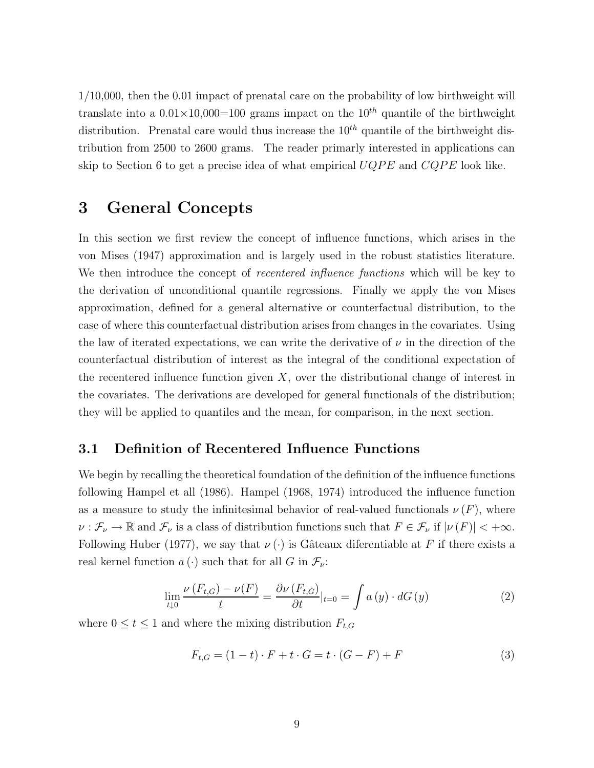1/10,000, then the 0.01 impact of prenatal care on the probability of low birthweight will translate into a  $0.01 \times 10,000=100$  grams impact on the  $10^{th}$  quantile of the birthweight distribution. Prenatal care would thus increase the  $10^{th}$  quantile of the birthweight distribution from 2500 to 2600 grams. The reader primarly interested in applications can skip to Section 6 to get a precise idea of what empirical *UQP E* and *CQP E* look like.

## **3 General Concepts**

In this section we first review the concept of influence functions, which arises in the von Mises (1947) approximation and is largely used in the robust statistics literature. We then introduce the concept of *recentered influence functions* which will be key to the derivation of unconditional quantile regressions. Finally we apply the von Mises approximation, defined for a general alternative or counterfactual distribution, to the case of where this counterfactual distribution arises from changes in the covariates. Using the law of iterated expectations, we can write the derivative of  $\nu$  in the direction of the counterfactual distribution of interest as the integral of the conditional expectation of the recentered influence function given  $X$ , over the distributional change of interest in the covariates. The derivations are developed for general functionals of the distribution; they will be applied to quantiles and the mean, for comparison, in the next section.

### **3.1 Definition of Recentered Influence Functions**

We begin by recalling the theoretical foundation of the definition of the influence functions following Hampel et all (1986). Hampel (1968, 1974) introduced the influence function as a measure to study the infinitesimal behavior of real-valued functionals  $\nu(F)$ , where  $\nu: \mathcal{F}_\nu \to \mathbb{R}$  and  $\mathcal{F}_\nu$  is a class of distribution functions such that  $F \in \mathcal{F}_\nu$  if  $|\nu(F)| < +\infty$ . Following Huber (1977), we say that  $\nu(\cdot)$  is Gâteaux diferentiable at F if there exists a real kernel function  $a(\cdot)$  such that for all *G* in  $\mathcal{F}_{\nu}$ :

$$
\lim_{t \downarrow 0} \frac{\nu(F_{t,G}) - \nu(F)}{t} = \frac{\partial \nu(F_{t,G})}{\partial t}|_{t=0} = \int a(y) \cdot dG(y) \tag{2}
$$

where  $0 \le t \le 1$  and where the mixing distribution  $F_{t,G}$ 

$$
F_{t,G} = (1 - t) \cdot F + t \cdot G = t \cdot (G - F) + F \tag{3}
$$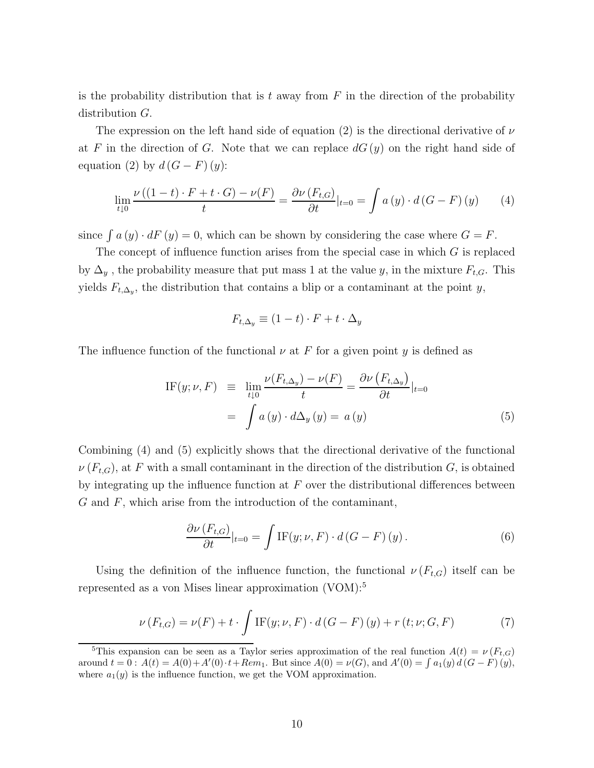is the probability distribution that is  $t$  away from  $F$  in the direction of the probability distribution *G*.

The expression on the left hand side of equation (2) is the directional derivative of *ν* at  $F$  in the direction of  $G$ . Note that we can replace  $dG(y)$  on the right hand side of equation (2) by  $d(G - F)(y)$ :

$$
\lim_{t \downarrow 0} \frac{\nu((1-t) \cdot F + t \cdot G) - \nu(F)}{t} = \frac{\partial \nu(F_{t,G})}{\partial t}|_{t=0} = \int a(y) \cdot d(G - F)(y) \tag{4}
$$

since  $\int a(y) \cdot dF(y) = 0$ , which can be shown by considering the case where  $G = F$ .

The concept of influence function arises from the special case in which *G* is replaced by  $\Delta_y$ , the probability measure that put mass 1 at the value *y*, in the mixture  $F_{t,G}$ . This yields  $F_{t,\Delta_y}$ , the distribution that contains a blip or a contaminant at the point *y*,

$$
F_{t,\Delta_y} \equiv (1-t) \cdot F + t \cdot \Delta_y
$$

The influence function of the functional  $\nu$  at F for a given point y is defined as

IF(y; 
$$
\nu
$$
, F) =  $\lim_{t \downarrow 0} \frac{\nu(F_{t,\Delta_y}) - \nu(F)}{t} = \frac{\partial \nu(F_{t,\Delta_y})}{\partial t}|_{t=0}$   
=  $\int a(y) \cdot d\Delta_y(y) = a(y)$  (5)

Combining (4) and (5) explicitly shows that the directional derivative of the functional  $\nu(F_{t,G})$ , at *F* with a small contaminant in the direction of the distribution *G*, is obtained by integrating up the influence function at *F* over the distributional differences between *G* and *F*, which arise from the introduction of the contaminant,

$$
\frac{\partial \nu(F_{t,G})}{\partial t}|_{t=0} = \int \text{IF}(y;\nu,F) \cdot d(G - F)(y). \tag{6}
$$

Using the definition of the influence function, the functional  $\nu(F_{t,G})$  itself can be represented as a von Mises linear approximation  $(VOM):$ <sup>5</sup>

$$
\nu(F_{t,G}) = \nu(F) + t \cdot \int \text{IF}(y; \nu, F) \cdot d(G - F)(y) + r(t; \nu; G, F) \tag{7}
$$

<sup>&</sup>lt;sup>5</sup>This expansion can be seen as a Taylor series approximation of the real function  $A(t) = \nu(F_{t,G})$  $\alpha$  around  $t = 0$ :  $A(t) = A(0) + A'(0) \cdot t + Rem_1$ . But since  $A(0) = \nu(G)$ , and  $A'(0) = \int a_1(y) d(G - F)(y)$ , where  $a_1(y)$  is the influence function, we get the VOM approximation.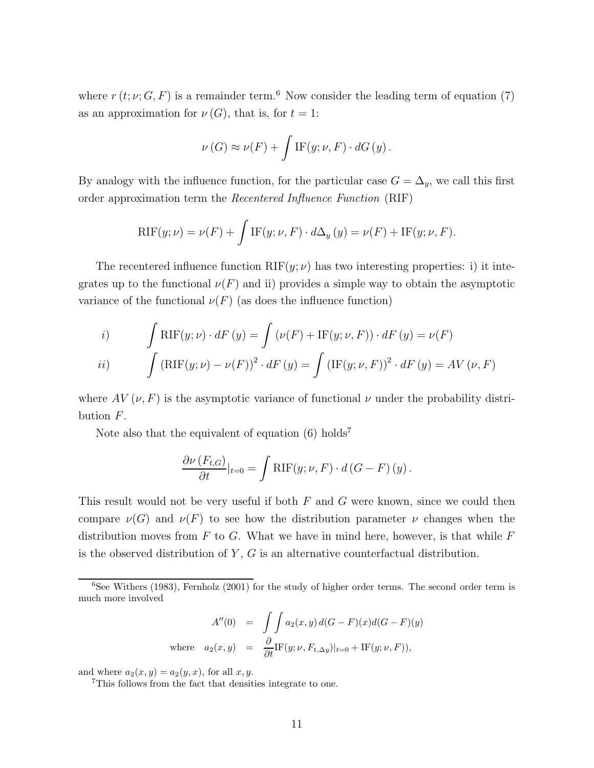where  $r(t; \nu; G, F)$  is a remainder term.<sup>6</sup> Now consider the leading term of equation (7) as an approximation for  $\nu(G)$ , that is, for  $t = 1$ :

$$
\nu(G) \approx \nu(F) + \int \text{IF}(y; \nu, F) \cdot dG(y).
$$

By analogy with the influence function, for the particular case  $G = \Delta_y$ , we call this first order approximation term the *Recentered Influence Function* (RIF)

$$
RIF(y; \nu) = \nu(F) + \int IF(y; \nu, F) \cdot d\Delta_y(y) = \nu(F) + IF(y; \nu, F).
$$

The recentered influence function  $RIF(y; \nu)$  has two interesting properties: i) it integrates up to the functional  $\nu(F)$  and ii) provides a simple way to obtain the asymptotic variance of the functional  $\nu(F)$  (as does the influence function)

$$
(i) \qquad \int \text{RIF}(y; \nu) \cdot dF(y) = \int (\nu(F) + \text{IF}(y; \nu, F)) \cdot dF(y) = \nu(F)
$$
  

$$
(ii) \qquad \int (\text{RIF}(y; \nu) - \nu(F))^2 \cdot dF(y) = \int (\text{IF}(y; \nu, F))^2 \cdot dF(y) = AV(\nu, F)
$$

where  $AV(\nu, F)$  is the asymptotic variance of functional  $\nu$  under the probability distribution *F*.

Note also that the equivalent of equation  $(6)$  holds<sup>7</sup>

$$
\frac{\partial \nu(F_{t,G})}{\partial t}|_{t=0} = \int \mathrm{RIF}(y;\nu,F) \cdot d(G - F)(y).
$$

This result would not be very useful if both *F* and *G* were known, since we could then compare  $\nu(G)$  and  $\nu(F)$  to see how the distribution parameter  $\nu$  changes when the distribution moves from *F* to *G*. What we have in mind here, however, is that while *F* is the observed distribution of *Y* , *G* is an alternative counterfactual distribution.

$$
A''(0) = \int \int a_2(x, y) d(G - F)(x) d(G - F)(y)
$$
  
where  $a_2(x, y) = \frac{\partial}{\partial t} \text{IF}(y; \nu, F_{t, \Delta y})|_{t=0} + \text{IF}(y; \nu, F)),$ 

and where  $a_2(x, y) = a_2(y, x)$ , for all  $x, y$ .<br><sup>7</sup>This follows from the fact that densities integrate to one.

<sup>&</sup>lt;sup>6</sup>See Withers (1983), Fernholz (2001) for the study of higher order terms. The second order term is much more involved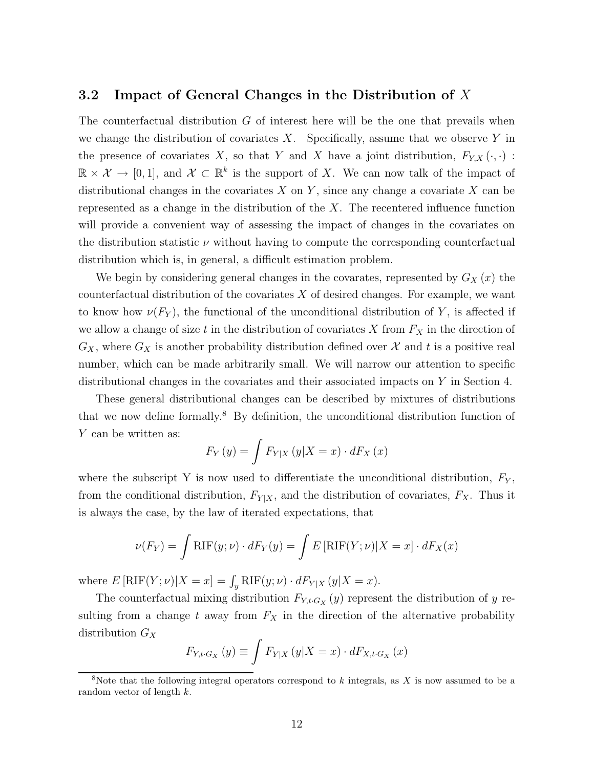### **3.2 Impact of General Changes in the Distribution of** *X*

The counterfactual distribution *G* of interest here will be the one that prevails when we change the distribution of covariates *X*. Specifically, assume that we observe *Y* in the presence of covariates *X*, so that *Y* and *X* have a joint distribution,  $F_{Y,X}(\cdot, \cdot)$ :  $\mathbb{R} \times \mathcal{X} \to [0,1],$  and  $\mathcal{X} \subset \mathbb{R}^k$  is the support of X. We can now talk of the impact of distributional changes in the covariates *X* on *Y* , since any change a covariate *X* can be represented as a change in the distribution of the *X*. The recentered influence function will provide a convenient way of assessing the impact of changes in the covariates on the distribution statistic *ν* without having to compute the corresponding counterfactual distribution which is, in general, a difficult estimation problem.

We begin by considering general changes in the covarates, represented by  $G_X(x)$  the counterfactual distribution of the covariates *X* of desired changes. For example, we want to know how  $\nu(F_Y)$ , the functional of the unconditional distribution of Y, is affected if we allow a change of size  $t$  in the distribution of covariates  $X$  from  $F_X$  in the direction of  $G_X$ , where  $G_X$  is another probability distribution defined over  $\mathcal X$  and  $t$  is a positive real number, which can be made arbitrarily small. We will narrow our attention to specific distributional changes in the covariates and their associated impacts on *Y* in Section 4.

These general distributional changes can be described by mixtures of distributions that we now define formally.<sup>8</sup> By definition, the unconditional distribution function of *Y* can be written as:

$$
F_{Y}\left(y\right)=\int F_{Y|X}\left(y|X=x\right)\cdot dF_{X}\left(x\right)
$$

where the subscript Y is now used to differentiate the unconditional distribution,  $F_Y$ , from the conditional distribution,  $F_{Y|X}$ , and the distribution of covariates,  $F_X$ . Thus it is always the case, by the law of iterated expectations, that

$$
\nu(F_Y) = \int \text{RIF}(y; \nu) \cdot dF_Y(y) = \int E[\text{RIF}(Y; \nu)|X = x] \cdot dF_X(x)
$$

where  $E\left[\text{RIF}(Y; \nu)|X = x\right] = \int_{y} \text{RIF}(y; \nu) \cdot dF_{Y|X}(y|X = x).$ 

The counterfactual mixing distribution  $F_{Y,t\cdot G_X}(y)$  represent the distribution of *y* resulting from a change  $t$  away from  $F_X$  in the direction of the alternative probability distribution  $G_X$ 

$$
F_{Y,t\cdot G_X}\left(y\right) \equiv \int F_{Y|X}\left(y\middle|X=x\right) \cdot dF_{X,t\cdot G_X}\left(x\right)
$$

<sup>8</sup>Note that the following integral operators correspond to *k* integrals, as *X* is now assumed to be a random vector of length *k*.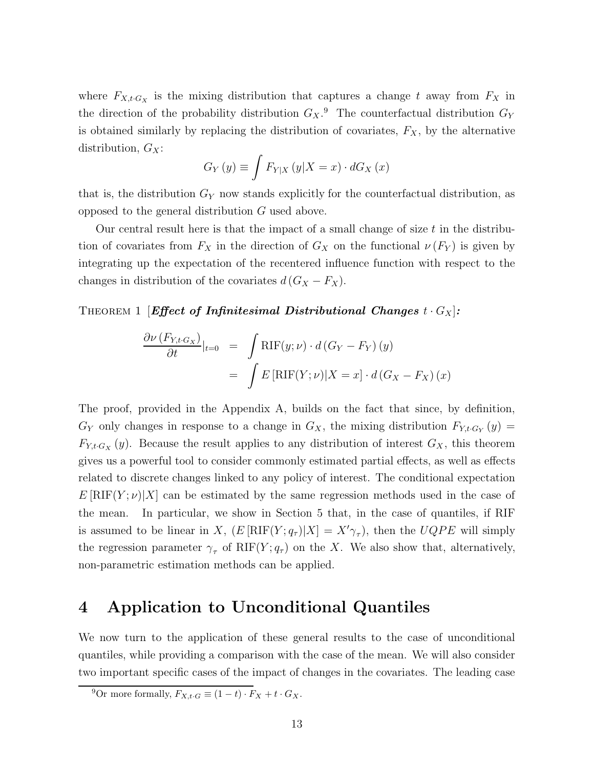where  $F_{X,t\cdot G_X}$  is the mixing distribution that captures a change  $t$  away from  $F_X$  in the direction of the probability distribution  $G_X$ <sup>9</sup>. The counterfactual distribution  $G_Y$ is obtained similarly by replacing the distribution of covariates,  $F_X$ , by the alternative distribution,  $G_X$ :

$$
G_Y(y) \equiv \int F_{Y|X}(y|X=x) \cdot dG_X(x)
$$

that is, the distribution  $G_Y$  now stands explicitly for the counterfactual distribution, as opposed to the general distribution *G* used above.

Our central result here is that the impact of a small change of size *t* in the distribution of covariates from  $F_X$  in the direction of  $G_X$  on the functional  $\nu(F_Y)$  is given by integrating up the expectation of the recentered influence function with respect to the changes in distribution of the covariates  $d(G_X - F_X)$ .

THEOREM 1 [*Effect of Infinitesimal Distributional Changes*  $t \cdot G_X$ ]:

$$
\frac{\partial \nu (F_{Y,t \cdot G_X})}{\partial t}|_{t=0} = \int \text{RIF}(y; \nu) \cdot d(G_Y - F_Y)(y)
$$

$$
= \int E[\text{RIF}(Y; \nu)|X = x] \cdot d(G_X - F_X)(x)
$$

The proof, provided in the Appendix A, builds on the fact that since, by definition,  $G_Y$  only changes in response to a change in  $G_X$ , the mixing distribution  $F_{Y,t\cdot G_Y}(y)$  $F_{Y,t\cdot G_X}(y)$ . Because the result applies to any distribution of interest  $G_X$ , this theorem gives us a powerful tool to consider commonly estimated partial effects, as well as effects related to discrete changes linked to any policy of interest. The conditional expectation  $E[\text{RIF}(Y; \nu)|X]$  can be estimated by the same regression methods used in the case of the mean. In particular, we show in Section 5 that, in the case of quantiles, if RIF is assumed to be linear in *X*,  $(E[\text{RIF}(Y; q_{\tau})|X] = X'\gamma_{\tau})$ , then the *UQPE* will simply the regression parameter  $\gamma_{\tau}$  of RIF(*Y*;  $q_{\tau}$ ) on the *X*. We also show that, alternatively, non-parametric estimation methods can be applied.

## **4 Application to Unconditional Quantiles**

We now turn to the application of these general results to the case of unconditional quantiles, while providing a comparison with the case of the mean. We will also consider two important specific cases of the impact of changes in the covariates. The leading case

<sup>&</sup>lt;sup>9</sup>Or more formally,  $F_{X,t\cdot G} \equiv (1-t) \cdot F_X + t \cdot G_X$ .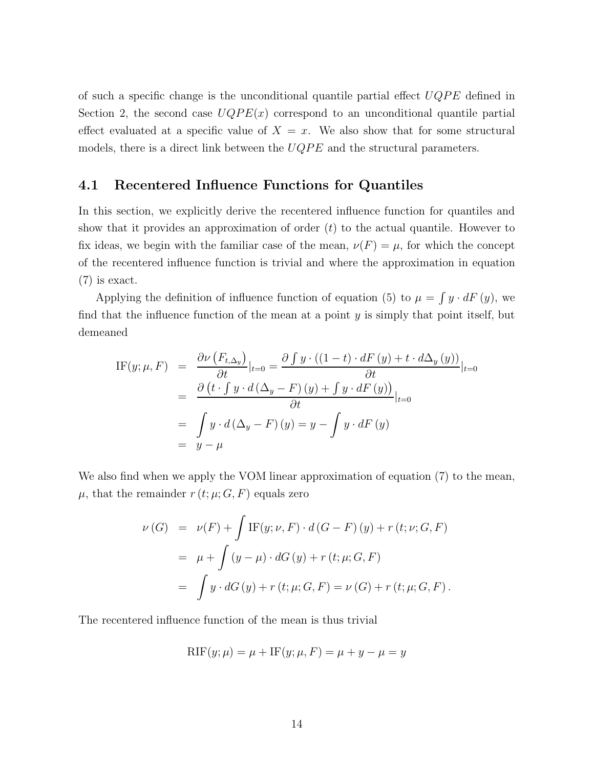of such a specific change is the unconditional quantile partial effect *UQP E* defined in Section 2, the second case  $UQPE(x)$  correspond to an unconditional quantile partial effect evaluated at a specific value of  $X = x$ . We also show that for some structural models, there is a direct link between the  $UQPE$  and the structural parameters.

#### **4.1 Recentered Influence Functions for Quantiles**

In this section, we explicitly derive the recentered influence function for quantiles and show that it provides an approximation of order (*t*) to the actual quantile. However to fix ideas, we begin with the familiar case of the mean,  $\nu(F) = \mu$ , for which the concept of the recentered influence function is trivial and where the approximation in equation (7) is exact.

Applying the definition of influence function of equation (5) to  $\mu = \int y \cdot dF(y)$ , we find that the influence function of the mean at a point *y* is simply that point itself, but demeaned

IF(y; 
$$
\mu
$$
, F) = 
$$
\frac{\partial \nu (F_{t,\Delta_y})}{\partial t}|_{t=0} = \frac{\partial \int y \cdot ((1-t) \cdot dF(y) + t \cdot d\Delta_y(y))}{\partial t}|_{t=0}
$$
  
= 
$$
\frac{\partial (t \cdot \int y \cdot d(\Delta_y - F)(y) + \int y \cdot dF(y))}{\partial t}|_{t=0}
$$
  
= 
$$
\int y \cdot d(\Delta_y - F)(y) = y - \int y \cdot dF(y)
$$
  
= 
$$
y - \mu
$$

We also find when we apply the VOM linear approximation of equation (7) to the mean,  $\mu$ , that the remainder  $r(t; \mu; G, F)$  equals zero

$$
\nu(G) = \nu(F) + \int \text{IF}(y; \nu, F) \cdot d(G - F)(y) + r(t; \nu; G, F)
$$
  
=  $\mu + \int (y - \mu) \cdot dG(y) + r(t; \mu; G, F)$   
=  $\int y \cdot dG(y) + r(t; \mu; G, F) = \nu(G) + r(t; \mu; G, F).$ 

The recentered influence function of the mean is thus trivial

$$
RIF(y; \mu) = \mu + IF(y; \mu, F) = \mu + y - \mu = y
$$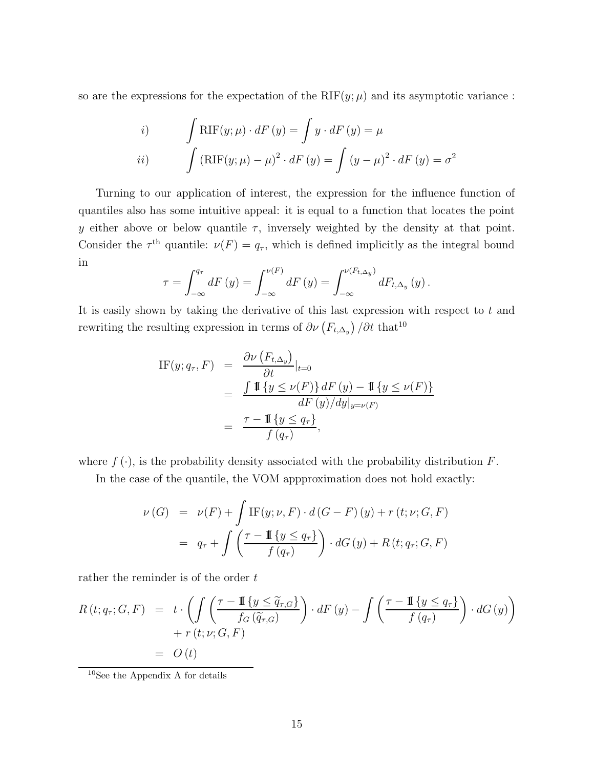so are the expressions for the expectation of the  $RIF(y; \mu)$  and its asymptotic variance:

*i*) 
$$
\int \text{RIF}(y; \mu) \cdot dF(y) = \int y \cdot dF(y) = \mu
$$
  
*ii*) 
$$
\int (\text{RIF}(y; \mu) - \mu)^2 \cdot dF(y) = \int (y - \mu)^2 \cdot dF(y) = \sigma^2
$$

Turning to our application of interest, the expression for the influence function of quantiles also has some intuitive appeal: it is equal to a function that locates the point *y* either above or below quantile  $\tau$ , inversely weighted by the density at that point. Consider the  $\tau^{\text{th}}$  quantile:  $\nu(F) = q_{\tau}$ , which is defined implicitly as the integral bound in

$$
\tau = \int_{-\infty}^{q_{\tau}} dF(y) = \int_{-\infty}^{\nu(F)} dF(y) = \int_{-\infty}^{\nu(F_{t,\Delta_y})} dF_{t,\Delta_y}(y).
$$

It is easily shown by taking the derivative of this last expression with respect to *t* and rewriting the resulting expression in terms of  $\partial \nu (F_{t,\Delta_y}) / \partial t$  that<sup>10</sup>

IF(y; 
$$
q_{\tau}
$$
, F) = 
$$
\frac{\partial \nu (F_{t,\Delta_y})}{\partial t}|_{t=0}
$$
  
= 
$$
\frac{\int \mathbb{I} \{y \leq \nu(F)\} dF(y) - \mathbb{I} \{y \leq \nu(F)\}}{dF(y)/dy|_{y=\nu(F)}}
$$
  
= 
$$
\frac{\tau - \mathbb{I} \{y \leq q_{\tau}\}}{f(q_{\tau})},
$$

where  $f(\cdot)$ , is the probability density associated with the probability distribution  $F$ .

In the case of the quantile, the VOM appproximation does not hold exactly:

$$
\nu(G) = \nu(F) + \int \text{IF}(y; \nu, F) \cdot d(G - F)(y) + r(t; \nu; G, F)
$$

$$
= q_{\tau} + \int \left( \frac{\tau - \mathbb{I} \{ y \le q_{\tau} \}}{f(q_{\tau})} \right) \cdot dG(y) + R(t; q_{\tau}; G, F)
$$

rather the reminder is of the order *t*

$$
R(t; q_{\tau}; G, F) = t \cdot \left( \int \left( \frac{\tau - \mathbb{I} \{ y \le \widetilde{q}_{\tau, G} \}}{f_G(\widetilde{q}_{\tau, G})} \right) \cdot dF(y) - \int \left( \frac{\tau - \mathbb{I} \{ y \le q_{\tau} \}}{f(q_{\tau})} \right) \cdot dG(y) \right) + r(t; \nu; G, F) = O(t)
$$

 $10$ See the Appendix A for details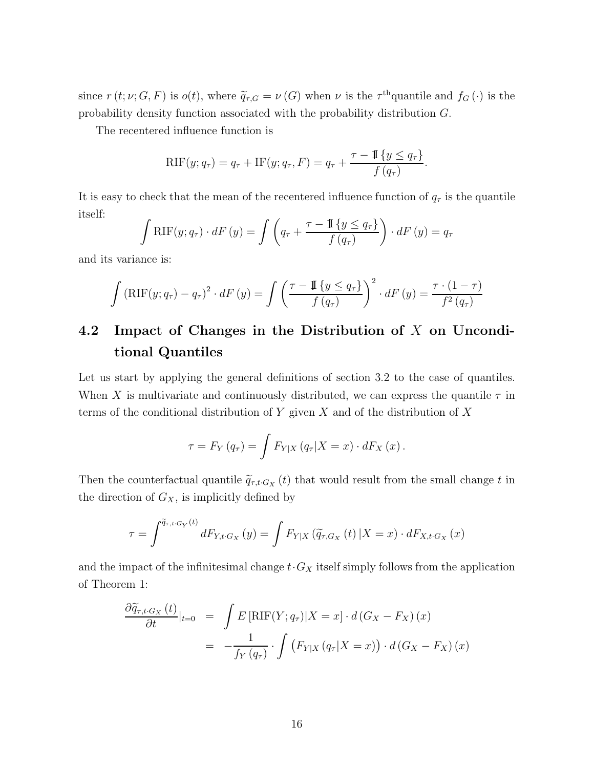since  $r(t; \nu; G, F)$  is  $o(t)$ , where  $\tilde{q}_{\tau,G} = \nu(G)$  when  $\nu$  is the  $\tau^{\text{th}}$ quantile and  $f_G(\cdot)$  is the probability density function associated with the probability distribution *G*.

The recentered influence function is

$$
RIF(y; q\tau) = q\tau + IF(y; q\tau, F) = q\tau + \frac{\tau - \mathbb{I}\{y \leq q_{\tau}\}}{f(q_{\tau})}.
$$

It is easy to check that the mean of the recentered influence function of  $q<sub>\tau</sub>$  is the quantile itself:

$$
\int RIF(y; q_{\tau}) \cdot dF(y) = \int \left( q_{\tau} + \frac{\tau - \mathbb{1}\{y \le q_{\tau}\}}{f(q_{\tau})} \right) \cdot dF(y) = q_{\tau}
$$

and its variance is:

$$
\int \left( RIF(y; q_{\tau}) - q_{\tau} \right)^2 \cdot dF(y) = \int \left( \frac{\tau - \mathbb{1} \{ y \le q_{\tau} \}}{f(q_{\tau})} \right)^2 \cdot dF(y) = \frac{\tau \cdot (1 - \tau)}{f^2(q_{\tau})}
$$

# **4.2 Impact of Changes in the Distribution of** *X* **on Unconditional Quantiles**

Let us start by applying the general definitions of section 3.2 to the case of quantiles. When *X* is multivariate and continuously distributed, we can express the quantile  $\tau$  in terms of the conditional distribution of *Y* given *X* and of the distribution of *X*

$$
\tau = F_Y(q_\tau) = \int F_{Y|X} (q_\tau | X = x) \cdot dF_X(x).
$$

Then the counterfactual quantile  $\tilde{q}_{\tau,t\cdot G_X}(t)$  that would result from the small change *t* in the direction of  $G_X$ , is implicitly defined by

$$
\tau = \int^{\widetilde{q}_{\tau,t\cdot G_Y}(t)} dF_{Y,t\cdot G_X}\left(y\right) = \int F_{Y|X}\left(\widetilde{q}_{\tau,G_X}\left(t\right)|X=x\right) \cdot dF_{X,t\cdot G_X}\left(x\right)
$$

and the impact of the infinitesimal change  $t \cdot G_X$  itself simply follows from the application of Theorem 1:

$$
\frac{\partial \widetilde{q}_{\tau,t \cdot G_X} (t)}{\partial t}|_{t=0} = \int E \left[ \text{RIF}(Y; q_\tau) | X = x \right] \cdot d \left( G_X - F_X \right)(x)
$$

$$
= -\frac{1}{f_Y(q_\tau)} \cdot \int \left( F_{Y|X} \left( q_\tau | X = x \right) \right) \cdot d \left( G_X - F_X \right)(x)
$$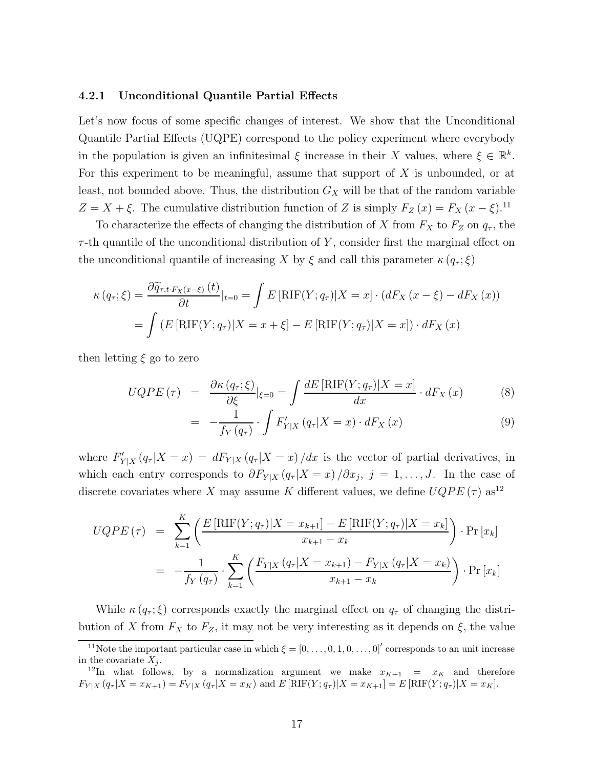#### **4.2.1 Unconditional Quantile Partial Effects**

Let's now focus of some specific changes of interest. We show that the Unconditional Quantile Partial Effects (UQPE) correspond to the policy experiment where everybody in the population is given an infinitesimal  $\xi$  increase in their *X* values, where  $\xi \in \mathbb{R}^k$ . For this experiment to be meaningful, assume that support of *X* is unbounded, or at least, not bounded above. Thus, the distribution  $G_X$  will be that of the random variable  $Z = X + \xi$ . The cumulative distribution function of *Z* is simply  $F_Z(x) = F_X(x - \xi)$ .<sup>11</sup>

To characterize the effects of changing the distribution of X from  $F_X$  to  $F_Z$  on  $q_\tau$ , the *τ* -th quantile of the unconditional distribution of *Y* , consider first the marginal effect on the unconditional quantile of increasing *X* by  $\xi$  and call this parameter  $\kappa(q_{\tau}; \xi)$ 

$$
\kappa(q_{\tau};\xi) = \frac{\partial \widetilde{q}_{\tau,t \cdot F_X(x-\xi)}(t)}{\partial t}|_{t=0} = \int E\left[\mathrm{RIF}(Y; q_{\tau}) | X = x\right] \cdot (dF_X(x-\xi) - dF_X(x))
$$

$$
= \int \left(E\left[\mathrm{RIF}(Y; q_{\tau}) | X = x+\xi\right] - E\left[\mathrm{RIF}(Y; q_{\tau}) | X = x\right]\right) \cdot dF_X(x)
$$

then letting *ξ* go to zero

$$
UQPE(\tau) = \frac{\partial \kappa (q_{\tau}; \xi)}{\partial \xi}|_{\xi=0} = \int \frac{dE \left[ \text{RIF}(Y; q_{\tau}) | X = x \right]}{dx} \cdot dF_X(x) \tag{8}
$$

$$
= -\frac{1}{f_Y(q_\tau)} \cdot \int F'_{Y|X} (q_\tau | X = x) \cdot dF_X(x) \tag{9}
$$

where  $F'_{Y|X}(q_{\tau}|X=x) = dF_{Y|X}(q_{\tau}|X=x)/dx$  is the vector of partial derivatives, in which each entry corresponds to  $\partial F_{Y|X}(q_\tau | X = x) / \partial x_j$ ,  $j = 1, \ldots, J$ . In the case of discrete covariates where *X* may assume *K* different values, we define  $UQPE(\tau)$  as<sup>12</sup>

$$
UQPE(\tau) = \sum_{k=1}^{K} \left( \frac{E[\text{RIF}(Y; q_{\tau})|X = x_{k+1}] - E[\text{RIF}(Y; q_{\tau})|X = x_k]}{x_{k+1} - x_k} \right) \cdot \Pr[x_k]
$$
  
= 
$$
-\frac{1}{f_Y(q_{\tau})} \cdot \sum_{k=1}^{K} \left( \frac{F_{Y|X}(q_{\tau}|X = x_{k+1}) - F_{Y|X}(q_{\tau}|X = x_k)}{x_{k+1} - x_k} \right) \cdot \Pr[x_k]
$$

While  $\kappa(q_{\tau}; \xi)$  corresponds exactly the marginal effect on  $q_{\tau}$  of changing the distribution of X from  $F_X$  to  $F_Z$ , it may not be very interesting as it depends on  $\xi$ , the value

<sup>&</sup>lt;sup>11</sup>Note the important particular case in which  $\xi = [0, \ldots, 0, 1, 0, \ldots, 0]$  corresponds to an unit increase in the covariate  $X_j$ .<br><sup>12</sup>In what follows, by a normalization argument we make  $x_{K+1} = x_K$  and therefore

 $F_{Y|X}(q_{\tau}|X=x_{K+1})=F_{Y|X}(q_{\tau}|X=x_K)$  and  $E[\text{RIF}(Y;q_{\tau})|X=x_{K+1}]=E[\text{RIF}(Y;q_{\tau})|X=x_K].$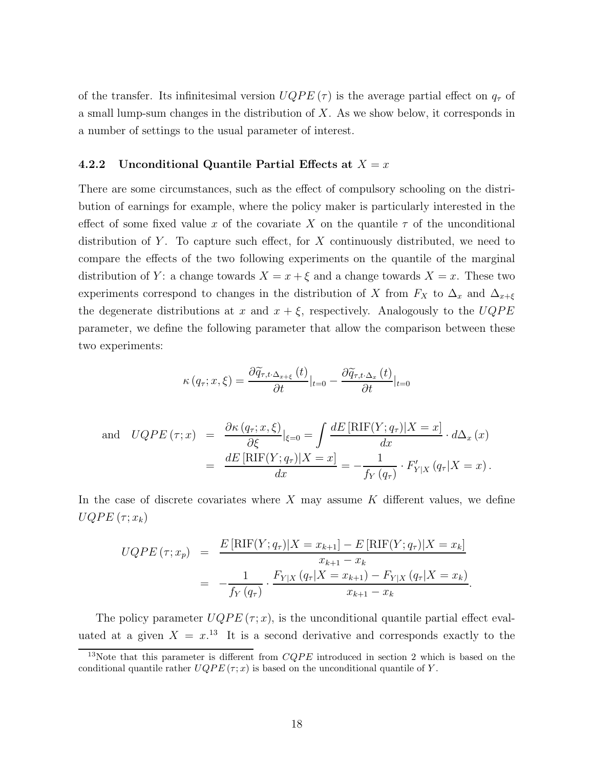of the transfer. Its infinitesimal version  $UQPE(\tau)$  is the average partial effect on  $q_{\tau}$  of a small lump-sum changes in the distribution of *X*. As we show below, it corresponds in a number of settings to the usual parameter of interest.

#### **4.2.2 Unconditional Quantile Partial Effects at** *X* = *x*

There are some circumstances, such as the effect of compulsory schooling on the distribution of earnings for example, where the policy maker is particularly interested in the effect of some fixed value x of the covariate X on the quantile  $\tau$  of the unconditional distribution of *Y* . To capture such effect, for *X* continuously distributed, we need to compare the effects of the two following experiments on the quantile of the marginal distribution of *Y*: a change towards  $X = x + \xi$  and a change towards  $X = x$ . These two experiments correspond to changes in the distribution of *X* from  $F_X$  to  $\Delta_x$  and  $\Delta_{x+\xi}$ the degenerate distributions at *x* and  $x + \xi$ , respectively. Analogously to the  $UQPE$ parameter, we define the following parameter that allow the comparison between these two experiments:

$$
\kappa(q_{\tau}; x, \xi) = \frac{\partial \widetilde{q}_{\tau, t \cdot \Delta_{x + \xi}}(t)}{\partial t}|_{t = 0} - \frac{\partial \widetilde{q}_{\tau, t \cdot \Delta_x}(t)}{\partial t}|_{t = 0}
$$

and 
$$
UQPE(\tau; x) = \frac{\partial \kappa (q_\tau; x, \xi)}{\partial \xi} |_{\xi=0} = \int \frac{dE \left[ RIF(Y; q_\tau) | X = x \right]}{dx} \cdot d\Delta_x(x)
$$
  

$$
= \frac{dE \left[ RIF(Y; q_\tau) | X = x \right]}{dx} = -\frac{1}{f_Y(q_\tau)} \cdot F'_{Y|X}(q_\tau | X = x).
$$

In the case of discrete covariates where *X* may assume *K* different values, we define  $UQPE(\tau; x_k)$ 

$$
UQPE(\tau; x_p) = \frac{E[\text{RIF}(Y; q_\tau)|X = x_{k+1}] - E[\text{RIF}(Y; q_\tau)|X = x_k]}{x_{k+1} - x_k}
$$
  
= 
$$
-\frac{1}{f_Y(q_\tau)} \cdot \frac{F_{Y|X}(q_\tau|X = x_{k+1}) - F_{Y|X}(q_\tau|X = x_k)}{x_{k+1} - x_k}.
$$

The policy parameter  $UQPE(\tau; x)$ , is the unconditional quantile partial effect evaluated at a given  $X = x<sup>13</sup>$  It is a second derivative and corresponds exactly to the

<sup>&</sup>lt;sup>13</sup>Note that this parameter is different from *CQPE* introduced in section 2 which is based on the conditional quantile rather  $UQPE(\tau; x)$  is based on the unconditional quantile of *Y*.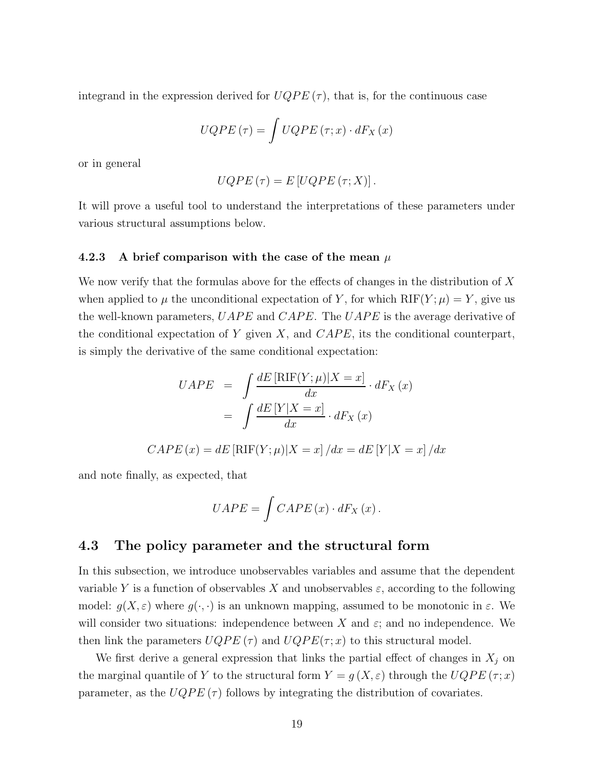integrand in the expression derived for  $UQPE(\tau)$ , that is, for the continuous case

$$
UQPE(\tau)=\int UQPE(\tau;x)\cdot dF_X\left(x\right)
$$

or in general

$$
UQPE(\tau) = E[UQPE(\tau; X)].
$$

It will prove a useful tool to understand the interpretations of these parameters under various structural assumptions below.

#### **4.2.3 A brief comparison with the case of the mean** *µ*

We now verify that the formulas above for the effects of changes in the distribution of *X* when applied to  $\mu$  the unconditional expectation of Y, for which  $RIF(Y; \mu) = Y$ , give us the well-known parameters, *UAPE* and *CAPE*. The *UAPE* is the average derivative of the conditional expectation of  $Y$  given  $X$ , and  $CAPE$ , its the conditional counterpart, is simply the derivative of the same conditional expectation:

$$
UAPE = \int \frac{dE \left[\text{RIF}(Y; \mu)|X = x\right]}{dx} \cdot dF_X(x)
$$

$$
= \int \frac{dE \left[Y|X = x\right]}{dx} \cdot dF_X(x)
$$

$$
CAPE(x) = dE \left[\text{RIF}(Y; \mu)|X = x\right] / dx = dE \left[Y|X = x\right] / dx
$$

and note finally, as expected, that

$$
UAPE = \int CAPE(x) \cdot dF_X(x).
$$

### **4.3 The policy parameter and the structural form**

In this subsection, we introduce unobservables variables and assume that the dependent variable *Y* is a function of observables *X* and unobservables  $\varepsilon$ , according to the following model:  $g(X, \varepsilon)$  where  $g(\cdot, \cdot)$  is an unknown mapping, assumed to be monotonic in  $\varepsilon$ . We will consider two situations: independence between *X* and  $\varepsilon$ ; and no independence. We then link the parameters  $UQPE(\tau)$  and  $UQPE(\tau; x)$  to this structural model.

We first derive a general expression that links the partial effect of changes in  $X_j$  on the marginal quantile of *Y* to the structural form  $Y = g(X, \varepsilon)$  through the  $UQPE(\tau; x)$ parameter, as the  $UQPE(\tau)$  follows by integrating the distribution of covariates.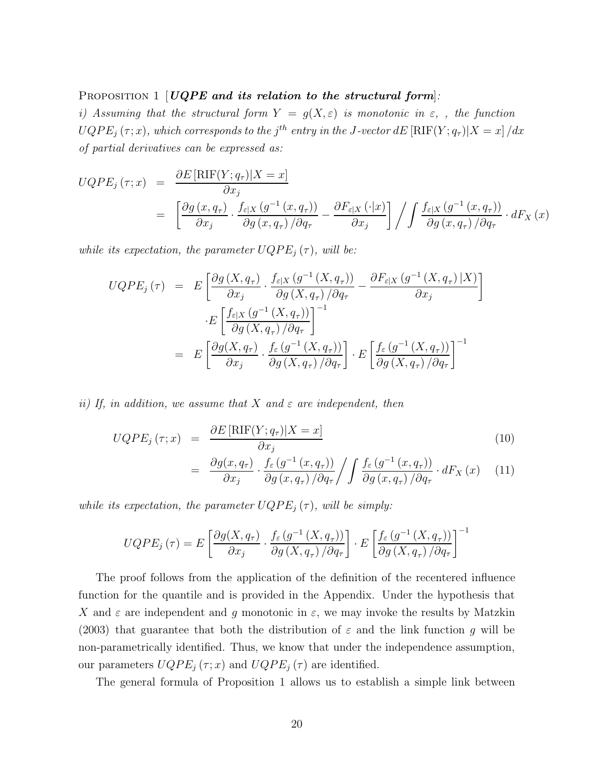#### Proposition 1 [*UQPE and its relation to the structural form*]*:*

*i)* Assuming that the structural form  $Y = g(X, \varepsilon)$  is monotonic in  $\varepsilon$ , , the function  $UQPE_j(\tau; x)$ *, which corresponds to the*  $j^{th}$  *entry in the J-vector*  $dE\left[\text{RIF}(Y; q_\tau)|X=x\right]$  */dx of partial derivatives can be expressed as:*

$$
UQPE_j(\tau; x) = \frac{\partial E[\text{RIF}(Y; q_\tau)|X = x]}{\partial x_j}
$$
  
= 
$$
\left[ \frac{\partial g(x, q_\tau)}{\partial x_j} \cdot \frac{f_{\varepsilon|X}(g^{-1}(x, q_\tau))}{\partial g(x, q_\tau)/\partial q_\tau} - \frac{\partial F_{\varepsilon|X}(\cdot|x)}{\partial x_j} \right] / \int \frac{f_{\varepsilon|X}(g^{-1}(x, q_\tau))}{\partial g(x, q_\tau)/\partial q_\tau} \cdot dF_X(x)
$$

*while its expectation, the parameter*  $UQPE_j(\tau)$ *, will be:* 

$$
UQPE_j(\tau) = E\left[\frac{\partial g(X, q_\tau)}{\partial x_j} \cdot \frac{f_{\varepsilon|X}(g^{-1}(X, q_\tau))}{\partial g(X, q_\tau)/\partial q_\tau} - \frac{\partial F_{\varepsilon|X}(g^{-1}(X, q_\tau)|X)}{\partial x_j}\right]
$$

$$
\cdot E\left[\frac{f_{\varepsilon|X}(g^{-1}(X, q_\tau))}{\partial g(X, q_\tau)/\partial q_\tau}\right]^{-1}
$$

$$
= E\left[\frac{\partial g(X, q_\tau)}{\partial x_j} \cdot \frac{f_{\varepsilon}(g^{-1}(X, q_\tau))}{\partial g(X, q_\tau)/\partial q_\tau}\right] \cdot E\left[\frac{f_{\varepsilon}(g^{-1}(X, q_\tau))}{\partial g(X, q_\tau)/\partial q_\tau}\right]^{-1}
$$

*ii) If, in addition, we assume that X and ε are independent, then*

$$
UQPE_j(\tau; x) = \frac{\partial E[\text{RIF}(Y; q_\tau) | X = x]}{\partial x_j}
$$
  
= 
$$
\frac{\partial g(x, q_\tau)}{\partial x_j} \cdot \frac{f_\varepsilon(g^{-1}(x, q_\tau))}{\partial g(x, q_\tau)/\partial q_\tau} / \int \frac{f_\varepsilon(g^{-1}(x, q_\tau))}{\partial g(x, q_\tau)/\partial q_\tau} \cdot dF_X(x)
$$
 (11)

*while its expectation, the parameter*  $UQPE_j(\tau)$ *, will be simply:* 

$$
UQPE_j(\tau) = E\left[\frac{\partial g(X, q_\tau)}{\partial x_j} \cdot \frac{f_\varepsilon(g^{-1}(X, q_\tau))}{\partial g(X, q_\tau)/\partial q_\tau}\right] \cdot E\left[\frac{f_\varepsilon(g^{-1}(X, q_\tau))}{\partial g(X, q_\tau)/\partial q_\tau}\right]^{-1}
$$

The proof follows from the application of the definition of the recentered influence function for the quantile and is provided in the Appendix. Under the hypothesis that *X* and  $\varepsilon$  are independent and *g* monotonic in  $\varepsilon$ , we may invoke the results by Matzkin (2003) that guarantee that both the distribution of  $\varepsilon$  and the link function q will be non-parametrically identified. Thus, we know that under the independence assumption, our parameters  $UQPE_j(\tau; x)$  and  $UQPE_j(\tau)$  are identified.

The general formula of Proposition 1 allows us to establish a simple link between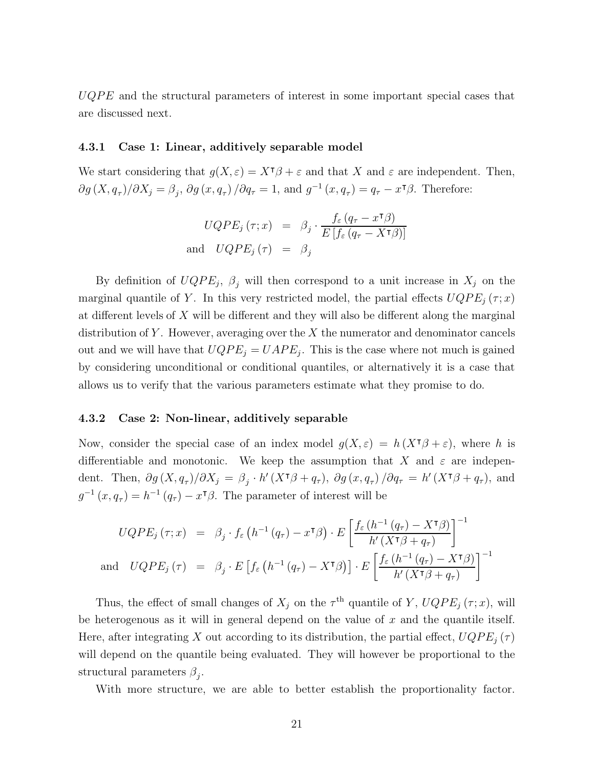*UQP E* and the structural parameters of interest in some important special cases that are discussed next.

#### **4.3.1 Case 1: Linear, additively separable model**

We start considering that  $g(X, \varepsilon) = X^{\dagger} \beta + \varepsilon$  and that X and  $\varepsilon$  are independent. Then,  $\partial g(X, q_{\tau})/\partial X_j = \beta_j$ ,  $\partial g(x, q_{\tau})/\partial q_{\tau} = 1$ , and  $g^{-1}(x, q_{\tau}) = q_{\tau} - x^{\tau}\beta$ . Therefore:

$$
UQPE_j(\tau; x) = \beta_j \cdot \frac{f_{\varepsilon} (q_{\tau} - x^{\tau} \beta)}{E [f_{\varepsilon} (q_{\tau} - X^{\tau} \beta)]}
$$
  
and 
$$
UQPE_j(\tau) = \beta_j
$$

By definition of  $UQPE_j$ ,  $\beta_j$  will then correspond to a unit increase in  $X_j$  on the marginal quantile of *Y*. In this very restricted model, the partial effects  $UQPE_i(\tau; x)$ at different levels of *X* will be different and they will also be different along the marginal distribution of *Y* . However, averaging over the *X* the numerator and denominator cancels out and we will have that  $UQPE_j = UAPE_j$ . This is the case where not much is gained by considering unconditional or conditional quantiles, or alternatively it is a case that allows us to verify that the various parameters estimate what they promise to do.

#### **4.3.2 Case 2: Non-linear, additively separable**

Now, consider the special case of an index model  $g(X, \varepsilon) = h(X^{\dagger}\beta + \varepsilon)$ , where h is differentiable and monotonic. We keep the assumption that *X* and  $\varepsilon$  are independent. Then,  $\partial g(X, q_{\tau})/\partial X_j = \beta_j \cdot h'(X^{\tau}\beta + q_{\tau}), \ \partial g(x, q_{\tau})/\partial q_{\tau} = h'(X^{\tau}\beta + q_{\tau}),$  and  $g^{-1}(x, q_\tau) = h^{-1}(q_\tau) - x^\intercal \beta$ . The parameter of interest will be

$$
UQPE_j(\tau; x) = \beta_j \cdot f_{\varepsilon} \left( h^{-1} (q_{\tau}) - x^{\mathsf{T}} \beta \right) \cdot E \left[ \frac{f_{\varepsilon} \left( h^{-1} (q_{\tau}) - X^{\mathsf{T}} \beta \right)}{h' (X^{\mathsf{T}} \beta + q_{\tau})} \right]^{-1}
$$
  
and 
$$
UQPE_j(\tau) = \beta_j \cdot E \left[ f_{\varepsilon} \left( h^{-1} (q_{\tau}) - X^{\mathsf{T}} \beta \right) \right] \cdot E \left[ \frac{f_{\varepsilon} \left( h^{-1} (q_{\tau}) - X^{\mathsf{T}} \beta \right)}{h' (X^{\mathsf{T}} \beta + q_{\tau})} \right]^{-1}
$$

Thus, the effect of small changes of  $X_j$  on the  $\tau$ <sup>th</sup> quantile of *Y*,  $UQPE_j(\tau; x)$ , will be heterogenous as it will in general depend on the value of *x* and the quantile itself. Here, after integrating *X* out according to its distribution, the partial effect,  $UQPE_j(\tau)$ will depend on the quantile being evaluated. They will however be proportional to the structural parameters  $\beta_i$ .

With more structure, we are able to better establish the proportionality factor.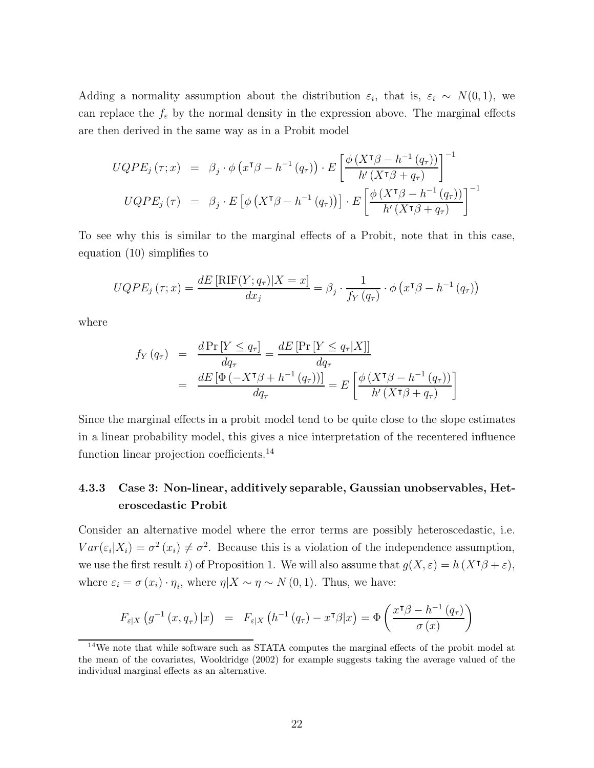Adding a normality assumption about the distribution  $\varepsilon_i$ , that is,  $\varepsilon_i \sim N(0, 1)$ , we can replace the  $f_{\varepsilon}$  by the normal density in the expression above. The marginal effects are then derived in the same way as in a Probit model

$$
UQPE_j(\tau; x) = \beta_j \cdot \phi \left( x^{\mathsf{T}}\beta - h^{-1} (q_{\tau}) \right) \cdot E \left[ \frac{\phi \left( X^{\mathsf{T}}\beta - h^{-1} (q_{\tau}) \right)}{h' (X^{\mathsf{T}}\beta + q_{\tau})} \right]^{-1}
$$
  

$$
UQPE_j(\tau) = \beta_j \cdot E \left[ \phi \left( X^{\mathsf{T}}\beta - h^{-1} (q_{\tau}) \right) \right] \cdot E \left[ \frac{\phi \left( X^{\mathsf{T}}\beta - h^{-1} (q_{\tau}) \right)}{h' (X^{\mathsf{T}}\beta + q_{\tau})} \right]^{-1}
$$

To see why this is similar to the marginal effects of a Probit, note that in this case, equation (10) simplifies to

$$
UQPE_j(\tau; x) = \frac{dE[\text{RIF}(Y; q_\tau)|X = x]}{dx_j} = \beta_j \cdot \frac{1}{f_Y(q_\tau)} \cdot \phi\left(x^\tau \beta - h^{-1}(q_\tau)\right)
$$

where

$$
f_Y(q_\tau) = \frac{d \Pr[Y \le q_\tau]}{dq_\tau} = \frac{d E[\Pr[Y \le q_\tau | X]]}{dq_\tau}
$$
  
= 
$$
\frac{d E[\Phi(-X^\tau \beta + h^{-1}(q_\tau))]}{dq_\tau} = E\left[\frac{\phi(X^\tau \beta - h^{-1}(q_\tau))}{h'(X^\tau \beta + q_\tau)}\right]
$$

Since the marginal effects in a probit model tend to be quite close to the slope estimates in a linear probability model, this gives a nice interpretation of the recentered influence function linear projection coefficients.<sup>14</sup>

## **4.3.3 Case 3: Non-linear, additively separable, Gaussian unobservables, Heteroscedastic Probit**

Consider an alternative model where the error terms are possibly heteroscedastic, i.e.  $Var(\varepsilon_i|X_i) = \sigma^2(x_i) \neq \sigma^2$ . Because this is a violation of the independence assumption, we use the first result *i*) of Proposition 1. We will also assume that  $g(X, \varepsilon) = h(X^{\dagger}\beta + \varepsilon)$ , where  $\varepsilon_i = \sigma(x_i) \cdot \eta_i$ , where  $\eta | X \sim \eta \sim N(0, 1)$ . Thus, we have:

$$
F_{\varepsilon|X}\left(g^{-1}\left(x,q_{\tau}\right)|x\right) = F_{\varepsilon|X}\left(h^{-1}\left(q_{\tau}\right)-x^{\intercal}\beta|x\right) = \Phi\left(\frac{x^{\intercal}\beta - h^{-1}\left(q_{\tau}\right)}{\sigma\left(x\right)}\right)
$$

<sup>&</sup>lt;sup>14</sup>We note that while software such as STATA computes the marginal effects of the probit model at the mean of the covariates, Wooldridge (2002) for example suggests taking the average valued of the individual marginal effects as an alternative.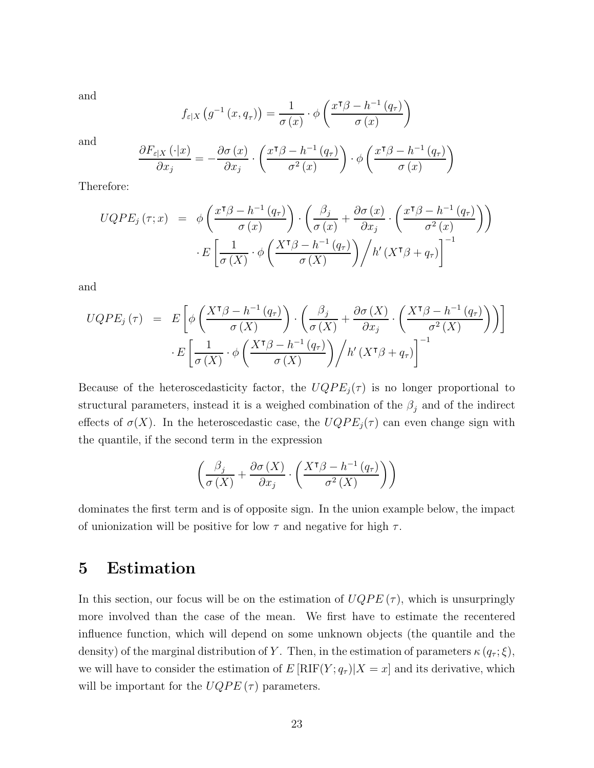and

$$
f_{\varepsilon|X}\left(g^{-1}\left(x,q_{\tau}\right)\right)=\frac{1}{\sigma\left(x\right)}\cdot\phi\left(\frac{x^{\tau}\beta-h^{-1}\left(q_{\tau}\right)}{\sigma\left(x\right)}\right)
$$

and

$$
\frac{\partial F_{\varepsilon|X}(\cdot|x)}{\partial x_j} = -\frac{\partial \sigma(x)}{\partial x_j} \cdot \left(\frac{x^{\mathsf{T}}\beta - h^{-1}(q_{\tau})}{\sigma^2(x)}\right) \cdot \phi\left(\frac{x^{\mathsf{T}}\beta - h^{-1}(q_{\tau})}{\sigma(x)}\right)
$$

Therefore:

$$
UQPE_j(\tau; x) = \phi\left(\frac{x^{\mathsf{T}}\beta - h^{-1}(q_{\tau})}{\sigma(x)}\right) \cdot \left(\frac{\beta_j}{\sigma(x)} + \frac{\partial\sigma(x)}{\partial x_j} \cdot \left(\frac{x^{\mathsf{T}}\beta - h^{-1}(q_{\tau})}{\sigma^2(x)}\right)\right)
$$

$$
\cdot E\left[\frac{1}{\sigma(X)} \cdot \phi\left(\frac{X^{\mathsf{T}}\beta - h^{-1}(q_{\tau})}{\sigma(X)}\right) / h'(X^{\mathsf{T}}\beta + q_{\tau})\right]^{-1}
$$

and

$$
UQPE_j(\tau) = E\left[\phi\left(\frac{X^{\tau}\beta - h^{-1}(q_{\tau})}{\sigma(X)}\right) \cdot \left(\frac{\beta_j}{\sigma(X)} + \frac{\partial\sigma(X)}{\partial x_j} \cdot \left(\frac{X^{\tau}\beta - h^{-1}(q_{\tau})}{\sigma^2(X)}\right)\right)\right]
$$

$$
\cdot E\left[\frac{1}{\sigma(X)} \cdot \phi\left(\frac{X^{\tau}\beta - h^{-1}(q_{\tau})}{\sigma(X)}\right) / h'(X^{\tau}\beta + q_{\tau})\right]^{-1}
$$

Because of the heteroscedasticity factor, the  $UQPE<sub>j</sub>(\tau)$  is no longer proportional to structural parameters, instead it is a weighed combination of the  $\beta_j$  and of the indirect effects of  $\sigma(X)$ . In the heteroscedastic case, the  $UQPE<sub>j</sub>(\tau)$  can even change sign with the quantile, if the second term in the expression

$$
\left(\frac{\beta_j}{\sigma\left(X\right)} + \frac{\partial \sigma\left(X\right)}{\partial x_j} \cdot \left(\frac{X^{\intercal}\beta - h^{-1}\left(q_{\tau}\right)}{\sigma^2\left(X\right)}\right)\right)
$$

dominates the first term and is of opposite sign. In the union example below, the impact of unionization will be positive for low  $\tau$  and negative for high  $\tau$ .

## **5 Estimation**

In this section, our focus will be on the estimation of  $UQPE(\tau)$ , which is unsurpringly more involved than the case of the mean. We first have to estimate the recentered influence function, which will depend on some unknown objects (the quantile and the density) of the marginal distribution of *Y*. Then, in the estimation of parameters  $\kappa(q_t; \xi)$ , we will have to consider the estimation of  $E[\text{RIF}(Y; q_\tau)|X = x]$  and its derivative, which will be important for the  $UQPE(\tau)$  parameters.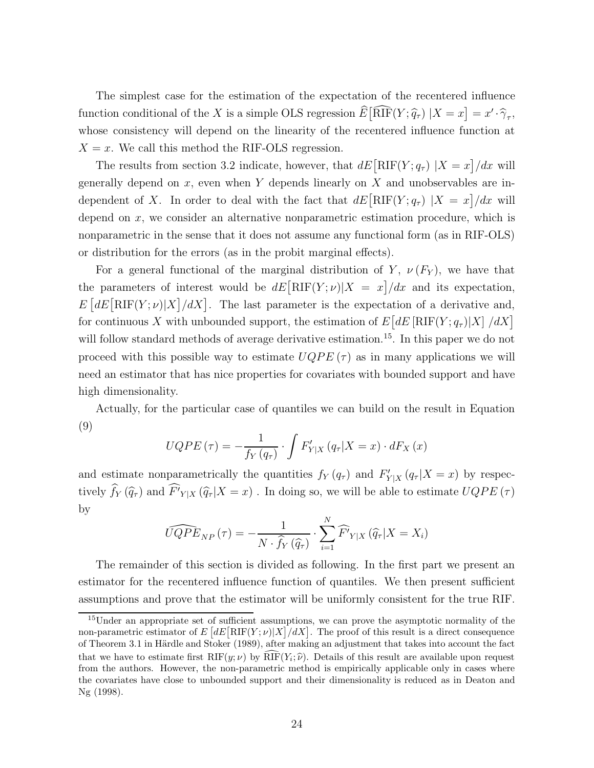The simplest case for the estimation of the expectation of the recentered influence function conditional of the *X* is a simple OLS regression  $\widehat{E}[\widehat{\mathrm{RIF}}(Y; \widehat{q}_{\tau}) | X = x] = x' \cdot \widehat{\gamma}_{\tau}$ , whose consistency will depend on the linearity of the recentered influence function at  $X = x$ . We call this method the RIF-OLS regression.

The results from section 3.2 indicate, however, that  $dE[\text{RIF}(Y; q_{\tau}) | X = x]/dx$  will generally depend on *x*, even when *Y* depends linearly on *X* and unobservables are independent of *X*. In order to deal with the fact that  $dE[\text{RIF}(Y; q_T) | X = x]/dx$  will depend on *x*, we consider an alternative nonparametric estimation procedure, which is nonparametric in the sense that it does not assume any functional form (as in RIF-OLS) or distribution for the errors (as in the probit marginal effects).

For a general functional of the marginal distribution of  $Y$ ,  $\nu(F_Y)$ , we have that the parameters of interest would be  $dE[\text{RIF}(Y; \nu)|X = x]/dx$  and its expectation,  $E\left[dE\left[\text{RIF}(Y;\nu)|X\right]/dX\right]$ . The last parameter is the expectation of a derivative and, for continuous *X* with unbounded support, the estimation of  $E[dE[\text{RIF}(Y; q_T)|X]/dX]$ will follow standard methods of average derivative estimation.<sup>15</sup>. In this paper we do not proceed with this possible way to estimate  $UQPE(\tau)$  as in many applications we will need an estimator that has nice properties for covariates with bounded support and have high dimensionality.

Actually, for the particular case of quantiles we can build on the result in Equation (9)

$$
UQPE(\tau) = -\frac{1}{f_Y(q_\tau)} \cdot \int F'_{Y|X} (q_\tau | X = x) \cdot dF_X(x)
$$

and estimate nonparametrically the quantities  $f_Y(q_\tau)$  and  $F'_{Y|X}(q_\tau | X = x)$  by respectively  $f_Y(\hat{q}_\tau)$  and  $F'_{Y|X}(\hat{q}_\tau | X = x)$ . In doing so, we will be able to estimate  $UQPE(\tau)$ by

$$
\widehat{UQPE}_{NP}(\tau) = -\frac{1}{N \cdot \widehat{f}_Y(\widehat{q}_\tau)} \cdot \sum_{i=1}^N \widehat{F'}_{Y|X}(\widehat{q}_\tau | X = X_i)
$$

The remainder of this section is divided as following. In the first part we present an estimator for the recentered influence function of quantiles. We then present sufficient assumptions and prove that the estimator will be uniformly consistent for the true RIF.

<sup>&</sup>lt;sup>15</sup>Under an appropriate set of sufficient assumptions, we can prove the asymptotic normality of the non-parametric estimator of  $E\left[dE\left[\text{RIF}(Y;\nu)|X|\right]/dX\right]$ . The proof of this result is a direct consequence of Theorem 3.1 in Härdle and Stoker (1989), after making an adjustment that takes into account the fact that we have to estimate first  $RIF(y; \nu)$  by  $\overline{RIF}(Y_i; \hat{\nu})$ . Details of this result are available upon request from the authors. However, the non-parametric method is empirically applicable only in cases where the covariates have close to unbounded support and their dimensionality is reduced as in Deaton and Ng (1998).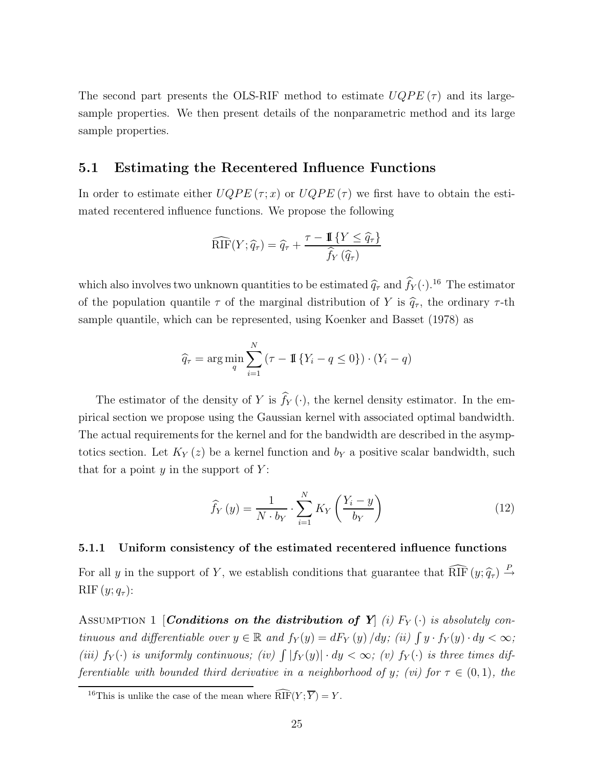The second part presents the OLS-RIF method to estimate  $UQPE(\tau)$  and its largesample properties. We then present details of the nonparametric method and its large sample properties.

### **5.1 Estimating the Recentered Influence Functions**

In order to estimate either  $UQPE(\tau; x)$  or  $UQPE(\tau)$  we first have to obtain the estimated recentered influence functions. We propose the following

$$
\widehat{\mathrm{RIF}}(Y; \widehat{q}_{\tau}) = \widehat{q}_{\tau} + \frac{\tau - \mathbb{I}\left\{Y \leq \widehat{q}_{\tau}\right\}}{\widehat{f}_{Y}\left(\widehat{q}_{\tau}\right)}
$$

which also involves two unknown quantities to be estimated  $\hat{q}_{\tau}$  and  $f_Y(\cdot)$ .<sup>16</sup> The estimator of the population quantile  $\tau$  of the marginal distribution of *Y* is  $\hat{q}_{\tau}$ , the ordinary  $\tau$ -th sample quantile, which can be represented, using Koenker and Basset (1978) as

$$
\widehat{q}_{\tau} = \arg\min_{q} \sum_{i=1}^{N} (\tau - \mathbb{I} \{ Y_i - q \le 0 \}) \cdot (Y_i - q)
$$

The estimator of the density of *Y* is  $f_Y(\cdot)$ , the kernel density estimator. In the empirical section we propose using the Gaussian kernel with associated optimal bandwidth. The actual requirements for the kernel and for the bandwidth are described in the asymptotics section. Let  $K_Y(z)$  be a kernel function and  $b_Y$  a positive scalar bandwidth, such that for a point  $y$  in the support of  $Y$ :

$$
\widehat{f}_Y(y) = \frac{1}{N \cdot b_Y} \cdot \sum_{i=1}^N K_Y\left(\frac{Y_i - y}{b_Y}\right) \tag{12}
$$

#### **5.1.1 Uniform consistency of the estimated recentered influence functions**

For all *y* in the support of *Y*, we establish conditions that guarantee that  $\widehat{RIF}(y; \hat{q}_\tau) \stackrel{P}{\to}$ RIF  $(y; q_\tau)$ :

ASSUMPTION 1 [*Conditions on the distribution of Y* (*i)*  $F_Y(\cdot)$  *is absolutely continuous and differentiable over*  $y \in \mathbb{R}$  and  $f_Y(y) = dF_Y(y) / dy$ ; (*ii*)  $\int y \cdot f_Y(y) \cdot dy < \infty$ ; *(iii)*  $f_Y(\cdot)$  *is uniformly continuous; (iv)*  $\int |f_Y(y)| \cdot dy < \infty$ ; *(v)*  $f_Y(\cdot)$  *is three times differentiable with bounded third derivative in a neighborhood of y; (vi) for*  $\tau \in (0,1)$ *, the* 

<sup>&</sup>lt;sup>16</sup>This is unlike the case of the mean where  $\widehat{RIF}(Y; \overline{Y}) = Y$ .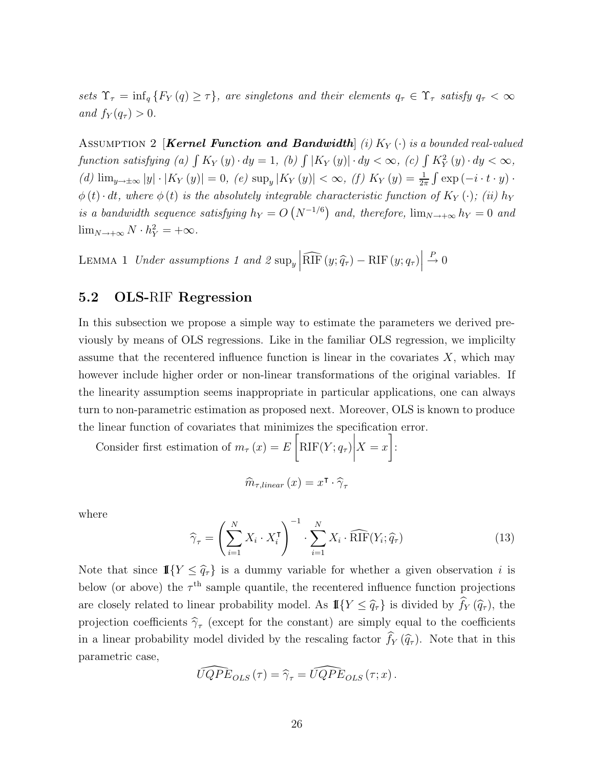*sets*  $\Upsilon_{\tau} = \inf_{q} \{ F_Y(q) \geq \tau \}$ *, are singletons and their elements*  $q_{\tau} \in \Upsilon_{\tau}$  *satisfy*  $q_{\tau} < \infty$ *and*  $f_Y(q_\tau) > 0$ *.* 

Assumption 2 [*Kernel Function and Bandwidth*] *(i) K*<sup>Y</sup> (·) *is a bounded real-valued function satisfying (a)*  $\int K_Y(y) \cdot dy = 1$ , *(b)*  $\int |K_Y(y)| \cdot dy < \infty$ , *(c)*  $\int K_Y^2(y) \cdot dy < \infty$ ,  $p(y) = \lim_{y \to \pm \infty} |y| \cdot |K_Y(y)| = 0$ , *(e)*  $\sup_y |K_Y(y)| < \infty$ , *(f)*  $K_Y(y) = \frac{1}{2\pi} \int \exp(-i \cdot t \cdot y) \cdot$  $\phi(t) \cdot dt$ , where  $\phi(t)$  *is the absolutely integrable characteristic function of*  $K_Y(\cdot)$ *; (ii)*  $h_Y$ *is a bandwidth sequence satisfying*  $h_Y = O(N^{-1/6})$  *and, therefore,*  $\lim_{N \to +\infty} h_Y = 0$  *and*  $\lim_{N \to +\infty} N \cdot h_Y^2 = +\infty.$ 

LEMMA 1 *Under assumptions 1 and 2* sup<sub>y</sub>  $\left| \widehat{\text{RIF}}(y; \hat{q}_{\tau}) - \text{RIF}(y; q_{\tau}) \right|$  $\begin{array}{c} \begin{array}{c} \begin{array}{c} \end{array} \\ \begin{array}{c} \end{array} \end{array} \end{array}$  $\stackrel{P}{\rightarrow} 0$ 

### **5.2 OLS-**RIF **Regression**

In this subsection we propose a simple way to estimate the parameters we derived previously by means of OLS regressions. Like in the familiar OLS regression, we implicilty assume that the recentered influence function is linear in the covariates  $X$ , which may however include higher order or non-linear transformations of the original variables. If the linearity assumption seems inappropriate in particular applications, one can always turn to non-parametric estimation as proposed next. Moreover, OLS is known to produce the linear function of covariates that minimizes the specification error.

Consider first estimation of  $m_\tau(x) = E$   $\mathrm{RIF}(Y; q_\tau)$  $\frac{1}{\sqrt{2}}$ *X* = *x* ,<br>1 :  $\hat{m}_{\tau \text{ linear}}(x) = x^{\intercal} \cdot \hat{\gamma}_{\tau}$ 

where

$$
\widehat{\gamma}_{\tau} = \left(\sum_{i=1}^{N} X_i \cdot X_i^{\mathsf{T}}\right)^{-1} \cdot \sum_{i=1}^{N} X_i \cdot \widehat{\text{RIF}}(Y_i; \widehat{q}_{\tau}) \tag{13}
$$

Note that since  $\mathbb{I}\{Y \leq \hat{q}_\tau\}$  is a dummy variable for whether a given observation *i* is below (or above) the  $\tau^{\text{th}}$  sample quantile, the recentered influence function projections are closely related to linear probability model. As  $\mathbb{I}\{Y \leq \hat{q}_\tau\}$  is divided by  $f_Y(\hat{q}_\tau)$ , the projection coefficients  $\hat{\gamma}_{\tau}$  (except for the constant) are simply equal to the coefficients in a linear probability model divided by the rescaling factor  $f_Y(\hat{q}_\tau)$ . Note that in this parametric case,

$$
\widehat{UQPE}_{OLS}(\tau) = \widehat{\gamma}_{\tau} = \widehat{UQPE}_{OLS}(\tau; x).
$$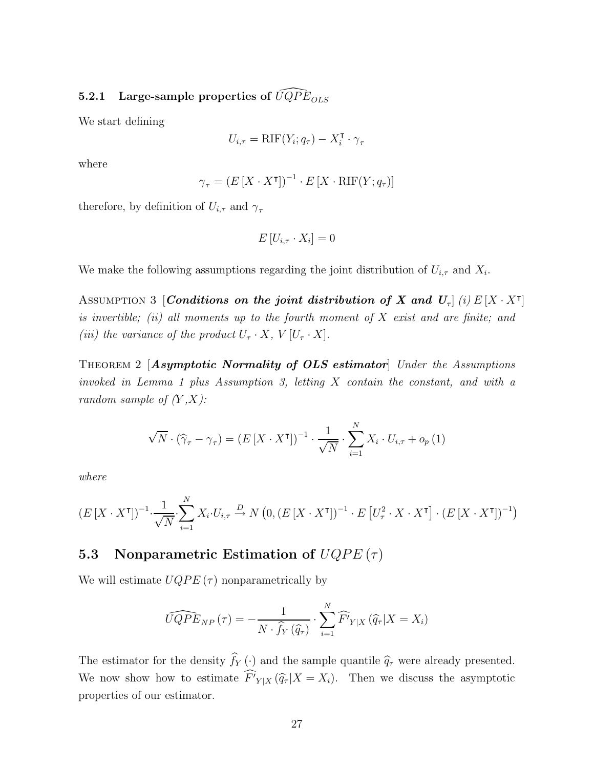## **5.2.1** Large-sample properties of  $\widehat{UQPE}_{OLS}$

We start defining

$$
U_{i,\tau} = \mathrm{RIF}(Y_i; q_{\tau}) - X_i^{\mathsf{T}} \cdot \gamma_{\tau}
$$

where

$$
\gamma_{\tau} = (E[X \cdot X^{\tau}])^{-1} \cdot E[X \cdot \text{RIF}(Y; q_{\tau})]
$$

therefore, by definition of  $U_{i,\tau}$  and  $\gamma_{\tau}$ 

$$
E[U_{i,\tau} \cdot X_i] = 0
$$

We make the following assumptions regarding the joint distribution of  $U_{i,\tau}$  and  $X_i$ .

ASSUMPTION 3 [*Conditions on the joint distribution of X and*  $U_{\tau}$ *] <i>(i)*  $E[X \cdot X^{\tau}]$ *is invertible; (ii) all moments up to the fourth moment of X exist and are finite; and (iii) the variance of the product*  $U_\tau \cdot X$ *, V*  $[U_\tau \cdot X]$ *.* 

Theorem 2 [*Asymptotic Normality of OLS estimator*] *Under the Assumptions invoked in Lemma 1 plus Assumption 3, letting X contain the constant, and with a random sample of*  $(Y, X)$ *:* 

$$
\sqrt{N} \cdot (\widehat{\gamma}_{\tau} - \gamma_{\tau}) = (E[X \cdot X^{\intercal}])^{-1} \cdot \frac{1}{\sqrt{N}} \cdot \sum_{i=1}^{N} X_i \cdot U_{i,\tau} + o_p(1)
$$

*where*

$$
(E[X \cdot X^{\mathsf{T}}])^{-1} \cdot \frac{1}{\sqrt{N}} \cdot \sum_{i=1}^{N} X_i \cdot U_{i,\tau} \xrightarrow{D} N \left(0, (E[X \cdot X^{\mathsf{T}}])^{-1} \cdot E\left[U_{\tau}^{2} \cdot X \cdot X^{\mathsf{T}}\right] \cdot (E[X \cdot X^{\mathsf{T}}])^{-1}\right)
$$

### **5.3** Nonparametric Estimation of  $UQPE(τ)$

We will estimate  $UQPE(\tau)$  nonparametrically by

$$
\widehat{UQPE}_{NP}(\tau) = -\frac{1}{N \cdot \widehat{f}_Y(\widehat{q}_\tau)} \cdot \sum_{i=1}^N \widehat{F'}_{Y|X}(\widehat{q}_\tau | X = X_i)
$$

The estimator for the density  $f_Y(\cdot)$  and the sample quantile  $\hat{q}_{\tau}$  were already presented. We now show how to estimate  $\widehat{F'}_{Y|X}(\widehat{q}_{\tau}|X=X_i)$ . Then we discuss the asymptotic properties of our estimator.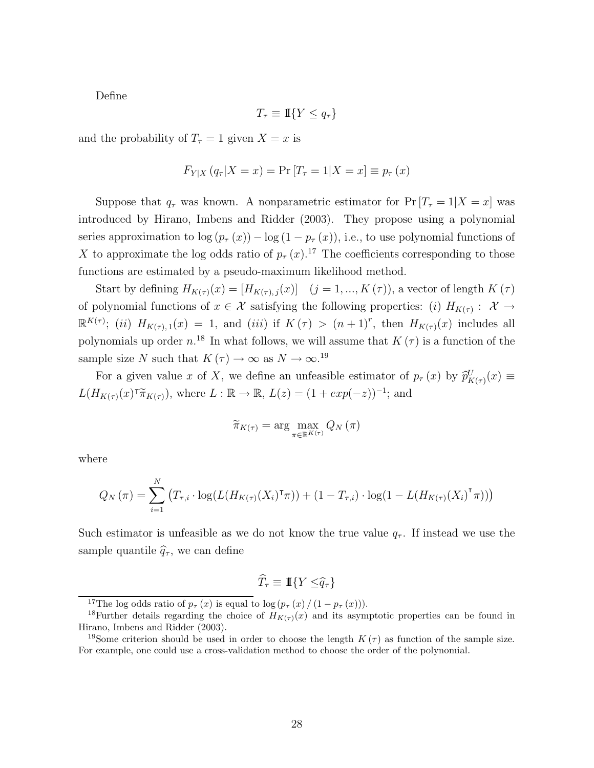Define

$$
T_{\tau} \equiv \mathbb{I}\{Y \le q_{\tau}\}\
$$

and the probability of  $T<sub>\tau</sub> = 1$  given  $X = x$  is

$$
F_{Y|X}(q_{\tau}|X = x) = Pr[T_{\tau} = 1|X = x] \equiv p_{\tau}(x)
$$

Suppose that  $q_{\tau}$  was known. A nonparametric estimator for  $Pr[T_{\tau} = 1 | X = x]$  was introduced by Hirano, Imbens and Ridder (2003). They propose using a polynomial series approximation to  $\log (p_\tau(x)) - \log (1 - p_\tau(x))$ , i.e., to use polynomial functions of *X* to approximate the log odds ratio of  $p<sub>\tau</sub> (x)$ .<sup>17</sup> The coefficients corresponding to those functions are estimated by a pseudo-maximum likelihood method.

Start by defining  $H_{K(\tau)}(x)=[H_{K(\tau),i}(x)]$   $(j=1,...,K(\tau))$ , a vector of length  $K(\tau)$ of polynomial functions of  $x \in \mathcal{X}$  satisfying the following properties: (*i*)  $H_{K(\tau)}: \mathcal{X} \to$  $\mathbb{R}^{K(\tau)}$ ; (*ii*)  $H_{K(\tau),1}(x) = 1$ , and (*iii*) if  $K(\tau) > (n+1)^r$ , then  $H_{K(\tau)}(x)$  includes all polynomials up order  $n^{18}$  In what follows, we will assume that  $K(\tau)$  is a function of the sample size *N* such that  $K(\tau) \to \infty$  as  $N \to \infty$ .<sup>19</sup>

For a given value *x* of *X*, we define an unfeasible estimator of  $p_\tau(x)$  by  $\hat{p}_{K(\tau)}^U(x) \equiv$  $L(H_{K(\tau)}(x)^\intercal \tilde{\pi}_{K(\tau)})$ , where  $L : \mathbb{R} \to \mathbb{R}$ ,  $L(z) = (1 + exp(-z))^{-1}$ ; and

$$
\widetilde{\pi}_{K(\tau)} = \arg \max_{\pi \in \mathbb{R}^{K(\tau)}} Q_N(\pi)
$$

where

$$
Q_N(\pi) = \sum_{i=1}^N (T_{\tau,i} \cdot \log(L(H_{K(\tau)}(X_i)^{\mathsf{T}} \pi)) + (1 - T_{\tau,i}) \cdot \log(1 - L(H_{K(\tau)}(X_i)^{\mathsf{T}} \pi)))
$$

Such estimator is unfeasible as we do not know the true value  $q<sub>\tau</sub>$ . If instead we use the sample quantile  $\hat{q}_{\tau}$ , we can define

$$
\widehat{T}_{\tau} \equiv \mathbb{I}\{Y \leq \widehat{q}_{\tau}\}\
$$

<sup>&</sup>lt;sup>17</sup>The log odds ratio of  $p_{\tau}(x)$  is equal to log  $(p_{\tau}(x) / (1 - p_{\tau}(x)))$ .

<sup>&</sup>lt;sup>18</sup>Further details regarding the choice of  $H_{K(\tau)}(x)$  and its asymptotic properties can be found in Hirano, Imbens and Ridder (2003).

<sup>&</sup>lt;sup>19</sup>Some criterion should be used in order to choose the length  $K(\tau)$  as function of the sample size. For example, one could use a cross-validation method to choose the order of the polynomial.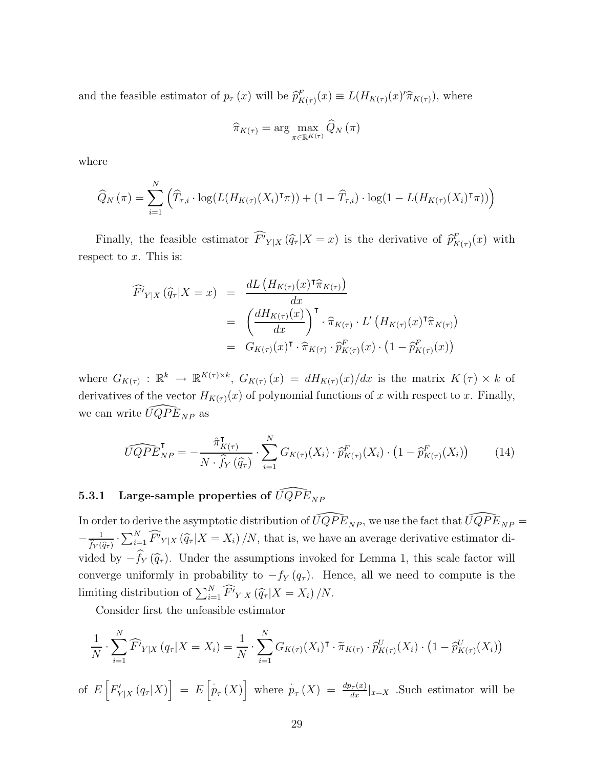and the feasible estimator of  $p_{\tau}(x)$  will be  $\hat{p}_{K(\tau)}^F(x) \equiv L(H_{K(\tau)}(x)'\hat{\pi}_{K(\tau)})$ , where

$$
\widehat{\pi}_{K(\tau)} = \arg \max_{\pi \in \mathbb{R}^{K(\tau)}} \widehat{Q}_N(\pi)
$$

where

$$
\widehat{Q}_N(\pi) = \sum_{i=1}^N \left( \widehat{T}_{\tau,i} \cdot \log(L(H_{K(\tau)}(X_i)^{\mathsf{T}} \pi)) + (1 - \widehat{T}_{\tau,i}) \cdot \log(1 - L(H_{K(\tau)}(X_i)^{\mathsf{T}} \pi)) \right)
$$

Finally, the feasible estimator  $\overline{F'}_{Y|X}(\widehat{q}_{\tau}|X=x)$  is the derivative of  $\widehat{p}^F_{K(\tau)}(x)$  with respect to *x*. This is:

$$
\widehat{F'}_{Y|X}(\widehat{q}_{\tau}|X=x) = \frac{dL\left(H_{K(\tau)}(x)^{\intercal}\widehat{\pi}_{K(\tau)}\right)}{dx}
$$
\n
$$
= \left(\frac{dH_{K(\tau)}(x)}{dx}\right)^{\intercal} \cdot \widehat{\pi}_{K(\tau)} \cdot L'\left(H_{K(\tau)}(x)^{\intercal}\widehat{\pi}_{K(\tau)}\right)
$$
\n
$$
= G_{K(\tau)}(x)^{\intercal} \cdot \widehat{\pi}_{K(\tau)} \cdot \widehat{p}_{K(\tau)}^{F}(x) \cdot \left(1 - \widehat{p}_{K(\tau)}^{F}(x)\right)
$$

where  $G_{K(\tau)}$ :  $\mathbb{R}^k \to \mathbb{R}^{K(\tau)\times k}$ ,  $G_{K(\tau)}(x) = dH_{K(\tau)}(x)/dx$  is the matrix  $K(\tau) \times k$  of derivatives of the vector  $H_{K(\tau)}(x)$  of polynomial functions of x with respect to x. Finally, we can write  $\widehat{UQPE}_{NP}$  as

$$
\widehat{UQPE}_{NP}^{\mathsf{T}} = -\frac{\widehat{\pi}_{K(\tau)}^{\mathsf{T}}}{N \cdot \widehat{f}_{Y}(\widehat{q}_{\tau})} \cdot \sum_{i=1}^{N} G_{K(\tau)}(X_{i}) \cdot \widehat{p}_{K(\tau)}^{F}(X_{i}) \cdot \left(1 - \widehat{p}_{K(\tau)}^{F}(X_{i})\right) \tag{14}
$$

## **5.3.1** Large-sample properties of  $\widehat{UQPE}_{NP}$

In order to derive the asymptotic distribution of  $\widehat{UQPE}_{NP}$ , we use the fact that  $\widehat{UQPE}_{NP} =$  $-\frac{1}{\hat{f}_Y(\hat{q}_\tau)} \cdot \sum_{i=1}^N \widehat{F'}_{Y|X} (\widehat{q}_\tau | X = X_i) / N$ , that is, we have an average derivative estimator divided by  $-\widehat{f}_Y(\widehat{q}_\tau)$ . Under the assumptions invoked for Lemma 1, this scale factor will converge uniformly in probability to  $-f_Y(q_\tau)$ . Hence, all we need to compute is the limiting distribution of  $\sum_{i=1}^{N} \widehat{F'}_{Y|X} (\widehat{q}_{\tau} | X = X_i) / N$ .

Consider first the unfeasible estimator

$$
\frac{1}{N} \cdot \sum_{i=1}^{N} \widehat{F'}_{Y|X} (q_{\tau}|X = X_i) = \frac{1}{N} \cdot \sum_{i=1}^{N} G_{K(\tau)}(X_i)^{\intercal} \cdot \widetilde{\pi}_{K(\tau)} \cdot \widehat{p}_{K(\tau)}^U(X_i) \cdot (1 - \widehat{p}_{K(\tau)}^U(X_i))
$$

of *E*  $\left[ F'_{Y|X} (q_{\tau}|X) \right]$ = *E*  $\overline{L}$  $p_{\tau}\left( X\right)$ where  $p_{\tau}(X) = \frac{dp_{\tau}(x)}{dx}|_{x=X}$ . Such estimator will be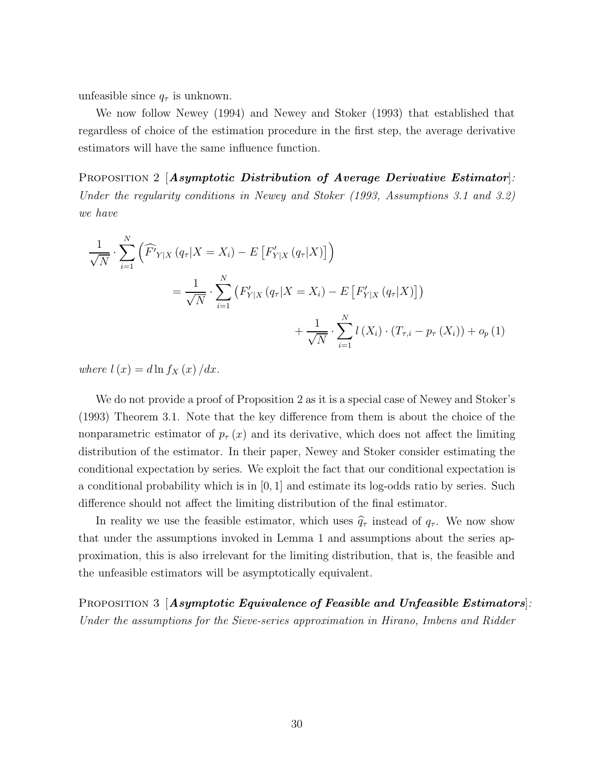unfeasible since  $q_{\tau}$  is unknown.

We now follow Newey (1994) and Newey and Stoker (1993) that established that regardless of choice of the estimation procedure in the first step, the average derivative estimators will have the same influence function.

Proposition 2 [*Asymptotic Distribution of Average Derivative Estimator*]*: Under the regularity conditions in Newey and Stoker (1993, Assumptions 3.1 and 3.2) we have*

$$
\frac{1}{\sqrt{N}} \cdot \sum_{i=1}^{N} \left( \widehat{F'}_{Y|X} \left( q_{\tau} | X = X_i \right) - E \left[ F'_{Y|X} \left( q_{\tau} | X \right) \right] \right)
$$
\n
$$
= \frac{1}{\sqrt{N}} \cdot \sum_{i=1}^{N} \left( F'_{Y|X} \left( q_{\tau} | X = X_i \right) - E \left[ F'_{Y|X} \left( q_{\tau} | X \right) \right] \right)
$$
\n
$$
+ \frac{1}{\sqrt{N}} \cdot \sum_{i=1}^{N} l \left( X_i \right) \cdot \left( T_{\tau,i} - p_{\tau} \left( X_i \right) \right) + o_p \left( 1 \right)
$$

*where*  $l(x) = d \ln f_X(x) / dx$ .

We do not provide a proof of Proposition 2 as it is a special case of Newey and Stoker's (1993) Theorem 3.1. Note that the key difference from them is about the choice of the nonparametric estimator of  $p_{\tau}(x)$  and its derivative, which does not affect the limiting distribution of the estimator. In their paper, Newey and Stoker consider estimating the conditional expectation by series. We exploit the fact that our conditional expectation is a conditional probability which is in [0*,* 1] and estimate its log-odds ratio by series. Such difference should not affect the limiting distribution of the final estimator.

In reality we use the feasible estimator, which uses  $\hat{q}_{\tau}$  instead of  $q_{\tau}$ . We now show that under the assumptions invoked in Lemma 1 and assumptions about the series approximation, this is also irrelevant for the limiting distribution, that is, the feasible and the unfeasible estimators will be asymptotically equivalent.

Proposition 3 [*Asymptotic Equivalence of Feasible and Unfeasible Estimators*]*: Under the assumptions for the Sieve-series approximation in Hirano, Imbens and Ridder*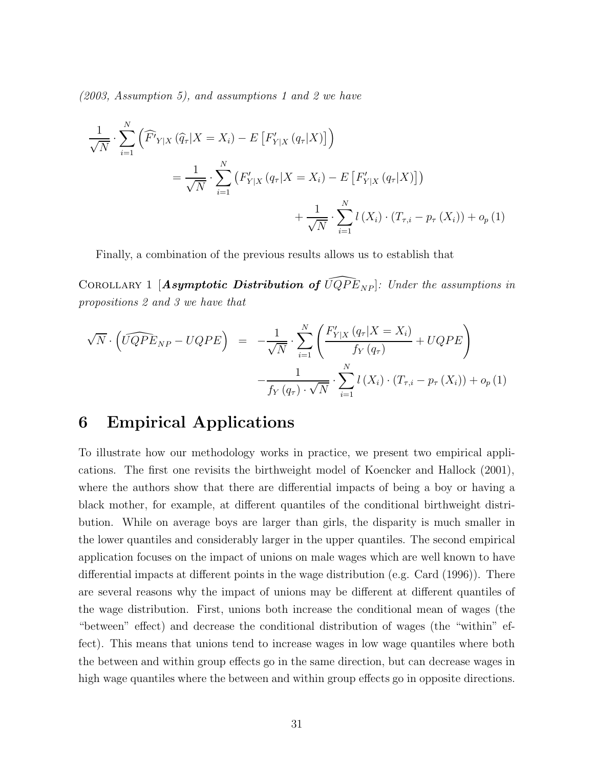*(2003, Assumption 5), and assumptions 1 and 2 we have*

$$
\frac{1}{\sqrt{N}} \cdot \sum_{i=1}^{N} \left( \widehat{F'}_{Y|X} \left( \widehat{q}_{\tau} | X = X_i \right) - E \left[ F'_{Y|X} \left( q_{\tau} | X \right) \right] \right)
$$
\n
$$
= \frac{1}{\sqrt{N}} \cdot \sum_{i=1}^{N} \left( F'_{Y|X} \left( q_{\tau} | X = X_i \right) - E \left[ F'_{Y|X} \left( q_{\tau} | X \right) \right] \right)
$$
\n
$$
+ \frac{1}{\sqrt{N}} \cdot \sum_{i=1}^{N} l \left( X_i \right) \cdot \left( T_{\tau,i} - p_{\tau} \left( X_i \right) \right) + o_p \left( 1 \right)
$$

Finally, a combination of the previous results allows us to establish that

COROLLARY 1 [*Asymptotic Distribution of*  $\widehat{UQPE}_{NP}$ ]: Under the assumptions in *propositions 2 and 3 we have that*

$$
\sqrt{N} \cdot \left(\widehat{UQPE}_{NP} - UQPE\right) = -\frac{1}{\sqrt{N}} \cdot \sum_{i=1}^{N} \left(\frac{F'_{Y|X}(q_{\tau}|X=X_i)}{f_Y(q_{\tau})} + UQPE\right) - \frac{1}{f_Y(q_{\tau}) \cdot \sqrt{N}} \cdot \sum_{i=1}^{N} l(X_i) \cdot (T_{\tau,i} - p_{\tau}(X_i)) + o_p(1)
$$

## **6 Empirical Applications**

To illustrate how our methodology works in practice, we present two empirical applications. The first one revisits the birthweight model of Koencker and Hallock (2001), where the authors show that there are differential impacts of being a boy or having a black mother, for example, at different quantiles of the conditional birthweight distribution. While on average boys are larger than girls, the disparity is much smaller in the lower quantiles and considerably larger in the upper quantiles. The second empirical application focuses on the impact of unions on male wages which are well known to have differential impacts at different points in the wage distribution (e.g. Card (1996)). There are several reasons why the impact of unions may be different at different quantiles of the wage distribution. First, unions both increase the conditional mean of wages (the "between" effect) and decrease the conditional distribution of wages (the "within" effect). This means that unions tend to increase wages in low wage quantiles where both the between and within group effects go in the same direction, but can decrease wages in high wage quantiles where the between and within group effects go in opposite directions.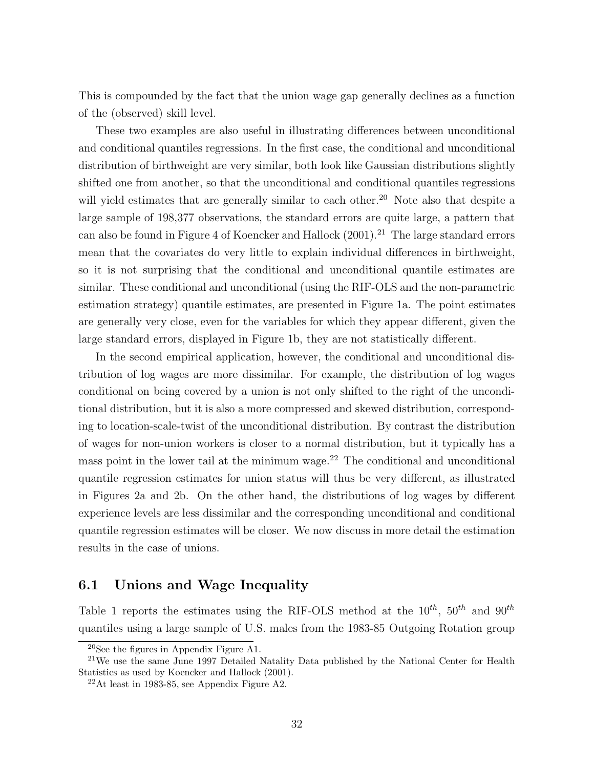This is compounded by the fact that the union wage gap generally declines as a function of the (observed) skill level.

These two examples are also useful in illustrating differences between unconditional and conditional quantiles regressions. In the first case, the conditional and unconditional distribution of birthweight are very similar, both look like Gaussian distributions slightly shifted one from another, so that the unconditional and conditional quantiles regressions will yield estimates that are generally similar to each other.<sup>20</sup> Note also that despite a large sample of 198,377 observations, the standard errors are quite large, a pattern that can also be found in Figure 4 of Koencker and Hallock  $(2001).^{21}$  The large standard errors mean that the covariates do very little to explain individual differences in birthweight, so it is not surprising that the conditional and unconditional quantile estimates are similar. These conditional and unconditional (using the RIF-OLS and the non-parametric estimation strategy) quantile estimates, are presented in Figure 1a. The point estimates are generally very close, even for the variables for which they appear different, given the large standard errors, displayed in Figure 1b, they are not statistically different.

In the second empirical application, however, the conditional and unconditional distribution of log wages are more dissimilar. For example, the distribution of log wages conditional on being covered by a union is not only shifted to the right of the unconditional distribution, but it is also a more compressed and skewed distribution, corresponding to location-scale-twist of the unconditional distribution. By contrast the distribution of wages for non-union workers is closer to a normal distribution, but it typically has a mass point in the lower tail at the minimum wage.<sup>22</sup> The conditional and unconditional quantile regression estimates for union status will thus be very different, as illustrated in Figures 2a and 2b. On the other hand, the distributions of log wages by different experience levels are less dissimilar and the corresponding unconditional and conditional quantile regression estimates will be closer. We now discuss in more detail the estimation results in the case of unions.

### **6.1 Unions and Wage Inequality**

Table 1 reports the estimates using the RIF-OLS method at the  $10^{th}$ ,  $50^{th}$  and  $90^{th}$ quantiles using a large sample of U.S. males from the 1983-85 Outgoing Rotation group

<sup>20</sup>See the figures in Appendix Figure A1.

<sup>&</sup>lt;sup>21</sup>We use the same June 1997 Detailed Natality Data published by the National Center for Health Statistics as used by Koencker and Hallock (2001).

 $22$ At least in 1983-85, see Appendix Figure A2.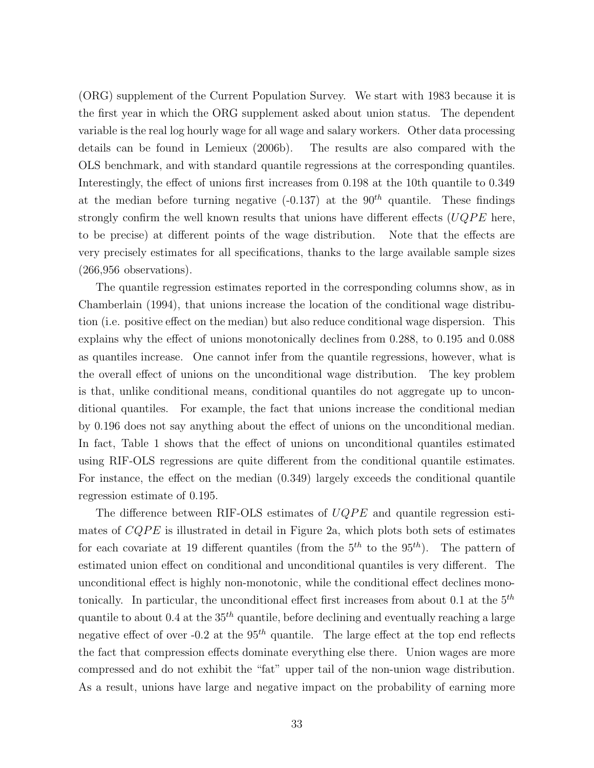(ORG) supplement of the Current Population Survey. We start with 1983 because it is the first year in which the ORG supplement asked about union status. The dependent variable is the real log hourly wage for all wage and salary workers. Other data processing details can be found in Lemieux (2006b). The results are also compared with the OLS benchmark, and with standard quantile regressions at the corresponding quantiles. Interestingly, the effect of unions first increases from 0.198 at the 10th quantile to 0.349 at the median before turning negative  $(-0.137)$  at the  $90<sup>th</sup>$  quantile. These findings strongly confirm the well known results that unions have different effects (*UQP E* here, to be precise) at different points of the wage distribution. Note that the effects are very precisely estimates for all specifications, thanks to the large available sample sizes (266,956 observations).

The quantile regression estimates reported in the corresponding columns show, as in Chamberlain (1994), that unions increase the location of the conditional wage distribution (i.e. positive effect on the median) but also reduce conditional wage dispersion. This explains why the effect of unions monotonically declines from 0.288, to 0.195 and 0.088 as quantiles increase. One cannot infer from the quantile regressions, however, what is the overall effect of unions on the unconditional wage distribution. The key problem is that, unlike conditional means, conditional quantiles do not aggregate up to unconditional quantiles. For example, the fact that unions increase the conditional median by 0.196 does not say anything about the effect of unions on the unconditional median. In fact, Table 1 shows that the effect of unions on unconditional quantiles estimated using RIF-OLS regressions are quite different from the conditional quantile estimates. For instance, the effect on the median (0.349) largely exceeds the conditional quantile regression estimate of 0.195.

The difference between RIF-OLS estimates of  $UQPE$  and quantile regression estimates of *CQPE* is illustrated in detail in Figure 2a, which plots both sets of estimates for each covariate at 19 different quantiles (from the  $5<sup>th</sup>$  to the  $95<sup>th</sup>$ ). The pattern of estimated union effect on conditional and unconditional quantiles is very different. The unconditional effect is highly non-monotonic, while the conditional effect declines monotonically. In particular, the unconditional effect first increases from about 0.1 at the  $5<sup>th</sup>$ quantile to about 0.4 at the  $35<sup>th</sup>$  quantile, before declining and eventually reaching a large negative effect of over  $-0.2$  at the 95<sup>th</sup> quantile. The large effect at the top end reflects the fact that compression effects dominate everything else there. Union wages are more compressed and do not exhibit the "fat" upper tail of the non-union wage distribution. As a result, unions have large and negative impact on the probability of earning more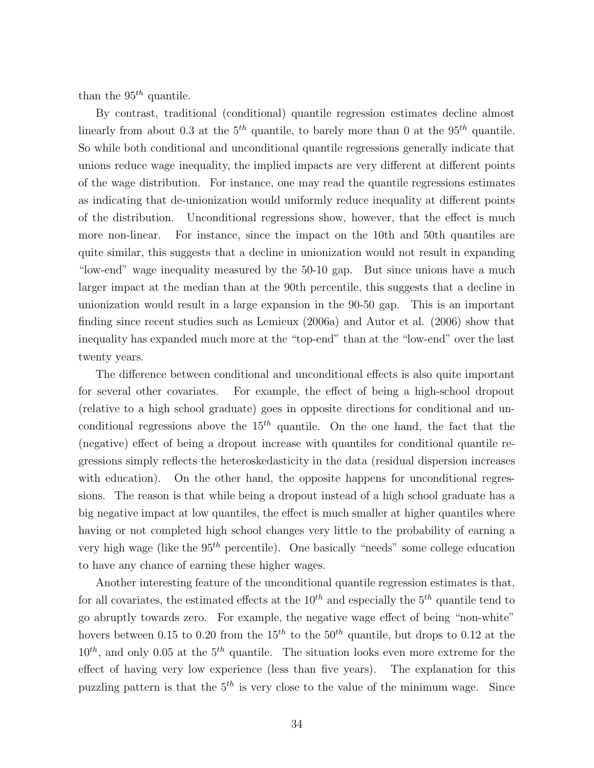than the  $95<sup>th</sup>$  quantile.

By contrast, traditional (conditional) quantile regression estimates decline almost linearly from about 0.3 at the  $5<sup>th</sup>$  quantile, to barely more than 0 at the  $95<sup>th</sup>$  quantile. So while both conditional and unconditional quantile regressions generally indicate that unions reduce wage inequality, the implied impacts are very different at different points of the wage distribution. For instance, one may read the quantile regressions estimates as indicating that de-unionization would uniformly reduce inequality at different points of the distribution. Unconditional regressions show, however, that the effect is much more non-linear. For instance, since the impact on the 10th and 50th quantiles are quite similar, this suggests that a decline in unionization would not result in expanding "low-end" wage inequality measured by the 50-10 gap. But since unions have a much larger impact at the median than at the 90th percentile, this suggests that a decline in unionization would result in a large expansion in the 90-50 gap. This is an important finding since recent studies such as Lemieux (2006a) and Autor et al. (2006) show that inequality has expanded much more at the "top-end" than at the "low-end" over the last twenty years.

The difference between conditional and unconditional effects is also quite important for several other covariates. For example, the effect of being a high-school dropout (relative to a high school graduate) goes in opposite directions for conditional and unconditional regressions above the  $15<sup>th</sup>$  quantile. On the one hand, the fact that the (negative) effect of being a dropout increase with quantiles for conditional quantile regressions simply reflects the heteroskedasticity in the data (residual dispersion increases with education). On the other hand, the opposite happens for unconditional regressions. The reason is that while being a dropout instead of a high school graduate has a big negative impact at low quantiles, the effect is much smaller at higher quantiles where having or not completed high school changes very little to the probability of earning a very high wage (like the  $95<sup>th</sup>$  percentile). One basically "needs" some college education to have any chance of earning these higher wages.

Another interesting feature of the unconditional quantile regression estimates is that, for all covariates, the estimated effects at the  $10^{th}$  and especially the  $5^{th}$  quantile tend to go abruptly towards zero. For example, the negative wage effect of being "non-white" hovers between 0.15 to 0.20 from the  $15<sup>th</sup>$  to the  $50<sup>th</sup>$  quantile, but drops to 0.12 at the  $10^{th}$ , and only 0.05 at the  $5^{th}$  quantile. The situation looks even more extreme for the effect of having very low experience (less than five years). The explanation for this puzzling pattern is that the  $5<sup>th</sup>$  is very close to the value of the minimum wage. Since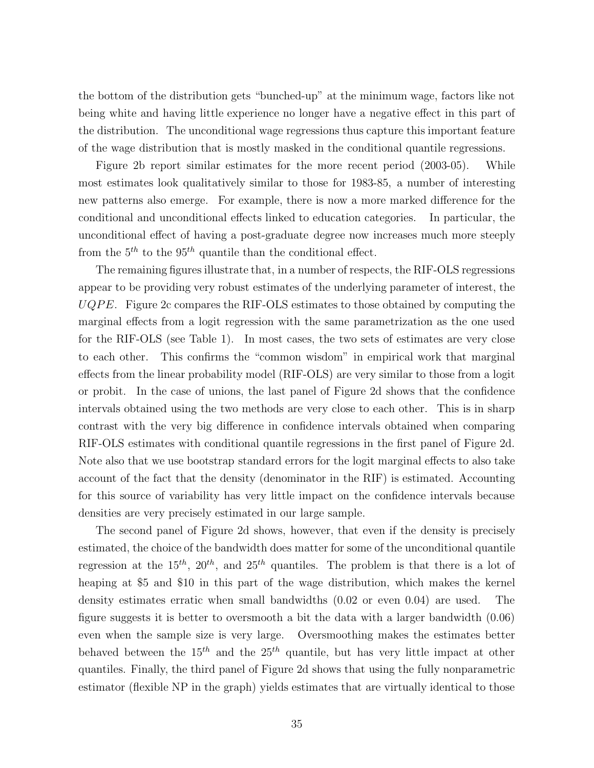the bottom of the distribution gets "bunched-up" at the minimum wage, factors like not being white and having little experience no longer have a negative effect in this part of the distribution. The unconditional wage regressions thus capture this important feature of the wage distribution that is mostly masked in the conditional quantile regressions.

Figure 2b report similar estimates for the more recent period (2003-05). While most estimates look qualitatively similar to those for 1983-85, a number of interesting new patterns also emerge. For example, there is now a more marked difference for the conditional and unconditional effects linked to education categories. In particular, the unconditional effect of having a post-graduate degree now increases much more steeply from the  $5<sup>th</sup>$  to the 95<sup>th</sup> quantile than the conditional effect.

The remaining figures illustrate that, in a number of respects, the RIF-OLS regressions appear to be providing very robust estimates of the underlying parameter of interest, the *UQP E*. Figure 2c compares the RIF-OLS estimates to those obtained by computing the marginal effects from a logit regression with the same parametrization as the one used for the RIF-OLS (see Table 1). In most cases, the two sets of estimates are very close to each other. This confirms the "common wisdom" in empirical work that marginal effects from the linear probability model (RIF-OLS) are very similar to those from a logit or probit. In the case of unions, the last panel of Figure 2d shows that the confidence intervals obtained using the two methods are very close to each other. This is in sharp contrast with the very big difference in confidence intervals obtained when comparing RIF-OLS estimates with conditional quantile regressions in the first panel of Figure 2d. Note also that we use bootstrap standard errors for the logit marginal effects to also take account of the fact that the density (denominator in the RIF) is estimated. Accounting for this source of variability has very little impact on the confidence intervals because densities are very precisely estimated in our large sample.

The second panel of Figure 2d shows, however, that even if the density is precisely estimated, the choice of the bandwidth does matter for some of the unconditional quantile regression at the  $15^{th}$ ,  $20^{th}$ , and  $25^{th}$  quantiles. The problem is that there is a lot of heaping at \$5 and \$10 in this part of the wage distribution, which makes the kernel density estimates erratic when small bandwidths (0.02 or even 0.04) are used. The figure suggests it is better to oversmooth a bit the data with a larger bandwidth (0.06) even when the sample size is very large. Oversmoothing makes the estimates better behaved between the  $15<sup>th</sup>$  and the  $25<sup>th</sup>$  quantile, but has very little impact at other quantiles. Finally, the third panel of Figure 2d shows that using the fully nonparametric estimator (flexible NP in the graph) yields estimates that are virtually identical to those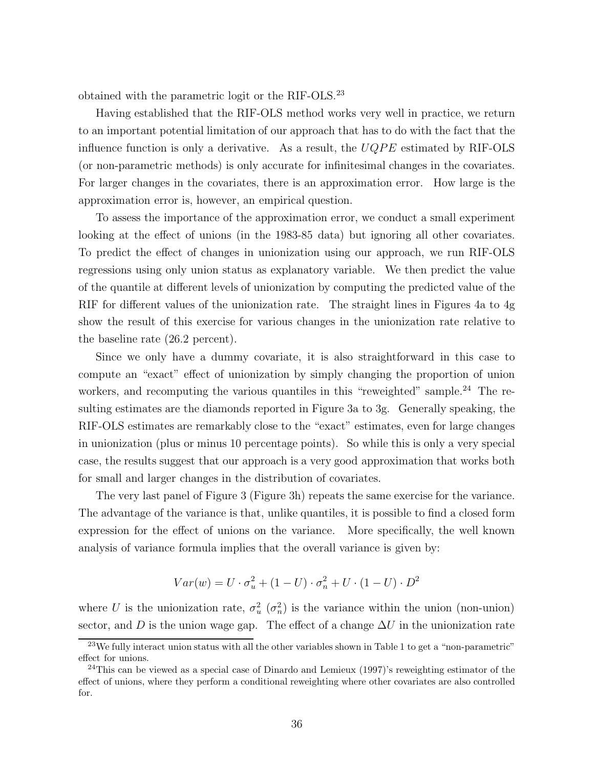obtained with the parametric logit or the RIF-OLS.<sup>23</sup>

Having established that the RIF-OLS method works very well in practice, we return to an important potential limitation of our approach that has to do with the fact that the influence function is only a derivative. As a result, the  $UQPE$  estimated by RIF-OLS (or non-parametric methods) is only accurate for infinitesimal changes in the covariates. For larger changes in the covariates, there is an approximation error. How large is the approximation error is, however, an empirical question.

To assess the importance of the approximation error, we conduct a small experiment looking at the effect of unions (in the 1983-85 data) but ignoring all other covariates. To predict the effect of changes in unionization using our approach, we run RIF-OLS regressions using only union status as explanatory variable. We then predict the value of the quantile at different levels of unionization by computing the predicted value of the RIF for different values of the unionization rate. The straight lines in Figures 4a to 4g show the result of this exercise for various changes in the unionization rate relative to the baseline rate (26.2 percent).

Since we only have a dummy covariate, it is also straightforward in this case to compute an "exact" effect of unionization by simply changing the proportion of union workers, and recomputing the various quantiles in this "reweighted" sample.<sup>24</sup> The resulting estimates are the diamonds reported in Figure 3a to 3g. Generally speaking, the RIF-OLS estimates are remarkably close to the "exact" estimates, even for large changes in unionization (plus or minus 10 percentage points). So while this is only a very special case, the results suggest that our approach is a very good approximation that works both for small and larger changes in the distribution of covariates.

The very last panel of Figure 3 (Figure 3h) repeats the same exercise for the variance. The advantage of the variance is that, unlike quantiles, it is possible to find a closed form expression for the effect of unions on the variance. More specifically, the well known analysis of variance formula implies that the overall variance is given by:

$$
Var(w) = U \cdot \sigma_u^2 + (1 - U) \cdot \sigma_n^2 + U \cdot (1 - U) \cdot D^2
$$

where *U* is the unionization rate,  $\sigma_u^2$  ( $\sigma_n^2$ ) is the variance within the union (non-union) sector, and *D* is the union wage gap. The effect of a change  $\Delta U$  in the unionization rate

 $23$ We fully interact union status with all the other variables shown in Table 1 to get a "non-parametric" effect for unions.

<sup>&</sup>lt;sup>24</sup>This can be viewed as a special case of Dinardo and Lemieux (1997)'s reweighting estimator of the effect of unions, where they perform a conditional reweighting where other covariates are also controlled for.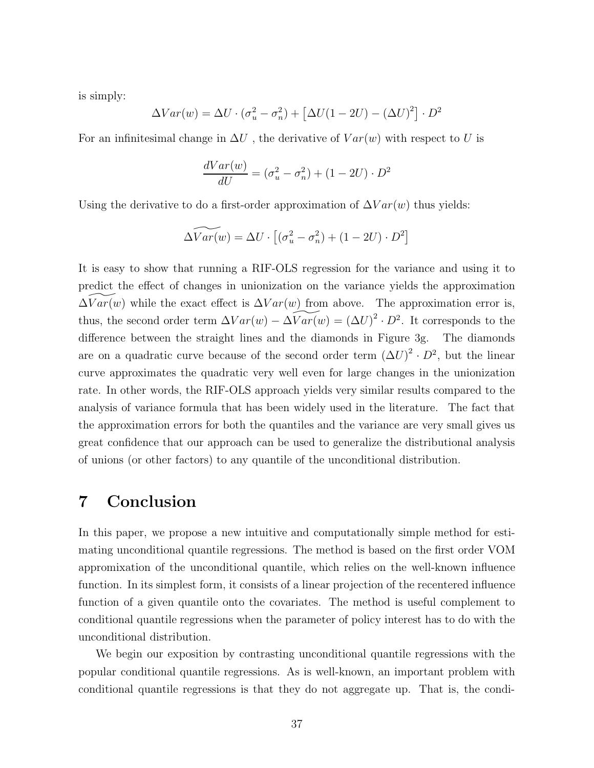is simply:

$$
\Delta Var(w) = \Delta U \cdot (\sigma_u^2 - \sigma_n^2) + [\Delta U(1 - 2U) - (\Delta U)^2] \cdot D^2
$$

For an infinitesimal change in  $\Delta U$ , the derivative of  $Var(w)$  with respect to *U* is

$$
\frac{dVar(w)}{dU} = (\sigma_u^2 - \sigma_n^2) + (1 - 2U) \cdot D^2
$$

Using the derivative to do a first-order approximation of  $\Delta Var(w)$  thus yields:

$$
\widetilde{\Delta Var(w)} = \Delta U \cdot \left[ (\sigma_u^2 - \sigma_n^2) + (1 - 2U) \cdot D^2 \right]
$$

It is easy to show that running a RIF-OLS regression for the variance and using it to predict the effect of changes in unionization on the variance yields the approximation  $\Delta Var(w)$  while the exact effect is  $\Delta Var(w)$  from above. The approximation error is, thus, the second order term  $\Delta Var(w) - \Delta Var(w) = (\Delta U)^2 \cdot D^2$ . It corresponds to the difference between the straight lines and the diamonds in Figure 3g. The diamonds are on a quadratic curve because of the second order term  $(\Delta U)^2 \cdot D^2$ , but the linear curve approximates the quadratic very well even for large changes in the unionization rate. In other words, the RIF-OLS approach yields very similar results compared to the analysis of variance formula that has been widely used in the literature. The fact that the approximation errors for both the quantiles and the variance are very small gives us great confidence that our approach can be used to generalize the distributional analysis of unions (or other factors) to any quantile of the unconditional distribution.

## **7 Conclusion**

In this paper, we propose a new intuitive and computationally simple method for estimating unconditional quantile regressions. The method is based on the first order VOM appromixation of the unconditional quantile, which relies on the well-known influence function. In its simplest form, it consists of a linear projection of the recentered influence function of a given quantile onto the covariates. The method is useful complement to conditional quantile regressions when the parameter of policy interest has to do with the unconditional distribution.

We begin our exposition by contrasting unconditional quantile regressions with the popular conditional quantile regressions. As is well-known, an important problem with conditional quantile regressions is that they do not aggregate up. That is, the condi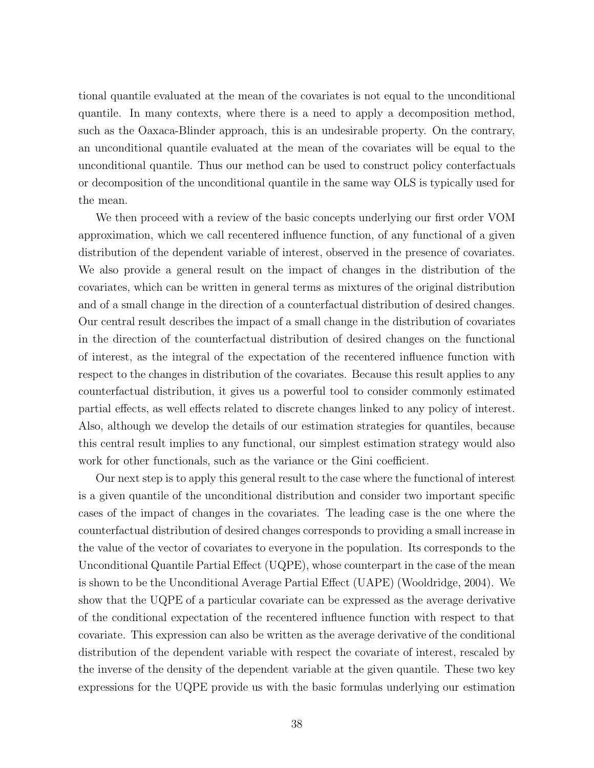tional quantile evaluated at the mean of the covariates is not equal to the unconditional quantile. In many contexts, where there is a need to apply a decomposition method, such as the Oaxaca-Blinder approach, this is an undesirable property. On the contrary, an unconditional quantile evaluated at the mean of the covariates will be equal to the unconditional quantile. Thus our method can be used to construct policy conterfactuals or decomposition of the unconditional quantile in the same way OLS is typically used for the mean.

We then proceed with a review of the basic concepts underlying our first order VOM approximation, which we call recentered influence function, of any functional of a given distribution of the dependent variable of interest, observed in the presence of covariates. We also provide a general result on the impact of changes in the distribution of the covariates, which can be written in general terms as mixtures of the original distribution and of a small change in the direction of a counterfactual distribution of desired changes. Our central result describes the impact of a small change in the distribution of covariates in the direction of the counterfactual distribution of desired changes on the functional of interest, as the integral of the expectation of the recentered influence function with respect to the changes in distribution of the covariates. Because this result applies to any counterfactual distribution, it gives us a powerful tool to consider commonly estimated partial effects, as well effects related to discrete changes linked to any policy of interest. Also, although we develop the details of our estimation strategies for quantiles, because this central result implies to any functional, our simplest estimation strategy would also work for other functionals, such as the variance or the Gini coefficient.

Our next step is to apply this general result to the case where the functional of interest is a given quantile of the unconditional distribution and consider two important specific cases of the impact of changes in the covariates. The leading case is the one where the counterfactual distribution of desired changes corresponds to providing a small increase in the value of the vector of covariates to everyone in the population. Its corresponds to the Unconditional Quantile Partial Effect (UQPE), whose counterpart in the case of the mean is shown to be the Unconditional Average Partial Effect (UAPE) (Wooldridge, 2004). We show that the UQPE of a particular covariate can be expressed as the average derivative of the conditional expectation of the recentered influence function with respect to that covariate. This expression can also be written as the average derivative of the conditional distribution of the dependent variable with respect the covariate of interest, rescaled by the inverse of the density of the dependent variable at the given quantile. These two key expressions for the UQPE provide us with the basic formulas underlying our estimation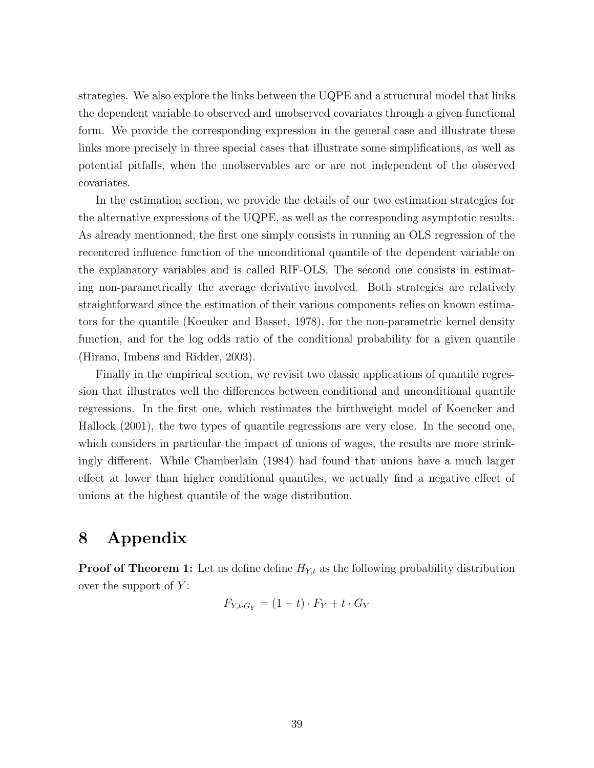strategies. We also explore the links between the UQPE and a structural model that links the dependent variable to observed and unobserved covariates through a given functional form. We provide the corresponding expression in the general case and illustrate these links more precisely in three special cases that illustrate some simplifications, as well as potential pitfalls, when the unobservables are or are not independent of the observed covariates.

In the estimation section, we provide the details of our two estimation strategies for the alternative expressions of the UQPE, as well as the corresponding asymptotic results. As already mentionned, the first one simply consists in running an OLS regression of the recentered influence function of the unconditional quantile of the dependent variable on the explanatory variables and is called RIF-OLS. The second one consists in estimating non-parametrically the average derivative involved. Both strategies are relatively straightforward since the estimation of their various components relies on known estimators for the quantile (Koenker and Basset, 1978), for the non-parametric kernel density function, and for the log odds ratio of the conditional probability for a given quantile (Hirano, Imbens and Ridder, 2003).

Finally in the empirical section, we revisit two classic applications of quantile regression that illustrates well the differences between conditional and unconditional quantile regressions. In the first one, which restimates the birthweight model of Koencker and Hallock (2001), the two types of quantile regressions are very close. In the second one, which considers in particular the impact of unions of wages, the results are more strinkingly different. While Chamberlain (1984) had found that unions have a much larger effect at lower than higher conditional quantiles, we actually find a negative effect of unions at the highest quantile of the wage distribution.

## **8 Appendix**

**Proof of Theorem 1:** Let us define define  $H_{Y,t}$  as the following probability distribution over the support of *Y* :

$$
F_{Y,t\cdot G_Y} = (1-t)\cdot F_Y + t\cdot G_Y
$$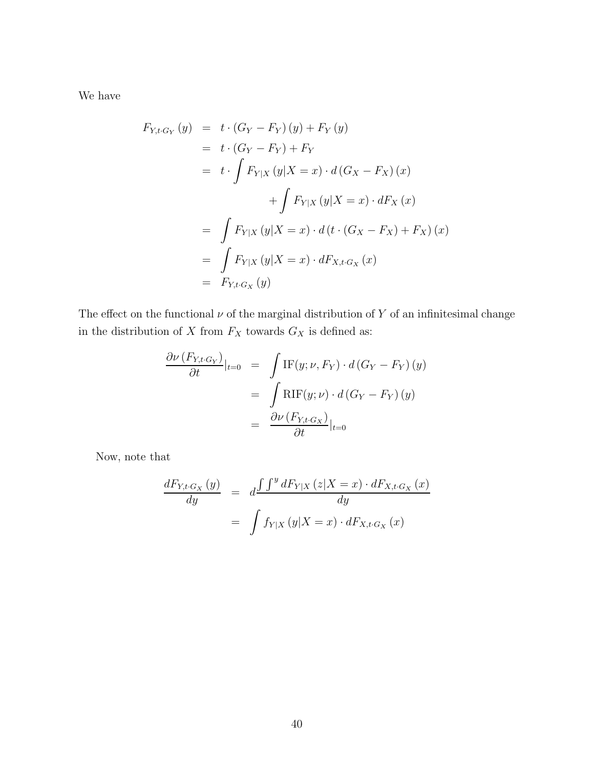We have

$$
F_{Y,t \cdot G_Y}(y) = t \cdot (G_Y - F_Y)(y) + F_Y(y)
$$
  
\n
$$
= t \cdot (G_Y - F_Y) + F_Y
$$
  
\n
$$
= t \cdot \int F_{Y|X}(y|X = x) \cdot d(G_X - F_X)(x)
$$
  
\n
$$
+ \int F_{Y|X}(y|X = x) \cdot dF_X(x)
$$
  
\n
$$
= \int F_{Y|X}(y|X = x) \cdot d(t \cdot (G_X - F_X) + F_X)(x)
$$
  
\n
$$
= \int F_{Y|X}(y|X = x) \cdot dF_{X,t \cdot G_X}(x)
$$
  
\n
$$
= F_{Y,t \cdot G_X}(y)
$$

The effect on the functional  $\nu$  of the marginal distribution of  $Y$  of an infinitesimal change in the distribution of  $X$  from  $F_X$  towards  ${\cal G}_X$  is defined as:

$$
\frac{\partial \nu (F_{Y,t \cdot G_Y})}{\partial t}|_{t=0} = \int \text{IF}(y; \nu, F_Y) \cdot d(G_Y - F_Y)(y)
$$

$$
= \int \text{RIF}(y; \nu) \cdot d(G_Y - F_Y)(y)
$$

$$
= \frac{\partial \nu (F_{Y,t \cdot G_X})}{\partial t}|_{t=0}
$$

Now, note that

$$
\frac{dF_{Y,t \cdot G_X}(y)}{dy} = d \frac{\int \int^y dF_{Y|X}(z|X=x) \cdot dF_{X,t \cdot G_X}(x)}{dy}
$$

$$
= \int f_{Y|X}(y|X=x) \cdot dF_{X,t \cdot G_X}(x)
$$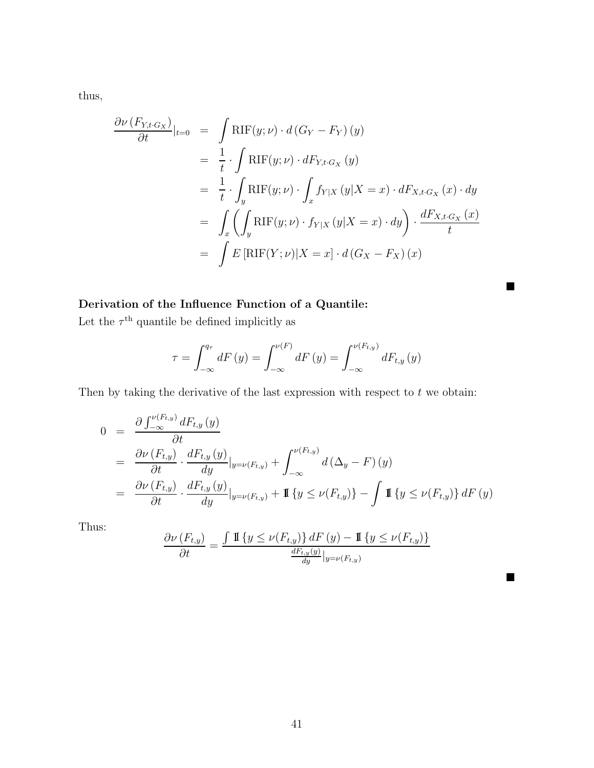thus,

$$
\frac{\partial \nu (F_{Y,t \cdot G_X})}{\partial t}|_{t=0} = \int \text{RIF}(y; \nu) \cdot d(G_Y - F_Y) (y)
$$
  
\n
$$
= \frac{1}{t} \cdot \int \text{RIF}(y; \nu) \cdot dF_{Y,t \cdot G_X} (y)
$$
  
\n
$$
= \frac{1}{t} \cdot \int_y \text{RIF}(y; \nu) \cdot \int_x f_{Y|X} (y|X = x) \cdot dF_{X,t \cdot G_X} (x) \cdot dy
$$
  
\n
$$
= \int_x \left( \int_y \text{RIF}(y; \nu) \cdot f_{Y|X} (y|X = x) \cdot dy \right) \cdot \frac{dF_{X,t \cdot G_X} (x)}{t}
$$
  
\n
$$
= \int E [\text{RIF}(Y; \nu)|X = x] \cdot d(G_X - F_X) (x)
$$

## **Derivation of the Influence Function of a Quantile:**

Let the  $\tau^{\text{th}}$  quantile be defined implicitly as

$$
\tau = \int_{-\infty}^{q_{\tau}} dF(y) = \int_{-\infty}^{\nu(F)} dF(y) = \int_{-\infty}^{\nu(F_{t,y})} dF_{t,y}(y)
$$

 $\blacksquare$ 

 $\blacksquare$ 

Then by taking the derivative of the last expression with respect to  $t$  we obtain:

$$
0 = \frac{\partial \int_{-\infty}^{\nu(F_{t,y})} dF_{t,y}(y)}{\partial t}
$$
  
\n
$$
= \frac{\partial \nu (F_{t,y})}{\partial t} \cdot \frac{dF_{t,y}(y)}{dy}|_{y=\nu(F_{t,y})} + \int_{-\infty}^{\nu(F_{t,y})} d(\Delta_y - F)(y)
$$
  
\n
$$
= \frac{\partial \nu (F_{t,y})}{\partial t} \cdot \frac{dF_{t,y}(y)}{dy}|_{y=\nu(F_{t,y})} + \mathbb{I} \{y \le \nu(F_{t,y})\} - \int \mathbb{I} \{y \le \nu(F_{t,y})\} dF(y)
$$

Thus:

$$
\frac{\partial \nu(F_{t,y})}{\partial t} = \frac{\int \mathbb{1}\left\{y \le \nu(F_{t,y})\right\} dF\left(y\right) - \mathbb{1}\left\{y \le \nu(F_{t,y})\right\}}{\frac{dF_{t,y}(y)}{dy}|_{y=\nu(F_{t,y})}}
$$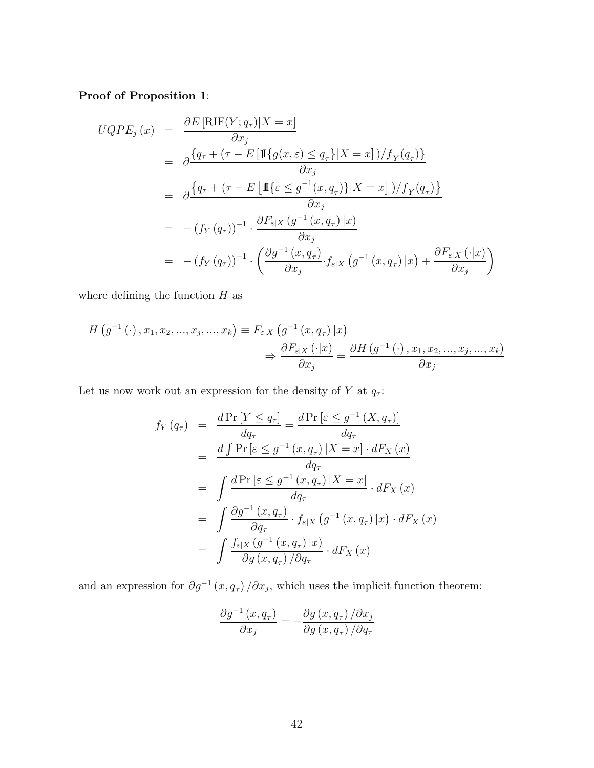**Proof of Proposition 1**:

$$
UQPE_j(x) = \frac{\partial E[\text{RIF}(Y; q_\tau)|X = x]}{\partial x_j}
$$
  
=  $\partial \frac{q_\tau + (\tau - E[\mathbb{I}[q(x, \varepsilon) \le q_\tau]|X = x])/f_Y(q_\tau)}{\partial x_j}$   
=  $\partial \frac{q_\tau + (\tau - E[\mathbb{I}[\varepsilon \le g^{-1}(x, q_\tau)]|X = x])/f_Y(q_\tau)}{\partial x_j}$   
=  $-(f_Y(q_\tau))^{-1} \cdot \frac{\partial F_{\varepsilon|X}(g^{-1}(x, q_\tau)|x)}{\partial x_j}$   
=  $-(f_Y(q_\tau))^{-1} \cdot \left(\frac{\partial g^{-1}(x, q_\tau)}{\partial x_j} \cdot f_{\varepsilon|X}(g^{-1}(x, q_\tau)|x) + \frac{\partial F_{\varepsilon|X}(\cdot|x)}{\partial x_j}\right)$ 

where defining the function  $H$  as

$$
H(g^{-1}(\cdot), x_1, x_2, ..., x_j, ..., x_k) \equiv F_{\varepsilon|X} (g^{-1}(x, q_\tau) | x)
$$
  

$$
\Rightarrow \frac{\partial F_{\varepsilon|X} (\cdot | x)}{\partial x_j} = \frac{\partial H(g^{-1}(\cdot), x_1, x_2, ..., x_j, ..., x_k)}{\partial x_j}
$$

Let us now work out an expression for the density of  $Y$  at  $q_{\tau}$ :

$$
f_Y(q_\tau) = \frac{d \Pr[Y \le q_\tau]}{dq_\tau} = \frac{d \Pr[\varepsilon \le g^{-1}(X, q_\tau)]}{dq_\tau}
$$
  
\n
$$
= \frac{d \int \Pr[\varepsilon \le g^{-1}(x, q_\tau) | X = x] \cdot dF_X(x)}{dq_\tau}
$$
  
\n
$$
= \int \frac{d \Pr[\varepsilon \le g^{-1}(x, q_\tau) | X = x]}{dq_\tau} \cdot dF_X(x)
$$
  
\n
$$
= \int \frac{\partial g^{-1}(x, q_\tau)}{\partial q_\tau} \cdot f_{\varepsilon|X}(g^{-1}(x, q_\tau) | x) \cdot dF_X(x)
$$
  
\n
$$
= \int \frac{f_{\varepsilon|X}(g^{-1}(x, q_\tau) | x)}{\partial g(x, q_\tau) / \partial q_\tau} \cdot dF_X(x)
$$

and an expression for  $\partial g^{-1}\left(x,q_\tau\right)/\partial x_j,$  which uses the implicit function theorem:

$$
\frac{\partial g^{-1}(x, q_{\tau})}{\partial x_{j}} = -\frac{\partial g(x, q_{\tau})}{\partial g(x, q_{\tau})/\partial q_{\tau}}
$$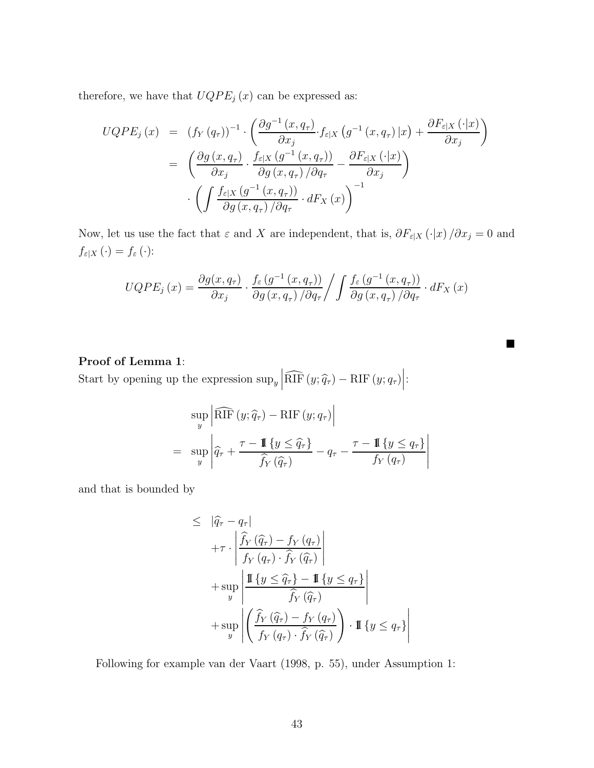therefore, we have that  $\mathit{UQPE}_j\left(\mathit{x}\right)$  can be expressed as:

$$
UQPE_j(x) = (f_Y(q_\tau))^{-1} \cdot \left(\frac{\partial g^{-1}(x, q_\tau)}{\partial x_j} \cdot f_{\varepsilon|X} (g^{-1}(x, q_\tau) | x) + \frac{\partial F_{\varepsilon|X} (\cdot | x)}{\partial x_j}\right)
$$
  

$$
= \left(\frac{\partial g(x, q_\tau)}{\partial x_j} \cdot \frac{f_{\varepsilon|X} (g^{-1}(x, q_\tau))}{\partial g(x, q_\tau) / \partial q_\tau} - \frac{\partial F_{\varepsilon|X} (\cdot | x)}{\partial x_j}\right)
$$
  

$$
\cdot \left(\int \frac{f_{\varepsilon|X} (g^{-1}(x, q_\tau))}{\partial g(x, q_\tau) / \partial q_\tau} \cdot dF_X(x)\right)^{-1}
$$

Now, let us use the fact that  $\varepsilon$  and *X* are independent, that is,  $\partial F_{\varepsilon|X} (\cdot |x) / \partial x_j = 0$  and  $f_{\varepsilon|X}(\cdot) = f_{\varepsilon}(\cdot)$ :

$$
UQPE_j(x) = \frac{\partial g(x, q_\tau)}{\partial x_j} \cdot \frac{f_\varepsilon(g^{-1}(x, q_\tau))}{\partial g(x, q_\tau)/\partial q_\tau} / \int \frac{f_\varepsilon(g^{-1}(x, q_\tau))}{\partial g(x, q_\tau)/\partial q_\tau} \cdot dF_X(x)
$$

п

### **Proof of Lemma 1**:

Start by opening up the expression  $\sup_y$  $\left| \widehat{\text{RIF}}\left( y;\widehat{q}_{\tau }\right) -\text{RIF}\left( y;q_{\tau }\right) \right|$  $\Big|$ :

$$
\sup_{y} \left| \widehat{\text{RIF}}(y; \hat{q}_{\tau}) - \text{RIF}(y; q_{\tau}) \right|
$$
\n
$$
= \sup_{y} \left| \hat{q}_{\tau} + \frac{\tau - \mathbb{I} \{ y \leq \hat{q}_{\tau} \}}{\hat{f}_{Y}(\hat{q}_{\tau})} - q_{\tau} - \frac{\tau - \mathbb{I} \{ y \leq q_{\tau} \}}{f_{Y}(q_{\tau})} \right|
$$

and that is bounded by

$$
\leq |\hat{q}_{\tau} - q_{\tau}|
$$
\n
$$
+ \tau \cdot \left| \frac{\hat{f}_Y(\hat{q}_{\tau}) - f_Y(q_{\tau})}{f_Y(q_{\tau}) \cdot \hat{f}_Y(\hat{q}_{\tau})} \right|
$$
\n
$$
+ \sup_y \left| \frac{\mathbb{I} \{ y \leq \hat{q}_{\tau} \} - \mathbb{I} \{ y \leq q_{\tau} \}}{\hat{f}_Y(\hat{q}_{\tau})} \right|
$$
\n
$$
+ \sup_y \left| \left( \frac{\hat{f}_Y(\hat{q}_{\tau}) - f_Y(q_{\tau})}{f_Y(q_{\tau}) \cdot \hat{f}_Y(\hat{q}_{\tau})} \right) \cdot \mathbb{I} \{ y \leq q_{\tau} \} \right|
$$

Following for example van der Vaart (1998, p. 55), under Assumption 1: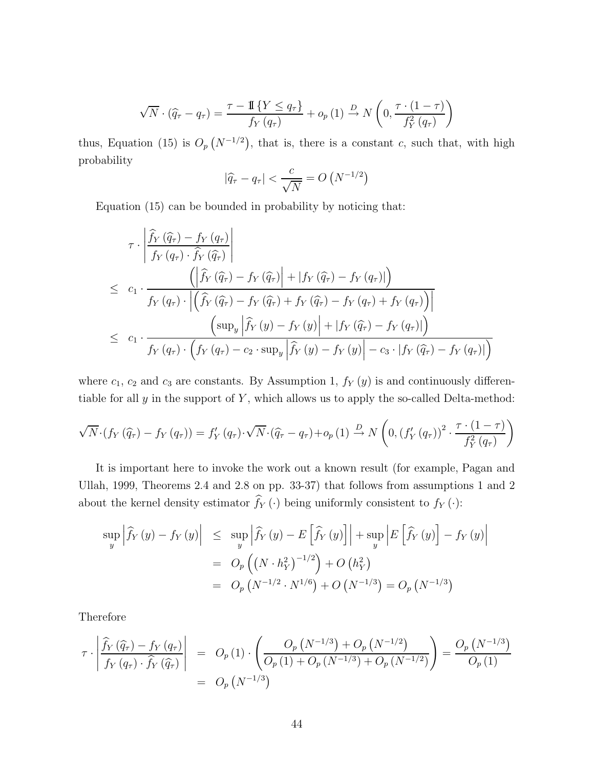$$
\sqrt{N} \cdot (\widehat{q}_{\tau} - q_{\tau}) = \frac{\tau - \mathbb{I} \{ Y \leq q_{\tau} \}}{f_Y(q_{\tau})} + o_p(1) \xrightarrow{D} N \left( 0, \frac{\tau \cdot (1 - \tau)}{f_Y^2(q_{\tau})} \right)
$$

thus, Equation (15) is  $O_p(N^{-1/2})$ , that is, there is a constant *c*, such that, with high probability

$$
|\widehat{q}_{\tau} - q_{\tau}| < \frac{c}{\sqrt{N}} = O\left(N^{-1/2}\right)
$$

Equation (15) can be bounded in probability by noticing that:

$$
\tau \cdot \left| \frac{\widehat{f}_Y(\widehat{q}_\tau) - f_Y(q_\tau)}{f_Y(q_\tau) \cdot \widehat{f}_Y(\widehat{q}_\tau)} \right|
$$
\n
$$
\leq c_1 \cdot \frac{\left( \left| \widehat{f}_Y(\widehat{q}_\tau) - f_Y(\widehat{q}_\tau) \right| + \left| f_Y(\widehat{q}_\tau) - f_Y(q_\tau) \right| \right)}{\left| \widehat{f}_Y(q_\tau) \cdot \left| \left( \widehat{f}_Y(\widehat{q}_\tau) - f_Y(\widehat{q}_\tau) + f_Y(\widehat{q}_\tau) - f_Y(q_\tau) + f_Y(q_\tau) \right) \right|}
$$
\n
$$
\leq c_1 \cdot \frac{\left( \sup_y \left| \widehat{f}_Y(y) - f_Y(y) \right| + \left| f_Y(\widehat{q}_\tau) - f_Y(q_\tau) \right| \right)}{\left| f_Y(q_\tau) \cdot \left( f_Y(q_\tau) - c_2 \cdot \sup_y \left| \widehat{f}_Y(y) - f_Y(y) \right| - c_3 \cdot \left| f_Y(\widehat{q}_\tau) - f_Y(q_\tau) \right| \right)}
$$

where  $c_1$ ,  $c_2$  and  $c_3$  are constants. By Assumption 1,  $f_Y(y)$  is and continuously differentiable for all *y* in the support of *Y* , which allows us to apply the so-called Delta-method:

$$
\sqrt{N}\cdot(f_Y(\widehat{q}_\tau)-f_Y(q_\tau))=f'_Y(q_\tau)\cdot\sqrt{N}\cdot(\widehat{q}_\tau-q_\tau)+o_p(1)\stackrel{D}{\to}N\left(0,(f'_Y(q_\tau))^2\cdot\frac{\tau\cdot(1-\tau)}{f^2_Y(q_\tau)}\right)
$$

It is important here to invoke the work out a known result (for example, Pagan and Ullah, 1999, Theorems 2.4 and 2.8 on pp. 33-37) that follows from assumptions 1 and 2 about the kernel density estimator  $f_Y(\cdot)$  being uniformly consistent to  $f_Y(\cdot)$ :

$$
\sup_{y} \left| \hat{f}_{Y}(y) - f_{Y}(y) \right| \leq \sup_{y} \left| \hat{f}_{Y}(y) - E \left[ \hat{f}_{Y}(y) \right] \right| + \sup_{y} \left| E \left[ \hat{f}_{Y}(y) \right] - f_{Y}(y) \right|
$$
  
=  $O_{p} \left( \left( N \cdot h_{Y}^{2} \right)^{-1/2} \right) + O \left( h_{Y}^{2} \right)$   
=  $O_{p} \left( N^{-1/2} \cdot N^{1/6} \right) + O \left( N^{-1/3} \right) = O_{p} \left( N^{-1/3} \right)$ 

Therefore

$$
\tau \cdot \left| \frac{\widehat{f}_Y(\widehat{q}_\tau) - f_Y(q_\tau)}{f_Y(q_\tau) \cdot \widehat{f}_Y(\widehat{q}_\tau)} \right| = O_p(1) \cdot \left( \frac{O_p(N^{-1/3}) + O_p(N^{-1/2})}{O_p(1) + O_p(N^{-1/3}) + O_p(N^{-1/2})} \right) = \frac{O_p(N^{-1/3})}{O_p(1)}
$$
  
=  $O_p(N^{-1/3})$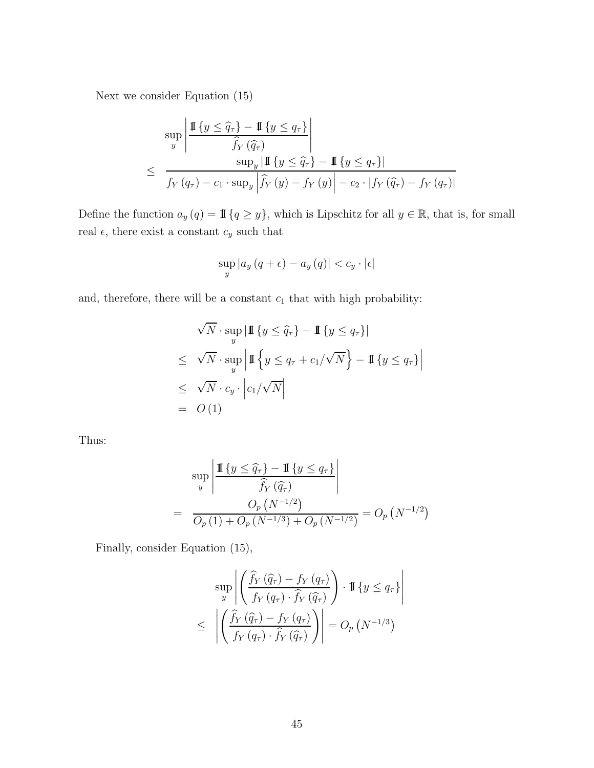Next we consider Equation (15)

$$
\sup_{y} \left| \frac{\mathbb{I}\left\{y \leq \widehat{q}_{\tau}\right\} - \mathbb{I}\left\{y \leq q_{\tau}\right\}}{\widehat{f}_{Y}\left(\widehat{q}_{\tau}\right)} \right|
$$
\n
$$
\leq \left| \frac{\sup_{y} |\mathbb{I}\left\{y \leq \widehat{q}_{\tau}\right\} - \mathbb{I}\left\{y \leq q_{\tau}\right\}|}{f_{Y}\left(q_{\tau}\right) - c_{1} \cdot \sup_{y} \left|\widehat{f}_{Y}\left(y\right) - f_{Y}\left(y\right)\right| - c_{2} \cdot \left|f_{Y}\left(\widehat{q}_{\tau}\right) - f_{Y}\left(q_{\tau}\right)\right|}
$$

Define the function  $a_y(q) = \mathbb{I}\{q \geq y\}$ , which is Lipschitz for all  $y \in \mathbb{R}$ , that is, for small real $\epsilon,$  there exist a constant  $c_y$  such that

$$
\sup_{y} |a_y(q+\epsilon) - a_y(q)| < c_y \cdot |\epsilon|
$$

and, therefore, there will be a constant  $c_1$  that with high probability:

$$
\sqrt{N} \cdot \sup_{y} |\mathbb{I} \{ y \le \widehat{q}_{\tau} \} - \mathbb{I} \{ y \le q_{\tau} \} |
$$
  
\n
$$
\le \sqrt{N} \cdot \sup_{y} \left| \mathbb{I} \{ y \le q_{\tau} + c_1/\sqrt{N} \} - \mathbb{I} \{ y \le q_{\tau} \} \right|
$$
  
\n
$$
\le \sqrt{N} \cdot c_y \cdot \left| c_1/\sqrt{N} \right|
$$
  
\n
$$
= O(1)
$$

Thus:

$$
\sup_{y} \left| \frac{\mathbb{I} \{ y \le \widehat{q}_{\tau} \} - \mathbb{I} \{ y \le q_{\tau} \}}{\widehat{f}_{Y}(\widehat{q}_{\tau})} \right|
$$
\n
$$
= \frac{O_{p}(N^{-1/2})}{O_{p}(1) + O_{p}(N^{-1/3}) + O_{p}(N^{-1/2})} = O_{p}(N^{-1/2})
$$

Finally, consider Equation (15),

$$
\sup_{y} \left| \left( \frac{\widehat{f}_{Y}(\widehat{q}_{\tau}) - f_{Y}(q_{\tau})}{f_{Y}(q_{\tau}) \cdot \widehat{f}_{Y}(\widehat{q}_{\tau})} \right) \cdot \mathbb{I} \{ y \leq q_{\tau} \} \right|
$$
  

$$
\leq \left| \left( \frac{\widehat{f}_{Y}(\widehat{q}_{\tau}) - f_{Y}(q_{\tau})}{f_{Y}(q_{\tau}) \cdot \widehat{f}_{Y}(\widehat{q}_{\tau})} \right) \right| = O_{p}(N^{-1/3})
$$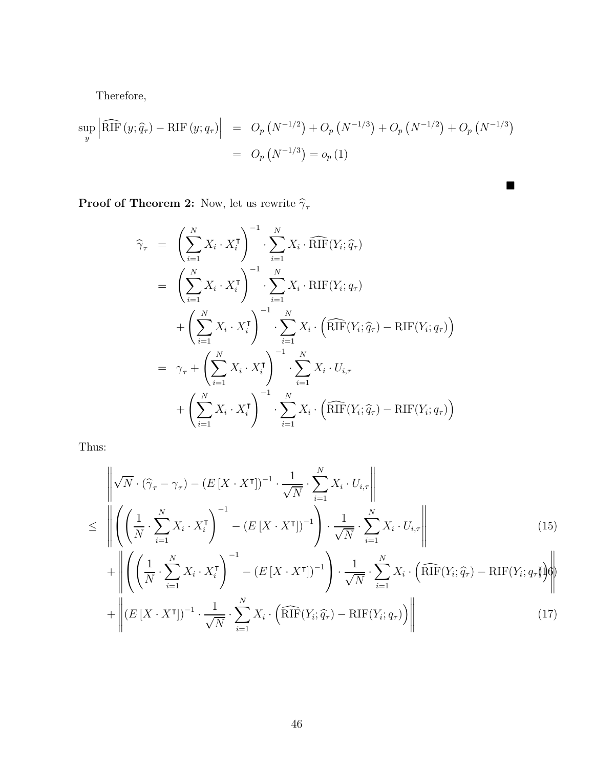Therefore,

$$
\sup_{y} \left| \widehat{\text{RIF}}(y; \hat{q}_{\tau}) - \text{RIF}(y; q_{\tau}) \right| = O_p(N^{-1/2}) + O_p(N^{-1/3}) + O_p(N^{-1/2}) + O_p(N^{-1/3})
$$
  
=  $O_p(N^{-1/3}) = o_p(1)$ 

 $\blacksquare$ 

**Proof of Theorem 2:** Now, let us rewrite  $\widehat{\gamma}_{\tau}$ 

$$
\widehat{\gamma}_{\tau} = \left(\sum_{i=1}^{N} X_i \cdot X_i^{\mathsf{T}}\right)^{-1} \cdot \sum_{i=1}^{N} X_i \cdot \widehat{\text{RIF}}(Y_i; \widehat{q}_{\tau})
$$
\n
$$
= \left(\sum_{i=1}^{N} X_i \cdot X_i^{\mathsf{T}}\right)^{-1} \cdot \sum_{i=1}^{N} X_i \cdot \text{RIF}(Y_i; q_{\tau})
$$
\n
$$
+ \left(\sum_{i=1}^{N} X_i \cdot X_i^{\mathsf{T}}\right)^{-1} \cdot \sum_{i=1}^{N} X_i \cdot \left(\widehat{\text{RIF}}(Y_i; \widehat{q}_{\tau}) - \text{RIF}(Y_i; q_{\tau})\right)
$$
\n
$$
= \gamma_{\tau} + \left(\sum_{i=1}^{N} X_i \cdot X_i^{\mathsf{T}}\right)^{-1} \cdot \sum_{i=1}^{N} X_i \cdot U_{i,\tau}
$$
\n
$$
+ \left(\sum_{i=1}^{N} X_i \cdot X_i^{\mathsf{T}}\right)^{-1} \cdot \sum_{i=1}^{N} X_i \cdot \left(\widehat{\text{RIF}}(Y_i; \widehat{q}_{\tau}) - \text{RIF}(Y_i; q_{\tau})\right)
$$

Thus:

$$
\left\| \sqrt{N} \cdot (\widehat{\gamma}_{\tau} - \gamma_{\tau}) - (E[X \cdot X^{\intercal}])^{-1} \cdot \frac{1}{\sqrt{N}} \cdot \sum_{i=1}^{N} X_{i} \cdot U_{i,\tau} \right\|
$$
\n
$$
\leq \left\| \left( \left( \frac{1}{N} \cdot \sum_{i=1}^{N} X_{i} \cdot X_{i}^{\intercal} \right)^{-1} - (E[X \cdot X^{\intercal}])^{-1} \right) \cdot \frac{1}{\sqrt{N}} \cdot \sum_{i=1}^{N} X_{i} \cdot U_{i,\tau} \right\|
$$
\n
$$
\| \left( \left( \frac{1}{N} \cdot \sum_{i=1}^{N} X_{i} \cdot X_{i}^{\intercal} \right)^{-1} \right) \cdot \frac{1}{\sqrt{N}} \cdot \sum_{i=1}^{N} X_{i} \cdot U_{i,\tau} \right\|
$$
\n
$$
(15)
$$

$$
+ \left\| \left( \left( \frac{1}{N} \cdot \sum_{i=1}^{N} X_i \cdot X_i^{\mathsf{T}} \right)^{-1} - \left( E \left[ X \cdot X^{\mathsf{T}} \right] \right)^{-1} \right) \cdot \frac{1}{\sqrt{N}} \cdot \sum_{i=1}^{N} X_i \cdot \left( \widehat{\text{RIF}}(Y_i; \widehat{q}_{\tau}) - \text{RIF}(Y_i; q_{\tau}) \right) \right\|
$$
  
+ 
$$
\left\| \left( E \left[ X \cdot X^{\mathsf{T}} \right] \right)^{-1} \cdot \frac{1}{\sqrt{N}} \cdot \sum_{i=1}^{N} X_i \cdot \left( \widehat{\text{RIF}}(Y_i; \widehat{q}_{\tau}) - \text{RIF}(Y_i; q_{\tau}) \right) \right\|
$$
(17)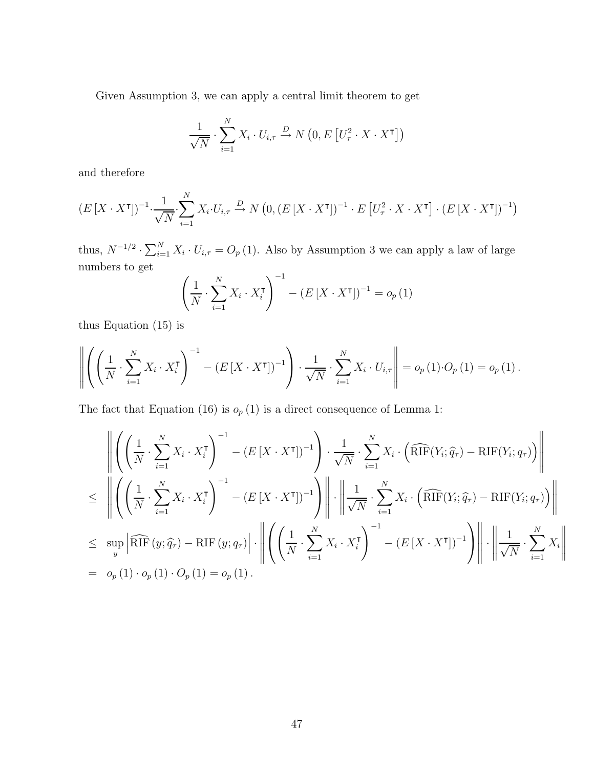Given Assumption 3, we can apply a central limit theorem to get

$$
\frac{1}{\sqrt{N}} \cdot \sum_{i=1}^{N} X_i \cdot U_{i,\tau} \xrightarrow{D} N\left(0, E\left[U_{\tau}^2 \cdot X \cdot X^{\mathsf{T}}\right]\right)
$$

and therefore

$$
(E[X \cdot X^{\mathsf{T}}])^{-1} \cdot \frac{1}{\sqrt{N}} \cdot \sum_{i=1}^{N} X_i \cdot U_{i,\tau} \xrightarrow{D} N \left(0, (E[X \cdot X^{\mathsf{T}}])^{-1} \cdot E\left[U_{\tau}^{2} \cdot X \cdot X^{\mathsf{T}}\right] \cdot (E[X \cdot X^{\mathsf{T}}])^{-1}\right)
$$

thus,  $N^{-1/2} \cdot \sum_{i=1}^{N} X_i \cdot U_{i,\tau} = O_p(1)$ . Also by Assumption 3 we can apply a law of large numbers to get

$$
\left(\frac{1}{N} \cdot \sum_{i=1}^{N} X_i \cdot X_i^{\mathsf{T}}\right)^{-1} - \left(E\left[X \cdot X^{\mathsf{T}}\right]\right)^{-1} = o_p\left(1\right)
$$

thus Equation (15) is

$$
\left\| \left( \left( \frac{1}{N} \cdot \sum_{i=1}^{N} X_i \cdot X_i^{\mathsf{T}} \right)^{-1} - \left( E\left[ X \cdot X^{\mathsf{T}} \right] \right)^{-1} \right) \cdot \frac{1}{\sqrt{N}} \cdot \sum_{i=1}^{N} X_i \cdot U_{i,\tau} \right\| = o_p(1) \cdot O_p(1) = o_p(1).
$$

The fact that Equation (16) is  $o_p(1)$  is a direct consequence of Lemma 1:

$$
\begin{split}\n&\left\| \left( \left( \frac{1}{N} \cdot \sum_{i=1}^{N} X_i \cdot X_i^{\mathsf{T}} \right)^{-1} - \left( E \left[ X \cdot X^{\mathsf{T}} \right] \right)^{-1} \right) \cdot \frac{1}{\sqrt{N}} \cdot \sum_{i=1}^{N} X_i \cdot \left( \widehat{\text{RIF}}(Y_i; \widehat{q}_\tau) - \text{RIF}(Y_i; q_\tau) \right) \right\| \\
&\leq \left\| \left( \left( \frac{1}{N} \cdot \sum_{i=1}^{N} X_i \cdot X_i^{\mathsf{T}} \right)^{-1} - \left( E \left[ X \cdot X^{\mathsf{T}} \right] \right)^{-1} \right) \right\| \cdot \left\| \frac{1}{\sqrt{N}} \cdot \sum_{i=1}^{N} X_i \cdot \left( \widehat{\text{RIF}}(Y_i; \widehat{q}_\tau) - \text{RIF}(Y_i; q_\tau) \right) \right\| \\
&\leq \sup_y \left| \widehat{\text{RIF}}(y; \widehat{q}_\tau) - \text{RIF}(y; q_\tau) \right| \cdot \left\| \left( \left( \frac{1}{N} \cdot \sum_{i=1}^{N} X_i \cdot X_i^{\mathsf{T}} \right)^{-1} - \left( E \left[ X \cdot X^{\mathsf{T}} \right] \right)^{-1} \right) \right\| \cdot \left\| \frac{1}{\sqrt{N}} \cdot \sum_{i=1}^{N} X_i \right\| \\
&= o_p(1) \cdot o_p(1) \cdot O_p(1) = o_p(1).\n\end{split}
$$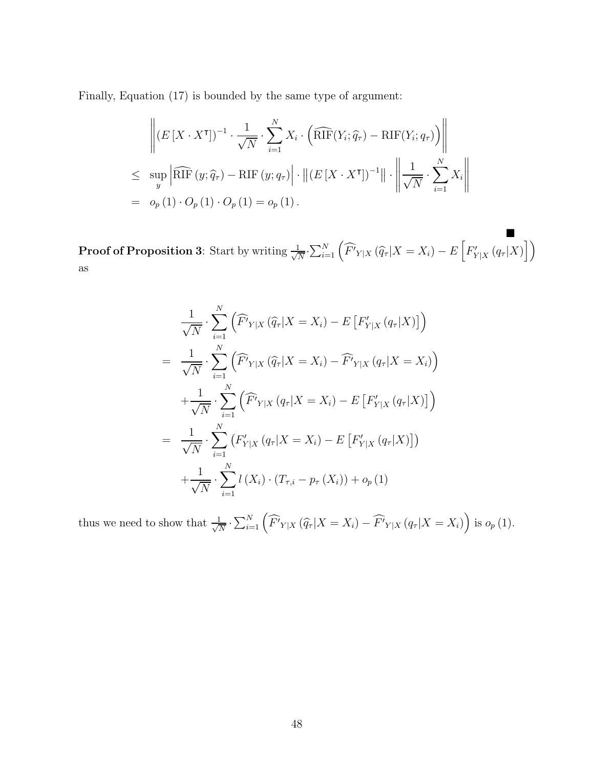Finally, Equation (17) is bounded by the same type of argument:

$$
\left\| (E[X \cdot X^{\mathsf{T}}])^{-1} \cdot \frac{1}{\sqrt{N}} \cdot \sum_{i=1}^{N} X_i \cdot \left( \widehat{\text{RIF}}(Y_i; \widehat{q}_{\tau}) - \text{RIF}(Y_i; q_{\tau}) \right) \right\|
$$
  
\n
$$
\leq \sup_y \left| \widehat{\text{RIF}}(y; \widehat{q}_{\tau}) - \text{RIF}(y; q_{\tau}) \right| \cdot \left\| (E[X \cdot X^{\mathsf{T}}])^{-1} \right\| \cdot \left\| \frac{1}{\sqrt{N}} \cdot \sum_{i=1}^{N} X_i \right\|
$$
  
\n
$$
= o_p(1) \cdot O_p(1) \cdot O_p(1) = o_p(1).
$$

 **Proof of Proposition 3**: Start by writing  $\frac{1}{\sqrt{N}} \cdot \sum_{i=1}^{N} (\widehat{F'}_{Y|X}(\widehat{q}_{\tau}|X=X_i) - E$  $\left[F'_{Y|X}(q_{\tau}|X)\right]$  $\overline{1}$ as

$$
\frac{1}{\sqrt{N}} \cdot \sum_{i=1}^{N} \left( \widehat{F'}_{Y|X} (\widehat{q}_{\tau} | X = X_i) - E \left[ F'_{Y|X} (q_{\tau} | X) \right] \right)
$$
\n
$$
= \frac{1}{\sqrt{N}} \cdot \sum_{i=1}^{N} \left( \widehat{F'}_{Y|X} (\widehat{q}_{\tau} | X = X_i) - \widehat{F'}_{Y|X} (q_{\tau} | X = X_i) \right)
$$
\n
$$
+ \frac{1}{\sqrt{N}} \cdot \sum_{i=1}^{N} \left( \widehat{F'}_{Y|X} (q_{\tau} | X = X_i) - E \left[ F'_{Y|X} (q_{\tau} | X) \right] \right)
$$
\n
$$
= \frac{1}{\sqrt{N}} \cdot \sum_{i=1}^{N} \left( F'_{Y|X} (q_{\tau} | X = X_i) - E \left[ F'_{Y|X} (q_{\tau} | X) \right] \right)
$$
\n
$$
+ \frac{1}{\sqrt{N}} \cdot \sum_{i=1}^{N} l(X_i) \cdot (T_{\tau, i} - p_{\tau}(X_i)) + o_p(1)
$$

thus we need to show that  $\frac{1}{\sqrt{N}} \cdot \sum_{i=1}^{N} (\widehat{F'}_{Y|X} (\widehat{q}_{\tau} | X = X_i) - \widehat{F'}_{Y|X} (q_{\tau} | X = X_i)$  $\overline{ }$ is *o*<sup>p</sup> (1).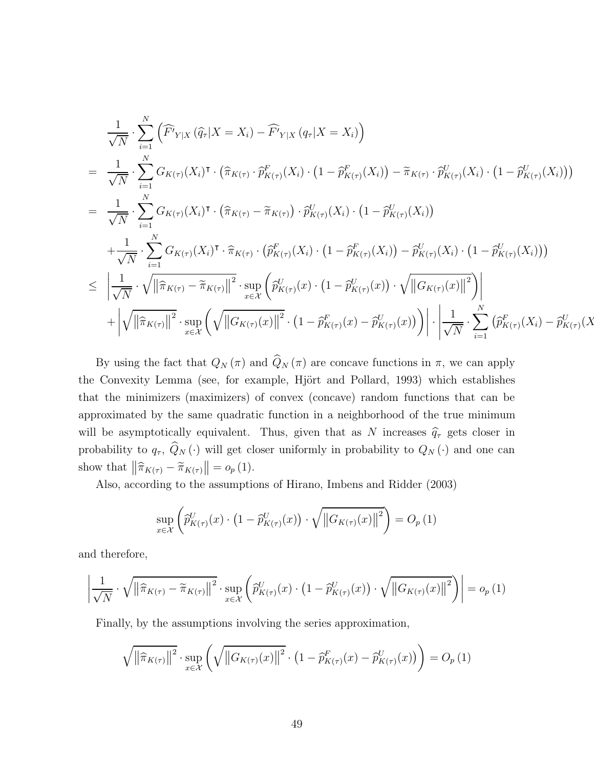$$
\frac{1}{\sqrt{N}} \cdot \sum_{i=1}^{N} \left( \widehat{F'}_{Y|X} (\widehat{q}_{\tau} | X = X_i) - \widehat{F'}_{Y|X} (q_{\tau} | X = X_i) \right)
$$
\n
$$
= \frac{1}{\sqrt{N}} \cdot \sum_{i=1}^{N} G_{K(\tau)}(X_i)^{\intercal} \cdot (\widehat{\pi}_{K(\tau)} \cdot \widehat{p}_{K(\tau)}^F(X_i) \cdot (1 - \widehat{p}_{K(\tau)}^F(X_i)) - \widetilde{\pi}_{K(\tau)} \cdot \widehat{p}_{K(\tau)}^U(X_i) \cdot (1 - \widehat{p}_{K(\tau)}^U(X_i)))
$$
\n
$$
= \frac{1}{\sqrt{N}} \cdot \sum_{i=1}^{N} G_{K(\tau)}(X_i)^{\intercal} \cdot (\widehat{\pi}_{K(\tau)} - \widetilde{\pi}_{K(\tau)}) \cdot \widehat{p}_{K(\tau)}^U(X_i) \cdot (1 - \widehat{p}_{K(\tau)}^U(X_i))
$$
\n
$$
+ \frac{1}{\sqrt{N}} \cdot \sum_{i=1}^{N} G_{K(\tau)}(X_i)^{\intercal} \cdot \widehat{\pi}_{K(\tau)} \cdot (\widehat{p}_{K(\tau)}^F(X_i) \cdot (1 - \widehat{p}_{K(\tau)}^F(X_i)) - \widehat{p}_{K(\tau)}^U(X_i) \cdot (1 - \widehat{p}_{K(\tau)}^U(X_i)))
$$
\n
$$
\leq \left| \frac{1}{\sqrt{N}} \cdot \sqrt{\left\| \widehat{\pi}_{K(\tau)} - \widetilde{\pi}_{K(\tau)} \right\|^2} \cdot \sup_{x \in \mathcal{X}} \left( \widehat{p}_{K(\tau)}^U(x) \cdot (1 - \widehat{p}_{K(\tau)}^U(x)) \cdot \sqrt{\left\| G_{K(\tau)}(x) \right\|^2} \right) \right|
$$
\n
$$
+ \left| \sqrt{\left\| \widehat{\pi}_{K(\tau)} \right\|^2} \cdot \sup_{x \in \mathcal{X}} \left( \sqrt{\left\| G_{K(\tau)}(x) \right\|^2} \cdot (1 - \widehat{p}_{K(\tau)}^F(x) - \widehat{p}_{K(\tau)}^U(x)) \right) \right| \cdot \left| \frac{1}{\sqrt{N}} \cdot \sum_{i=1}^{N} (\widehat{p}_{K(\tau)}^F(X_i) - \
$$

By using the fact that  $Q_N(\pi)$  and  $\widehat{Q}_N(\pi)$  are concave functions in  $\pi$ , we can apply the Convexity Lemma (see, for example, Hjört and Pollard, 1993) which establishes that the minimizers (maximizers) of convex (concave) random functions that can be approximated by the same quadratic function in a neighborhood of the true minimum will be asymptotically equivalent. Thus, given that as  $N$  increases  $\hat{q}_{\tau}$  gets closer in probability to  $q_{\tau}$ ,  $\widehat{Q}_N(\cdot)$  will get closer uniformly in probability to  $Q_N(\cdot)$  and one can show that  $\left\| \widehat{\pi}_{K(\tau)} - \widetilde{\pi}_{K(\tau)} \right\| = o_p(1)$ .

Also, according to the assumptions of Hirano, Imbens and Ridder (2003)

$$
\sup_{x \in \mathcal{X}} \left( \widehat{p}^U_{K(\tau)}(x) \cdot \left( 1 - \widehat{p}^U_{K(\tau)}(x) \right) \cdot \sqrt{\left\| G_{K(\tau)}(x) \right\|^2} \right) = O_p(1)
$$

and therefore,

$$
\left| \frac{1}{\sqrt{N}} \cdot \sqrt{\left\| \widehat{\pi}_{K(\tau)} - \widetilde{\pi}_{K(\tau)} \right\|^2} \cdot \sup_{x \in \mathcal{X}} \left( \widehat{p}_{K(\tau)}^U(x) \cdot \left( 1 - \widehat{p}_{K(\tau)}^U(x) \right) \cdot \sqrt{\left\| G_{K(\tau)}(x) \right\|^2} \right) \right| = o_p(1)
$$

Finally, by the assumptions involving the series approximation,

$$
\sqrt{\left\|\widehat{\pi}_{K(\tau)}\right\|^2} \cdot \sup_{x \in \mathcal{X}} \left( \sqrt{\left\|G_{K(\tau)}(x)\right\|^2} \cdot \left(1 - \widehat{p}^F_{K(\tau)}(x) - \widehat{p}^U_{K(\tau)}(x)\right) \right) = O_p\left(1\right)
$$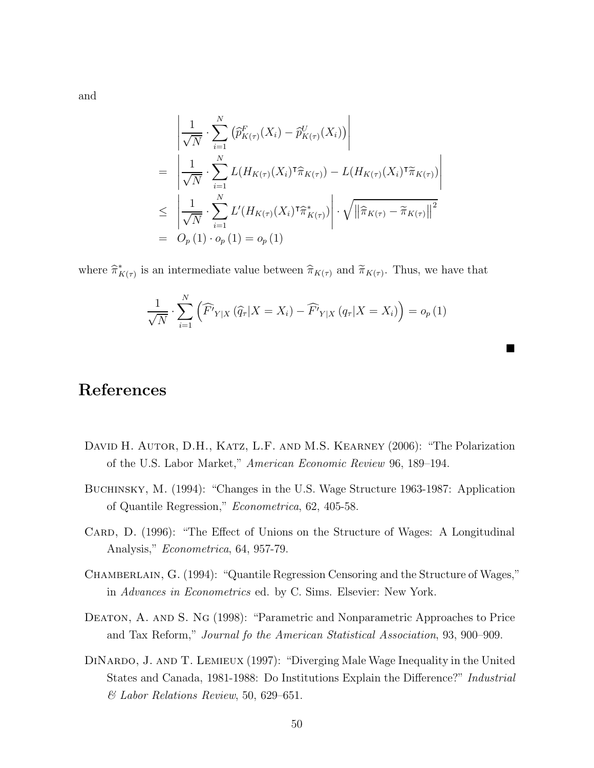and

$$
\begin{aligned}\n&= \left| \frac{1}{\sqrt{N}} \cdot \sum_{i=1}^{N} \left( \widehat{p}_{K(\tau)}^{F}(X_{i}) - \widehat{p}_{K(\tau)}^{U}(X_{i}) \right) \right| \\
&= \left| \frac{1}{\sqrt{N}} \cdot \sum_{i=1}^{N} L(H_{K(\tau)}(X_{i})^{\mathsf{T}} \widehat{\pi}_{K(\tau)}) - L(H_{K(\tau)}(X_{i})^{\mathsf{T}} \widetilde{\pi}_{K(\tau)}) \\
&\leq \left| \frac{1}{\sqrt{N}} \cdot \sum_{i=1}^{N} L'(H_{K(\tau)}(X_{i})^{\mathsf{T}} \widehat{\pi}_{K(\tau)}) \right| \cdot \sqrt{\left\| \widehat{\pi}_{K(\tau)} - \widetilde{\pi}_{K(\tau)} \right\|^{2}} \\
&= O_{p}(1) \cdot o_{p}(1) = o_{p}(1)\n\end{aligned}
$$

 $\overline{1}$  $\overline{\phantom{a}}$  $\overline{\phantom{a}}$  $\overline{\phantom{a}}$  $\overline{\phantom{a}}$ 

п

where  $\hat{\pi}_{K(\tau)}^*$  is an intermediate value between  $\hat{\pi}_{K(\tau)}$  and  $\tilde{\pi}_{K(\tau)}$ . Thus, we have that

$$
\frac{1}{\sqrt{N}} \cdot \sum_{i=1}^{N} \left( \widehat{F'}_{Y|X} \left( \widehat{q}_{\tau} | X = X_i \right) - \widehat{F'}_{Y|X} \left( q_{\tau} | X = X_i \right) \right) = o_p(1)
$$

## **References**

- DAVID H. AUTOR, D.H., KATZ, L.F. AND M.S. KEARNEY (2006): "The Polarization of the U.S. Labor Market," *American Economic Review* 96, 189–194.
- Buchinsky, M. (1994): "Changes in the U.S. Wage Structure 1963-1987: Application of Quantile Regression," *Econometrica*, 62, 405-58.
- CARD, D. (1996): "The Effect of Unions on the Structure of Wages: A Longitudinal Analysis," *Econometrica*, 64, 957-79.
- CHAMBERLAIN, G. (1994): "Quantile Regression Censoring and the Structure of Wages," in *Advances in Econometrics* ed. by C. Sims. Elsevier: New York.
- DEATON, A. AND S. NG (1998): "Parametric and Nonparametric Approaches to Price and Tax Reform," *Journal fo the American Statistical Association*, 93, 900–909.
- DINARDO, J. AND T. LEMIEUX (1997): "Diverging Male Wage Inequality in the United States and Canada, 1981-1988: Do Institutions Explain the Difference?" *Industrial & Labor Relations Review*, 50, 629–651.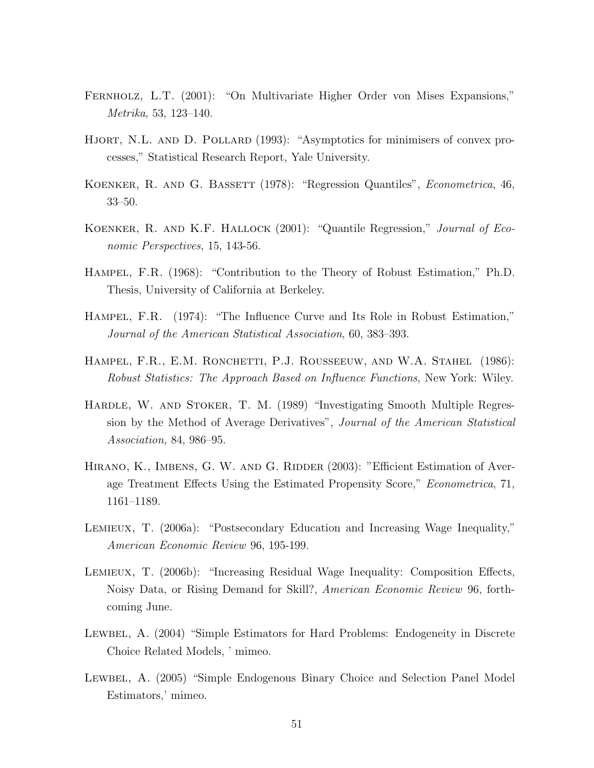- Fernholz, L.T. (2001): "On Multivariate Higher Order von Mises Expansions," *Metrika*, 53, 123–140.
- HJORT, N.L. AND D. POLLARD (1993): "Asymptotics for minimisers of convex processes," Statistical Research Report, Yale University.
- Koenker, R. and G. Bassett (1978): "Regression Quantiles", *Econometrica*, 46, 33–50.
- Koenker, R. and K.F. Hallock (2001): "Quantile Regression," *Journal of Economic Perspectives*, 15, 143-56.
- Hampel, F.R. (1968): "Contribution to the Theory of Robust Estimation," Ph.D. Thesis, University of California at Berkeley.
- Hampel, F.R. (1974): "The Influence Curve and Its Role in Robust Estimation," *Journal of the American Statistical Association*, 60, 383–393.
- HAMPEL, F.R., E.M. RONCHETTI, P.J. ROUSSEEUW, AND W.A. STAHEL (1986): *Robust Statistics: The Approach Based on Influence Functions*, New York: Wiley.
- Hardle, W. and Stoker, T. M. (1989) "Investigating Smooth Multiple Regression by the Method of Average Derivatives", *Journal of the American Statistical Association,* 84, 986–95.
- HIRANO, K., IMBENS, G. W. AND G. RIDDER (2003): "Efficient Estimation of Average Treatment Effects Using the Estimated Propensity Score," *Econometrica*, 71, 1161–1189.
- Lemieux, T. (2006a): "Postsecondary Education and Increasing Wage Inequality," *American Economic Review* 96, 195-199.
- Lemieux, T. (2006b): "Increasing Residual Wage Inequality: Composition Effects, Noisy Data, or Rising Demand for Skill?, *American Economic Review* 96, forthcoming June.
- LEWBEL, A. (2004) "Simple Estimators for Hard Problems: Endogeneity in Discrete Choice Related Models, ' mimeo.
- LEWBEL, A. (2005) "Simple Endogenous Binary Choice and Selection Panel Model Estimators,' mimeo.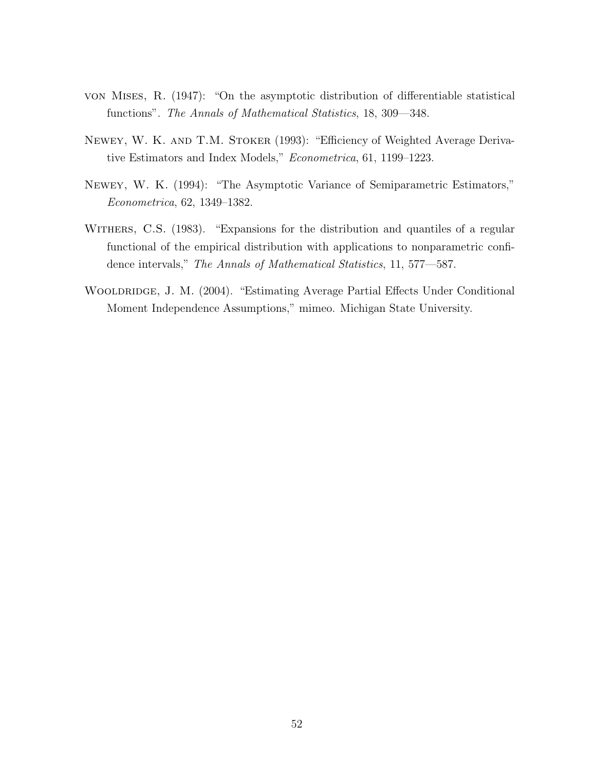- von Mises, R. (1947): "On the asymptotic distribution of differentiable statistical functions". *The Annals of Mathematical Statistics*, 18, 309—348.
- Newey, W. K. and T.M. Stoker (1993): "Efficiency of Weighted Average Derivative Estimators and Index Models," *Econometrica*, 61, 1199–1223.
- Newey, W. K. (1994): "The Asymptotic Variance of Semiparametric Estimators," *Econometrica*, 62, 1349–1382.
- WITHERS, C.S. (1983). "Expansions for the distribution and quantiles of a regular functional of the empirical distribution with applications to nonparametric confidence intervals," *The Annals of Mathematical Statistics*, 11, 577—587.
- WOOLDRIDGE, J. M. (2004). "Estimating Average Partial Effects Under Conditional Moment Independence Assumptions," mimeo. Michigan State University.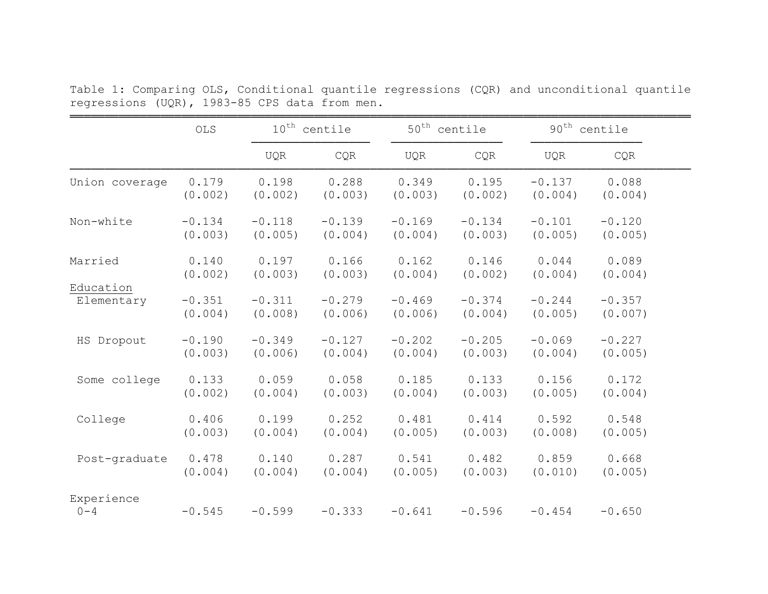|                       | OLS      |            | $10^{\text{th}}$ centile |            | $50th$ centile |            | $90th$ centile |
|-----------------------|----------|------------|--------------------------|------------|----------------|------------|----------------|
|                       |          | <b>UQR</b> | CQR                      | <b>UQR</b> | <b>CQR</b>     | <b>UQR</b> | <b>CQR</b>     |
| Union coverage        | 0.179    | 0.198      | 0.288                    | 0.349      | 0.195          | $-0.137$   | 0.088          |
|                       | (0.002)  | (0.002)    | (0.003)                  | (0.003)    | (0.002)        | (0.004)    | (0.004)        |
| Non-white             | $-0.134$ | $-0.118$   | $-0.139$                 | $-0.169$   | $-0.134$       | $-0.101$   | $-0.120$       |
|                       | (0.003)  | (0.005)    | (0.004)                  | (0.004)    | (0.003)        | (0.005)    | (0.005)        |
| Married               | 0.140    | 0.197      | 0.166                    | 0.162      | 0.146          | 0.044      | 0.089          |
|                       | (0.002)  | (0.003)    | (0.003)                  | (0.004)    | (0.002)        | (0.004)    | (0.004)        |
| Education             | $-0.351$ | $-0.311$   | $-0.279$                 | $-0.469$   | $-0.374$       | $-0.244$   | $-0.357$       |
| Elementary            | (0.004)  | (0.008)    | (0.006)                  | (0.006)    | (0.004)        | (0.005)    | (0.007)        |
| HS Dropout            | $-0.190$ | $-0.349$   | $-0.127$                 | $-0.202$   | $-0.205$       | $-0.069$   | $-0.227$       |
|                       | (0.003)  | (0.006)    | (0.004)                  | (0.004)    | (0.003)        | (0.004)    | (0.005)        |
| Some college          | 0.133    | 0.059      | 0.058                    | 0.185      | 0.133          | 0.156      | 0.172          |
|                       | (0.002)  | (0.004)    | (0.003)                  | (0.004)    | (0.003)        | (0.005)    | (0.004)        |
| College               | 0.406    | 0.199      | 0.252                    | 0.481      | 0.414          | 0.592      | 0.548          |
|                       | (0.003)  | (0.004)    | (0.004)                  | (0.005)    | (0.003)        | (0.008)    | (0.005)        |
| Post-graduate         | 0.478    | 0.140      | 0.287                    | 0.541      | 0.482          | 0.859      | 0.668          |
|                       | (0.004)  | (0.004)    | (0.004)                  | (0.005)    | (0.003)        | (0.010)    | (0.005)        |
| Experience<br>$0 - 4$ | $-0.545$ | $-0.599$   | $-0.333$                 | $-0.641$   | $-0.596$       | $-0.454$   | $-0.650$       |

Table 1: Comparing OLS, Conditional quantile regressions (CQR) and unconditional quantile regressions (UQR), 1983-85 CPS data from men.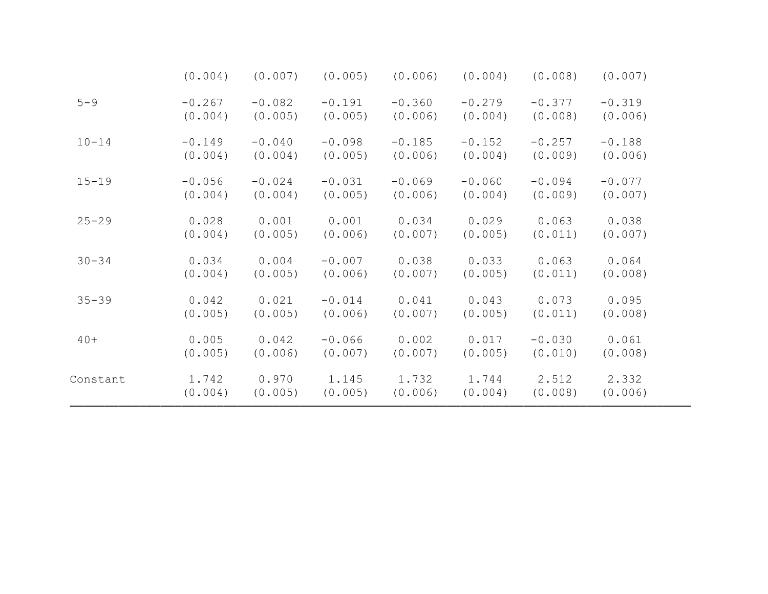|           | (0.004)             | (0.007)             | (0.005)             | (0.006)             | (0.004)             | (0.008)             | (0.007)             |  |
|-----------|---------------------|---------------------|---------------------|---------------------|---------------------|---------------------|---------------------|--|
| $5 - 9$   | $-0.267$<br>(0.004) | $-0.082$<br>(0.005) | $-0.191$<br>(0.005) | $-0.360$<br>(0.006) | $-0.279$<br>(0.004) | $-0.377$<br>(0.008) | $-0.319$<br>(0.006) |  |
| $10 - 14$ | $-0.149$<br>(0.004) | $-0.040$<br>(0.004) | $-0.098$<br>(0.005) | $-0.185$<br>(0.006) | $-0.152$<br>(0.004) | $-0.257$<br>(0.009) | $-0.188$<br>(0.006) |  |
| $15 - 19$ | $-0.056$<br>(0.004) | $-0.024$<br>(0.004) | $-0.031$<br>(0.005) | $-0.069$<br>(0.006) | $-0.060$<br>(0.004) | $-0.094$<br>(0.009) | $-0.077$<br>(0.007) |  |
| $25 - 29$ | 0.028<br>(0.004)    | 0.001<br>(0.005)    | 0.001<br>(0.006)    | 0.034<br>(0.007)    | 0.029<br>(0.005)    | 0.063<br>(0.011)    | 0.038<br>(0.007)    |  |
| $30 - 34$ | 0.034<br>(0.004)    | 0.004<br>(0.005)    | $-0.007$<br>(0.006) | 0.038<br>(0.007)    | 0.033<br>(0.005)    | 0.063<br>(0.011)    | 0.064<br>(0.008)    |  |
| $35 - 39$ | 0.042<br>(0.005)    | 0.021<br>(0.005)    | $-0.014$<br>(0.006) | 0.041<br>(0.007)    | 0.043<br>(0.005)    | 0.073<br>(0.011)    | 0.095<br>(0.008)    |  |
| $40+$     | 0.005<br>(0.005)    | 0.042<br>(0.006)    | $-0.066$<br>(0.007) | 0.002<br>(0.007)    | 0.017<br>(0.005)    | $-0.030$<br>(0.010) | 0.061<br>(0.008)    |  |
| Constant  | 1.742<br>(0.004)    | 0.970<br>(0.005)    | 1.145<br>(0.005)    | 1.732<br>(0.006)    | 1.744<br>(0.004)    | 2.512<br>(0.008)    | 2.332<br>(0.006)    |  |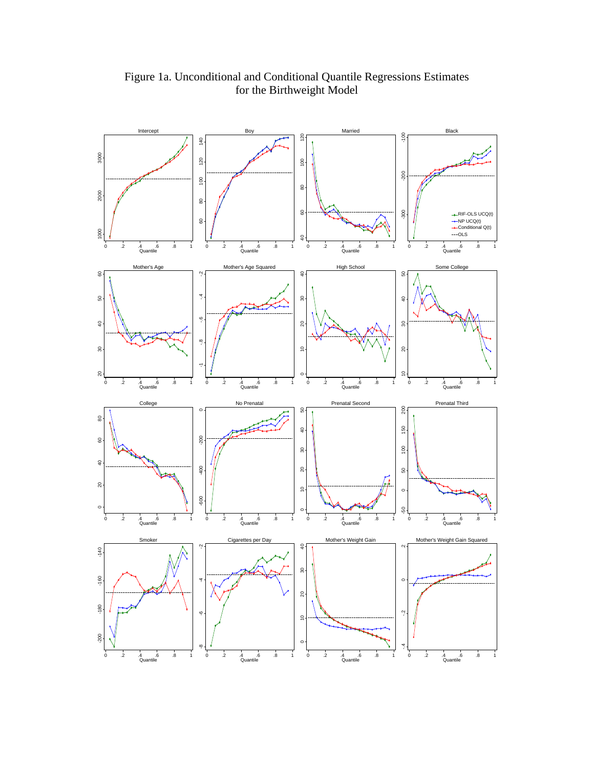

Figure 1a. Unconditional and Conditional Quantile Regressions Estimates for the Birthweight Model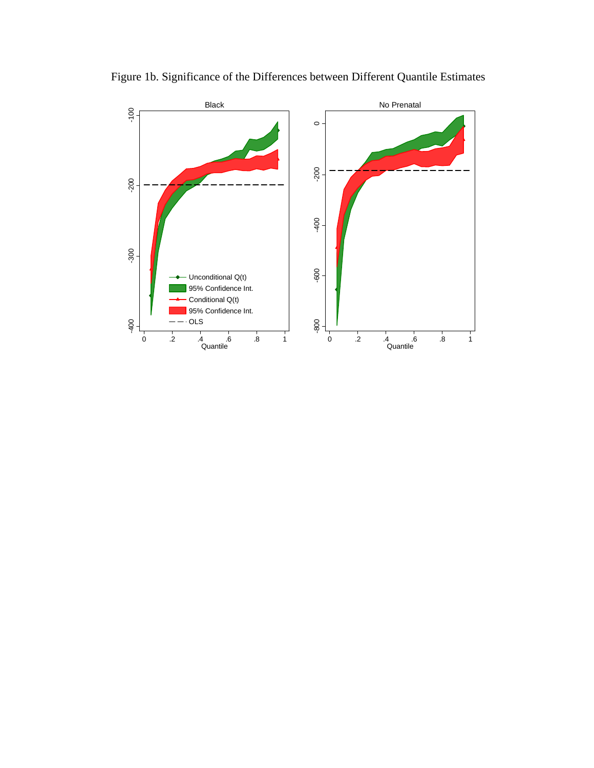

Figure 1b. Significance of the Differences between Different Quantile Estimates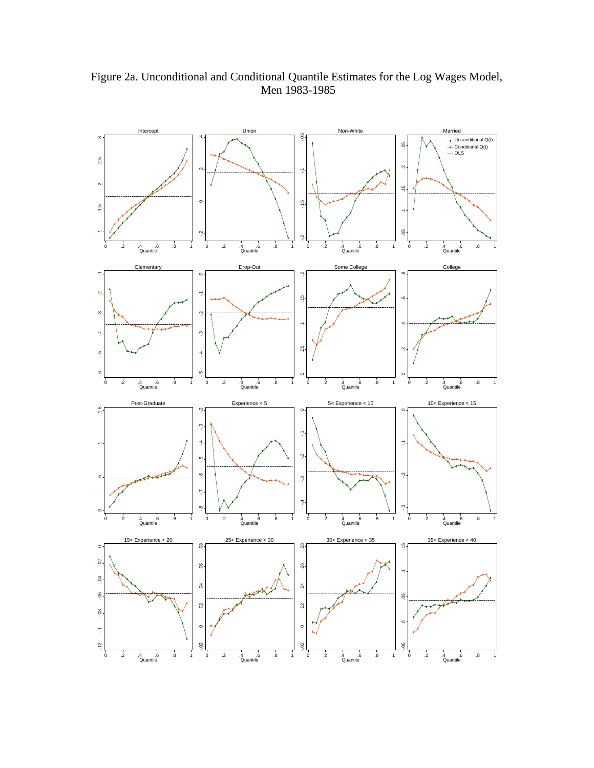

Figure 2a. Unconditional and Conditional Quantile Estimates for the Log Wages Model, Men 1983-1985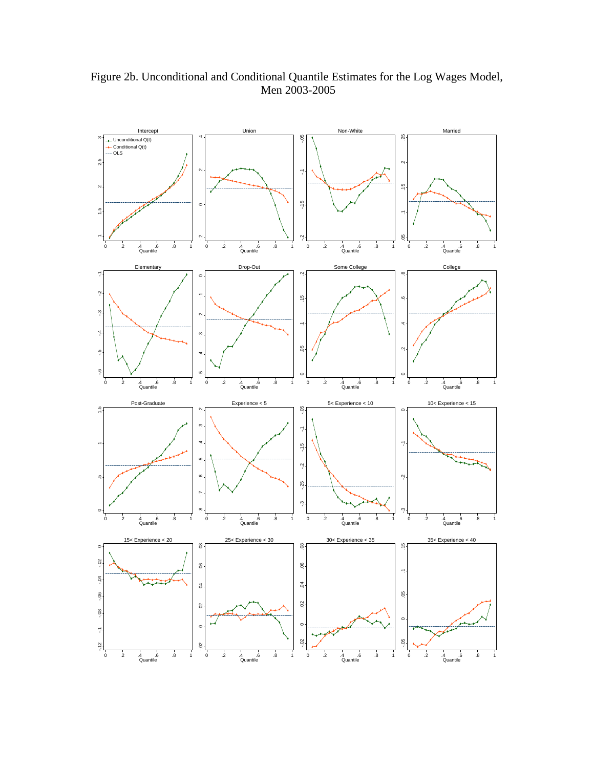

Figure 2b. Unconditional and Conditional Quantile Estimates for the Log Wages Model, Men 2003-2005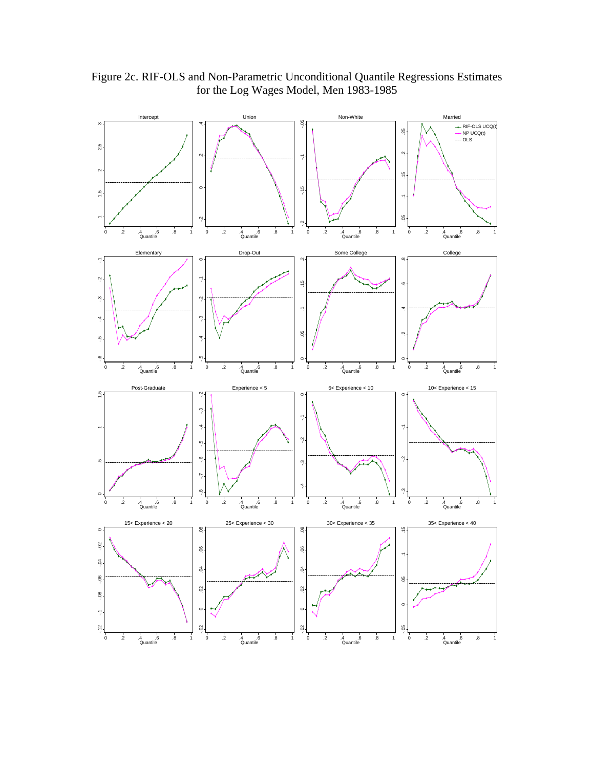

Figure 2c. RIF-OLS and Non-Parametric Unconditional Quantile Regressions Estimates for the Log Wages Model, Men 1983-1985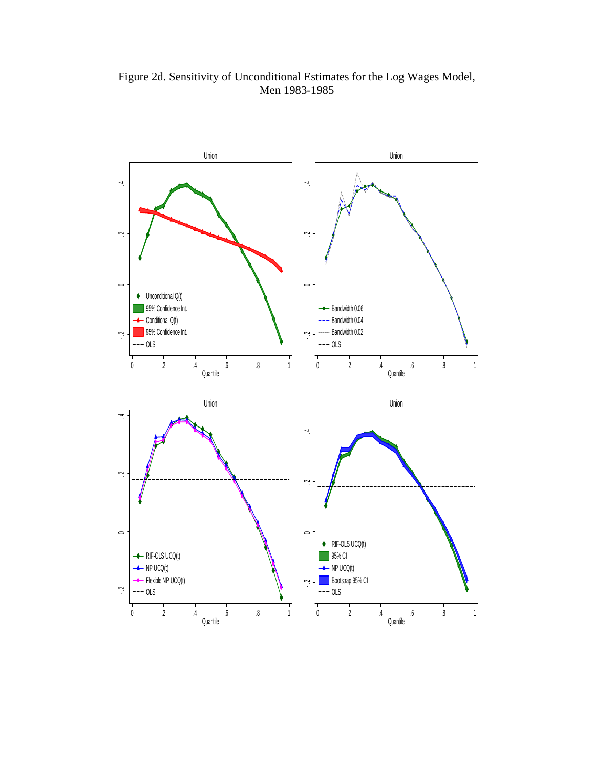Figure 2d. Sensitivity of Unconditional Estimates for the Log Wages Model, Men 1983-1985

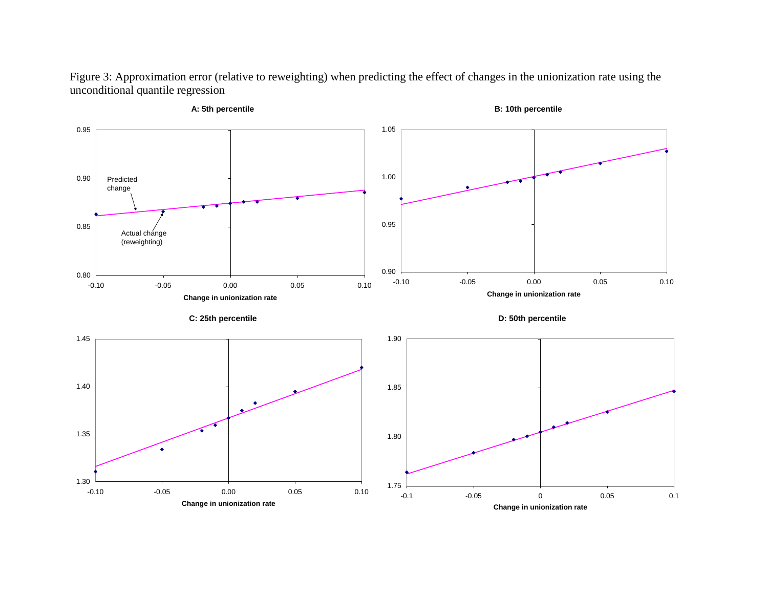Figure 3: Approximation error (relative to reweighting) when predicting the effect of changes in the unionization rate using the unconditional quantile regression



**A: 5th percentile**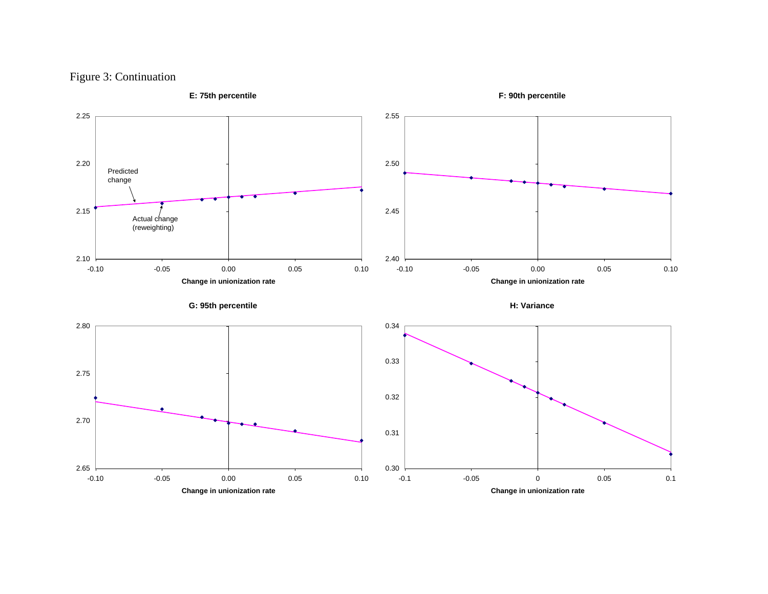### Figure 3: Continuation

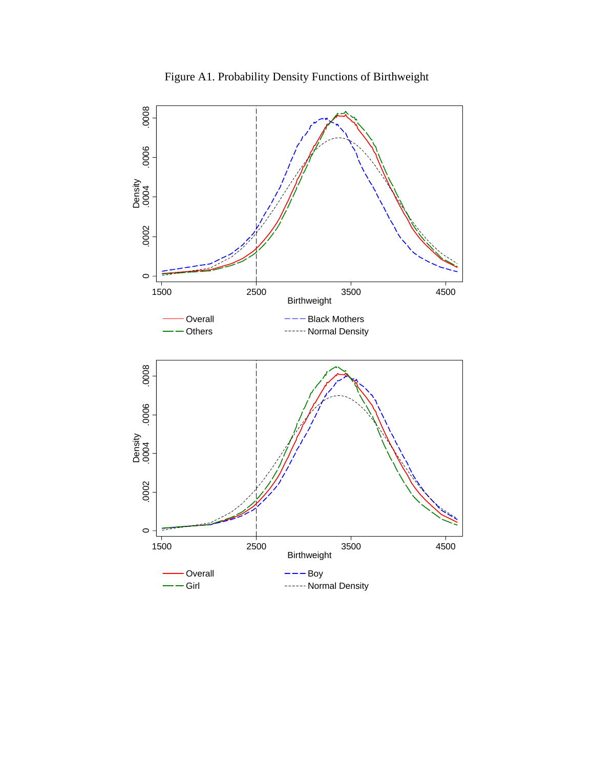![](_page_62_Figure_0.jpeg)

Figure A1. Probability Density Functions of Birthweight